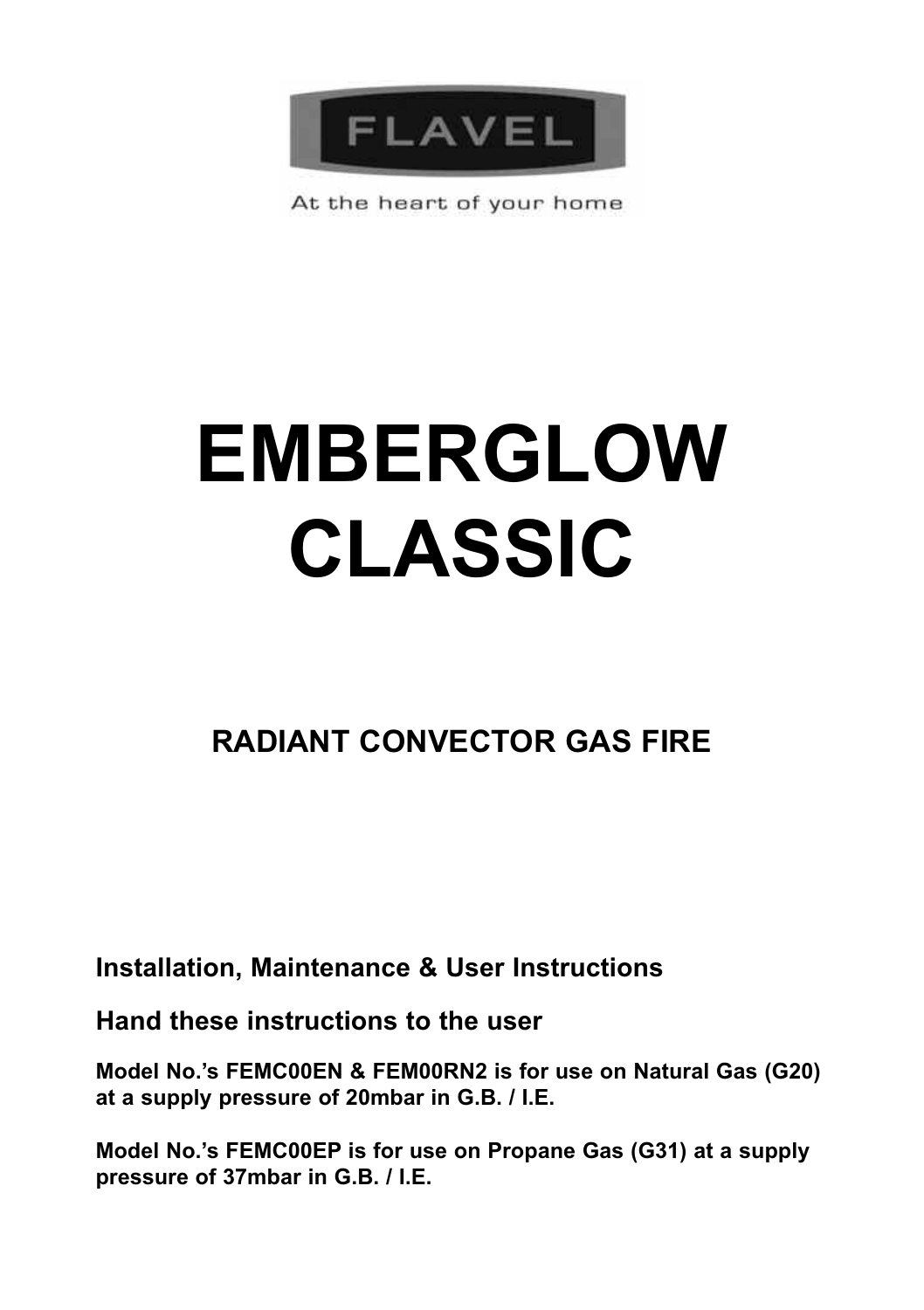

At the heart of your home

# **EMBERGLOW CLASSIC**

# **RADIANT CONVECTOR GAS FIRE**

**Installation, Maintenance & User Instructions**

**Hand these instructions to the user**

**Model No.'s FEMC00EN & FEM00RN2 is for use on Natural Gas (G20) at a supply pressure of 20mbar in G.B. / I.E.**

**Model No.'s FEMC00EP is for use on Propane Gas (G31) at a supply pressure of 37mbar in G.B. / I.E.**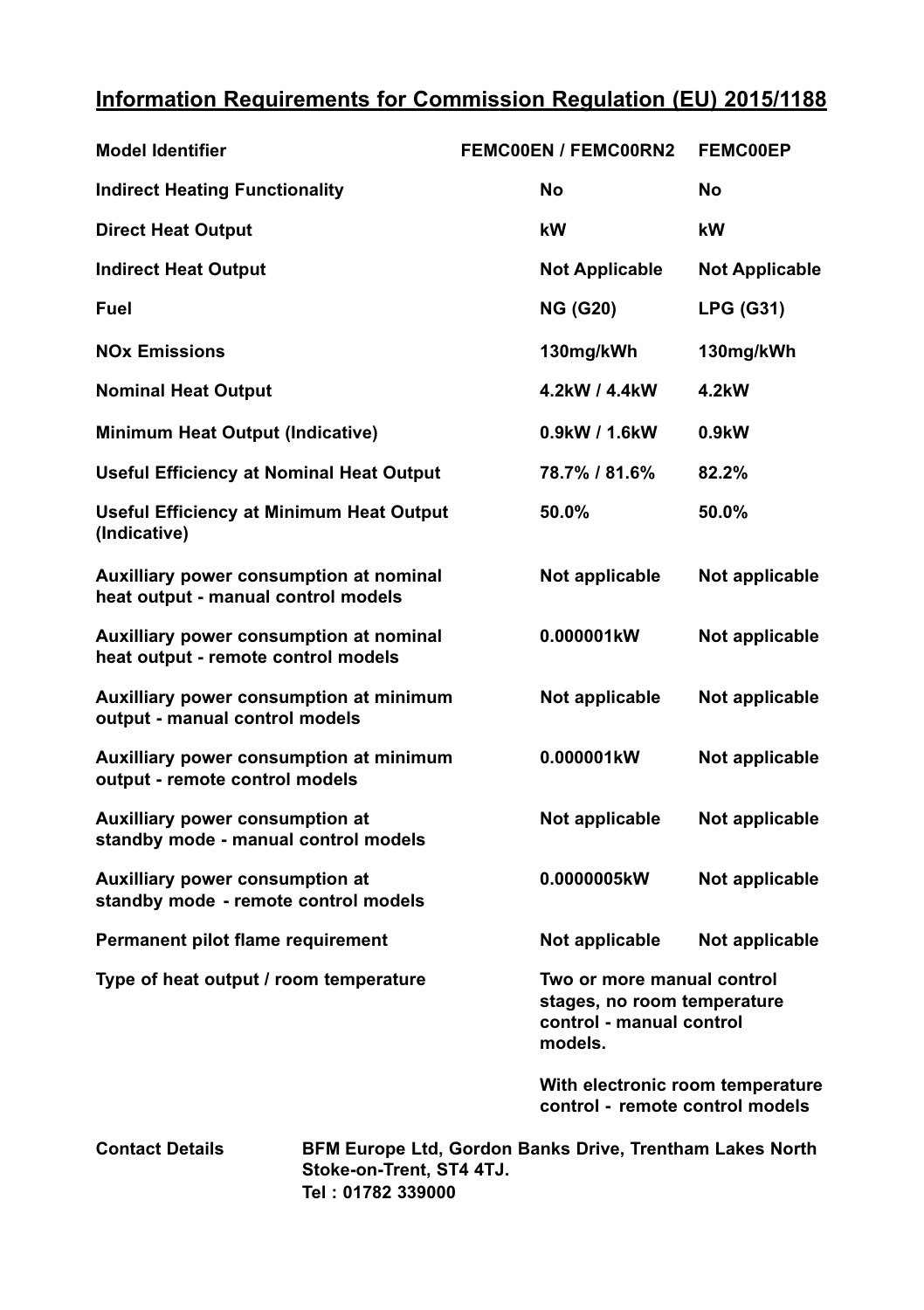# **Information Requirements for Commission Regulation (EU) 2015/1188**

| <b>Model Identifier</b>                                                        | <b>FEMC00EN / FEMC00RN2</b>                                                                      | <b>FEMC00EP</b>       |
|--------------------------------------------------------------------------------|--------------------------------------------------------------------------------------------------|-----------------------|
| <b>Indirect Heating Functionality</b>                                          | No                                                                                               | No                    |
| <b>Direct Heat Output</b>                                                      | kW                                                                                               | kW                    |
| <b>Indirect Heat Output</b>                                                    | <b>Not Applicable</b>                                                                            | <b>Not Applicable</b> |
| Fuel                                                                           | <b>NG (G20)</b>                                                                                  | <b>LPG (G31)</b>      |
| <b>NOx Emissions</b>                                                           | 130mg/kWh                                                                                        | 130mg/kWh             |
| <b>Nominal Heat Output</b>                                                     | 4.2kW / 4.4kW                                                                                    | 4.2kW                 |
| Minimum Heat Output (Indicative)                                               | 0.9kW / 1.6kW                                                                                    | 0.9kW                 |
| Useful Efficiency at Nominal Heat Output                                       | 78.7% / 81.6%                                                                                    | 82.2%                 |
| <b>Useful Efficiency at Minimum Heat Output</b><br>(Indicative)                | 50.0%                                                                                            | 50.0%                 |
| Auxilliary power consumption at nominal<br>heat output - manual control models | Not applicable                                                                                   | Not applicable        |
| Auxilliary power consumption at nominal<br>heat output - remote control models | 0.000001kW                                                                                       | Not applicable        |
| Auxilliary power consumption at minimum<br>output - manual control models      | Not applicable                                                                                   | Not applicable        |
| Auxilliary power consumption at minimum<br>output - remote control models      | 0.000001kW                                                                                       | Not applicable        |
| Auxilliary power consumption at<br>standby mode - manual control models        | Not applicable                                                                                   | Not applicable        |
| Auxilliary power consumption at<br>standby mode - remote control models        | 0.0000005kW                                                                                      | Not applicable        |
| Permanent pilot flame requirement                                              | Not applicable                                                                                   | Not applicable        |
| Type of heat output / room temperature                                         | Two or more manual control<br>stages, no room temperature<br>control - manual control<br>models. |                       |
|                                                                                | With electronic room temperature<br>control - remote control models                              |                       |

**Contact Details BFM Europe Ltd, Gordon Banks Drive, Trentham Lakes North Stoke-on-Trent, ST4 4TJ. Tel : 01782 339000**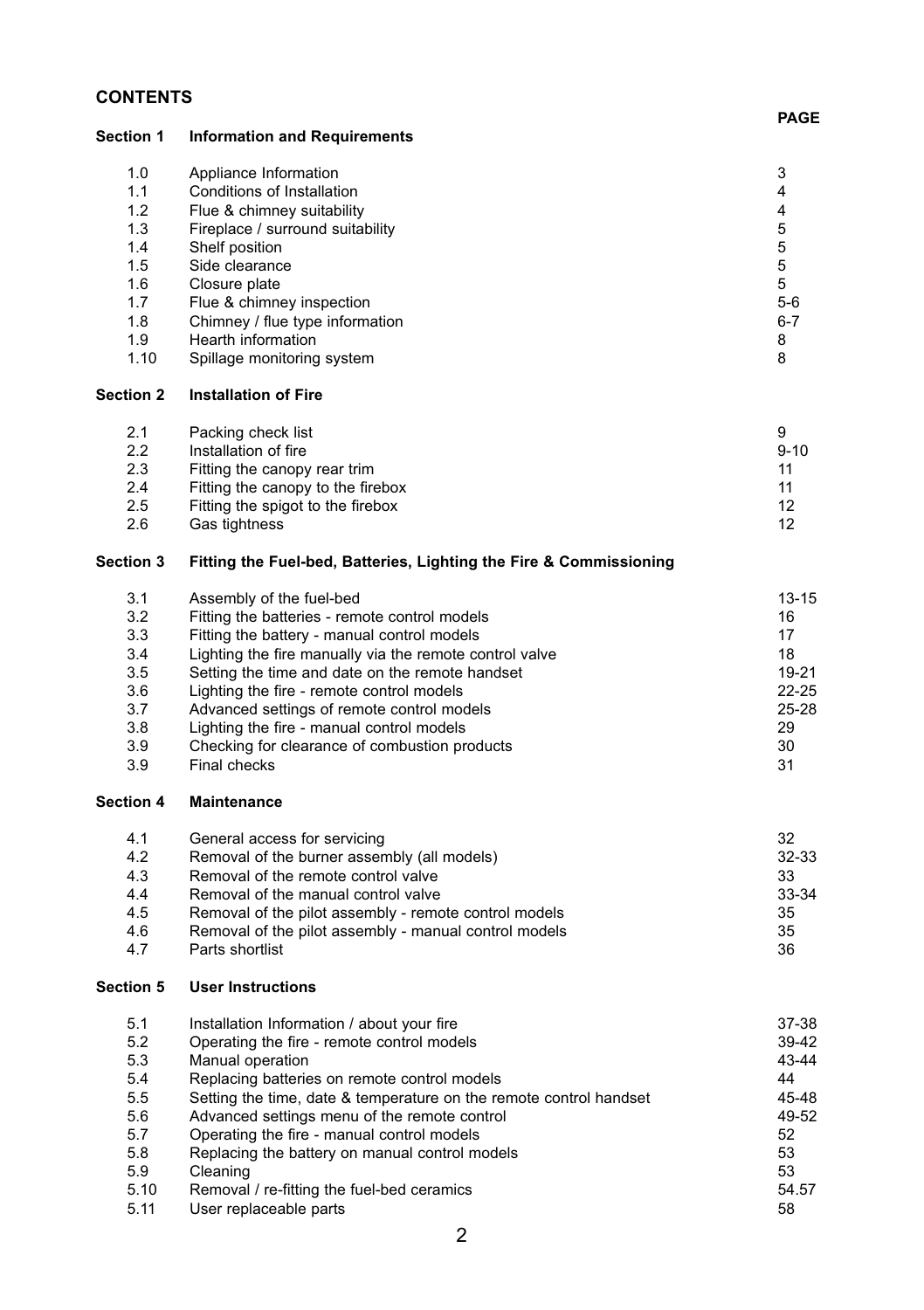# **CONTENTS**

|                                                                            |                                                                                                                                                                                                                                                                                                                                                                                                                                                 | <b>PAGE</b>                                                                  |
|----------------------------------------------------------------------------|-------------------------------------------------------------------------------------------------------------------------------------------------------------------------------------------------------------------------------------------------------------------------------------------------------------------------------------------------------------------------------------------------------------------------------------------------|------------------------------------------------------------------------------|
| Section 1                                                                  | <b>Information and Requirements</b>                                                                                                                                                                                                                                                                                                                                                                                                             |                                                                              |
| 1.0<br>1.1<br>1.2<br>1.3<br>1.4<br>1.5<br>1.6<br>1.7<br>1.8<br>1.9<br>1.10 | Appliance Information<br>Conditions of Installation<br>Flue & chimney suitability<br>Fireplace / surround suitability<br>Shelf position<br>Side clearance<br>Closure plate<br>Flue & chimney inspection<br>Chimney / flue type information<br>Hearth information<br>Spillage monitoring system                                                                                                                                                  | 3<br>4<br>$\overline{4}$<br>5<br>5<br>5<br>5<br>$5-6$<br>$6 - 7$<br>8<br>8   |
| <b>Section 2</b>                                                           | <b>Installation of Fire</b>                                                                                                                                                                                                                                                                                                                                                                                                                     |                                                                              |
| 2.1<br>2.2<br>2.3<br>2.4<br>2.5<br>2.6                                     | Packing check list<br>Installation of fire<br>Fitting the canopy rear trim<br>Fitting the canopy to the firebox<br>Fitting the spigot to the firebox<br>Gas tightness                                                                                                                                                                                                                                                                           | 9<br>$9 - 10$<br>11<br>11<br>12<br>12                                        |
| <b>Section 3</b>                                                           | Fitting the Fuel-bed, Batteries, Lighting the Fire & Commissioning                                                                                                                                                                                                                                                                                                                                                                              |                                                                              |
| 3.1<br>3.2<br>3.3<br>3.4<br>3.5<br>3.6<br>3.7<br>3.8<br>3.9<br>3.9         | Assembly of the fuel-bed<br>Fitting the batteries - remote control models<br>Fitting the battery - manual control models<br>Lighting the fire manually via the remote control valve<br>Setting the time and date on the remote handset<br>Lighting the fire - remote control models<br>Advanced settings of remote control models<br>Lighting the fire - manual control models<br>Checking for clearance of combustion products<br>Final checks | $13 - 15$<br>16<br>17<br>18<br>19-21<br>$22 - 25$<br>25-28<br>29<br>30<br>31 |
| Section 4                                                                  | <b>Maintenance</b>                                                                                                                                                                                                                                                                                                                                                                                                                              |                                                                              |
| 4.1<br>4.2<br>4.3<br>4.4<br>4.5<br>4.6<br>4.7                              | General access for servicing<br>Removal of the burner assembly (all models)<br>Removal of the remote control valve<br>Removal of the manual control valve<br>Removal of the pilot assembly - remote control models<br>Removal of the pilot assembly - manual control models<br>Parts shortlist                                                                                                                                                  | 32<br>32-33<br>33<br>33-34<br>35<br>35<br>36                                 |
| Section 5                                                                  | <b>User Instructions</b>                                                                                                                                                                                                                                                                                                                                                                                                                        |                                                                              |

| 5.1  | Installation Information / about your fire                         | 37-38 |
|------|--------------------------------------------------------------------|-------|
| 5.2  | Operating the fire - remote control models                         | 39-42 |
| 5.3  | Manual operation                                                   | 43-44 |
| 5.4  | Replacing batteries on remote control models                       | 44    |
| 5.5  | Setting the time, date & temperature on the remote control handset | 45-48 |
| 5.6  | Advanced settings menu of the remote control                       | 49-52 |
| 5.7  | Operating the fire - manual control models                         | 52    |
| 5.8  | Replacing the battery on manual control models                     | 53    |
| 5.9  | Cleaning                                                           | 53    |
| 5.10 | Removal / re-fitting the fuel-bed ceramics                         | 54.57 |
| 5.11 | User replaceable parts                                             | 58    |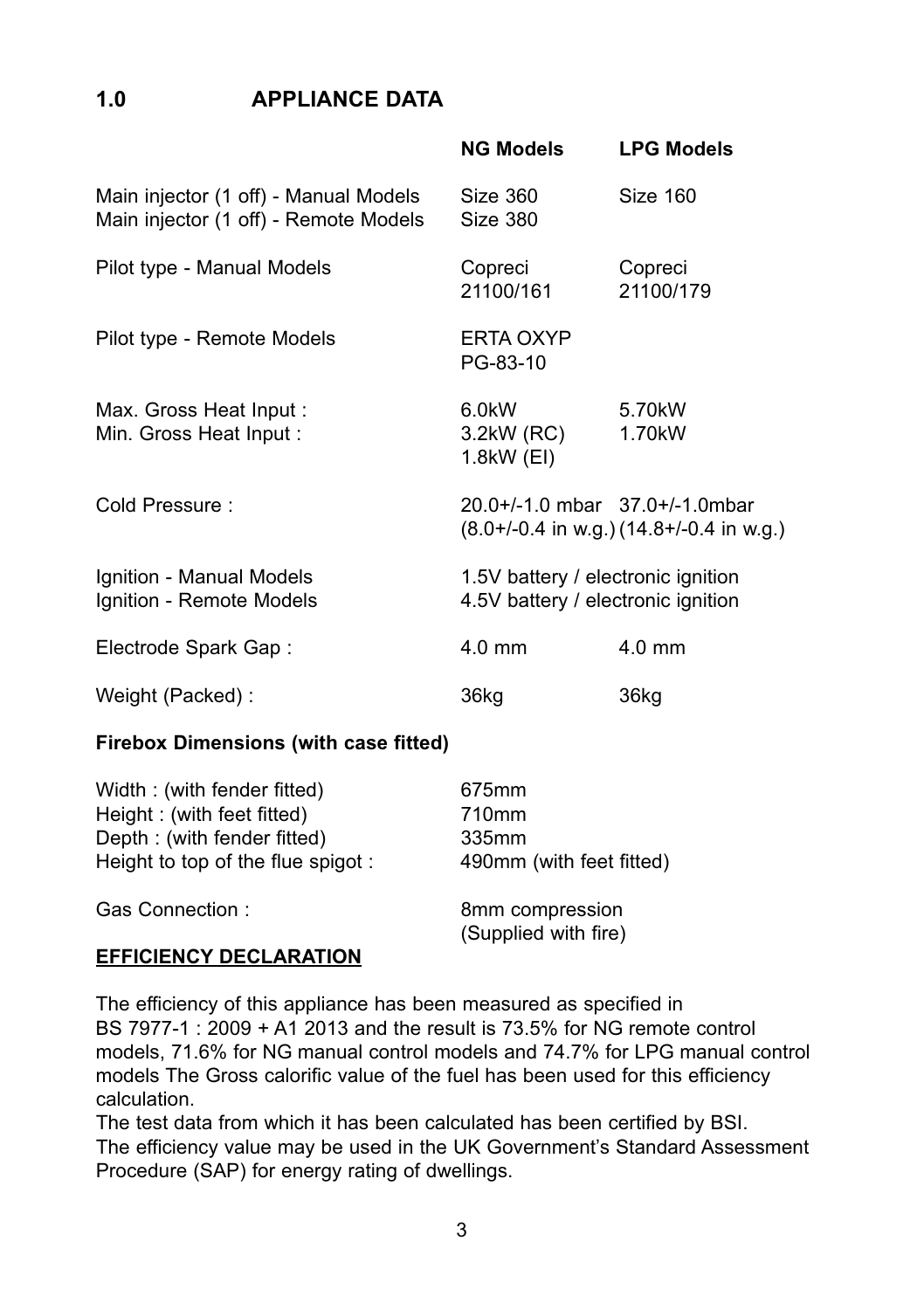# **1.0 APPLIANCE DATA**

|                                                                                | <b>NG Models</b>                                                         | <b>LPG Models</b>                            |
|--------------------------------------------------------------------------------|--------------------------------------------------------------------------|----------------------------------------------|
| Main injector (1 off) - Manual Models<br>Main injector (1 off) - Remote Models | Size 360<br>Size 380                                                     | Size 160                                     |
| Pilot type - Manual Models                                                     | Copreci<br>21100/161                                                     | Copreci<br>21100/179                         |
| Pilot type - Remote Models                                                     | <b>FRTA OXYP</b><br>PG-83-10                                             |                                              |
| Max. Gross Heat Input:<br>Min. Gross Heat Input:                               | 6.0kW<br>3.2kW (RC)<br>1.8kW (EI)                                        | 5.70kW<br>1.70 <sub>k</sub> W                |
| Cold Pressure:                                                                 | $20.0+/-1.0$ mbar $37.0+/-1.0$ mbar                                      | $(8.0+/-0.4$ in w.g.) $(14.8+/-0.4$ in w.g.) |
| Ignition - Manual Models<br>Ignition - Remote Models                           | 1.5V battery / electronic ignition<br>4.5V battery / electronic ignition |                                              |
| Electrode Spark Gap:                                                           | $4.0 \text{ mm}$                                                         | $4.0$ mm                                     |
| Weight (Packed):                                                               | 36kg                                                                     | 36kg                                         |

#### **Firebox Dimensions (with case fitted)**

| Width: (with fender fitted)       | 675mm                                   |
|-----------------------------------|-----------------------------------------|
| Height: (with feet fitted)        | 710mm                                   |
| Depth: (with fender fitted)       | 335mm                                   |
| Height to top of the flue spigot: | 490mm (with feet fitted)                |
| Gas Connection:                   | 8mm compression<br>(Supplied with fire) |
|                                   |                                         |

#### **EFFICIENCY DECLARATION**

The efficiency of this appliance has been measured as specified in BS 7977-1 : 2009 + A1 2013 and the result is 73.5% for NG remote control models, 71.6% for NG manual control models and 74.7% for LPG manual control models The Gross calorific value of the fuel has been used for this efficiency calculation.

The test data from which it has been calculated has been certified by BSI. The efficiency value may be used in the UK Government's Standard Assessment Procedure (SAP) for energy rating of dwellings.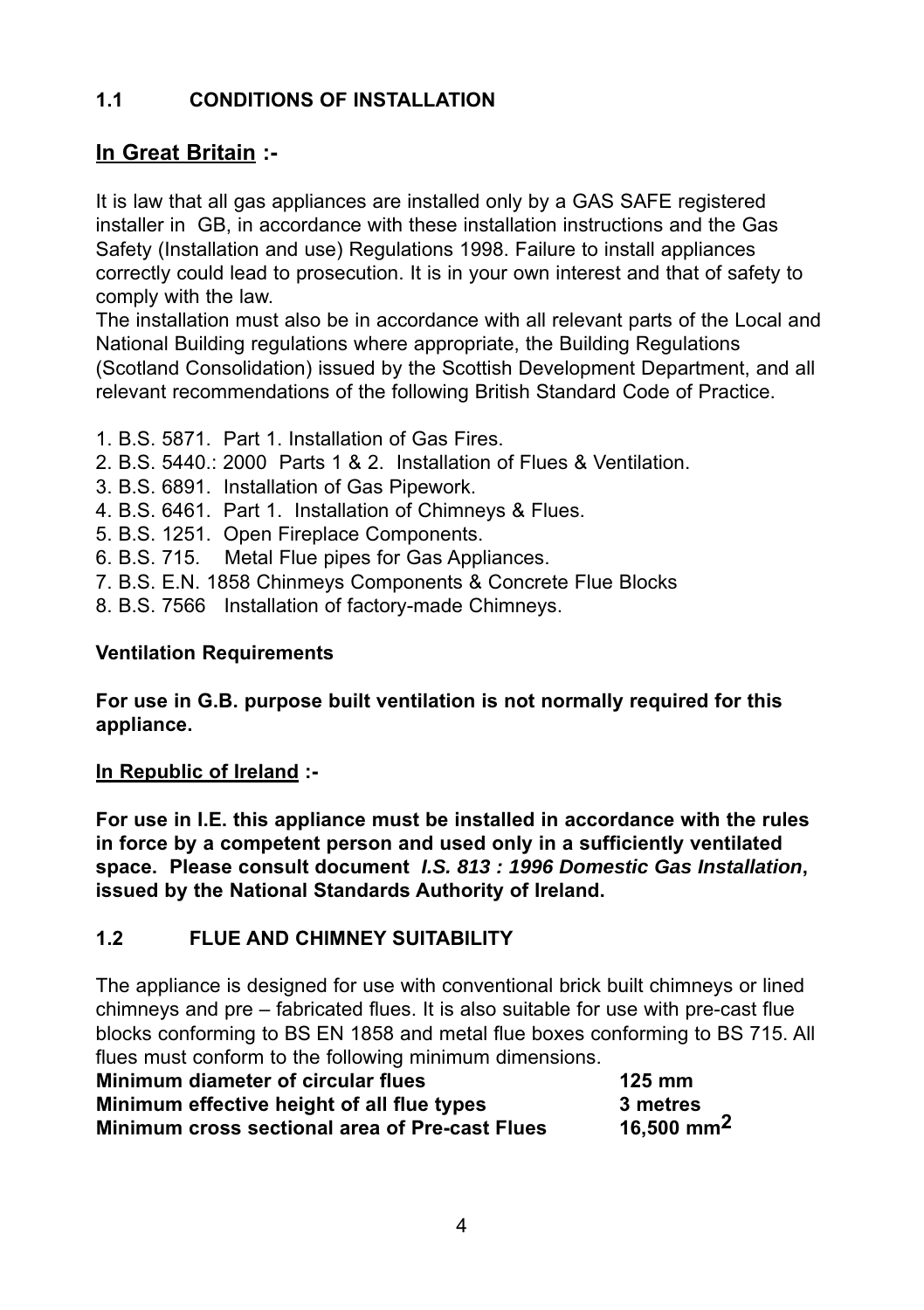# **1.1 CONDITIONS OF INSTALLATION**

# **In Great Britain :-**

It is law that all gas appliances are installed only by a GAS SAFE registered installer in GB, in accordance with these installation instructions and the Gas Safety (Installation and use) Regulations 1998. Failure to install appliances correctly could lead to prosecution. It is in your own interest and that of safety to comply with the law.

The installation must also be in accordance with all relevant parts of the Local and National Building regulations where appropriate, the Building Regulations (Scotland Consolidation) issued by the Scottish Development Department, and all relevant recommendations of the following British Standard Code of Practice.

- 1. B.S. 5871. Part 1. Installation of Gas Fires.
- 2. B.S. 5440.: 2000 Parts 1 & 2. Installation of Flues & Ventilation.
- 3. B.S. 6891. Installation of Gas Pipework.
- 4. B.S. 6461. Part 1. Installation of Chimneys & Flues.
- 5. B.S. 1251. Open Fireplace Components.
- 6. B.S. 715. Metal Flue pipes for Gas Appliances.
- 7. B.S. E.N. 1858 Chinmeys Components & Concrete Flue Blocks
- 8. B.S. 7566 Installation of factory-made Chimneys.

# **Ventilation Requirements**

**For use in G.B. purpose built ventilation is not normally required for this appliance.**

# **In Republic of Ireland :-**

**For use in I.E. this appliance must be installed in accordance with the rules in force by a competent person and used only in a sufficiently ventilated space. Please consult document** *I.S. 813 : 1996 Domestic Gas Installation***, issued by the National Standards Authority of Ireland.**

# **1.2 FLUE AND CHIMNEY SUITABILITY**

The appliance is designed for use with conventional brick built chimneys or lined chimneys and pre – fabricated flues. It is also suitable for use with pre-cast flue blocks conforming to BS EN 1858 and metal flue boxes conforming to BS 715. All flues must conform to the following minimum dimensions.

| Minimum diameter of circular flues                    | $125 \text{ mm}$       |
|-------------------------------------------------------|------------------------|
| Minimum effective height of all flue types            | 3 metres               |
| <b>Minimum cross sectional area of Pre-cast Flues</b> | 16,500 mm <sup>2</sup> |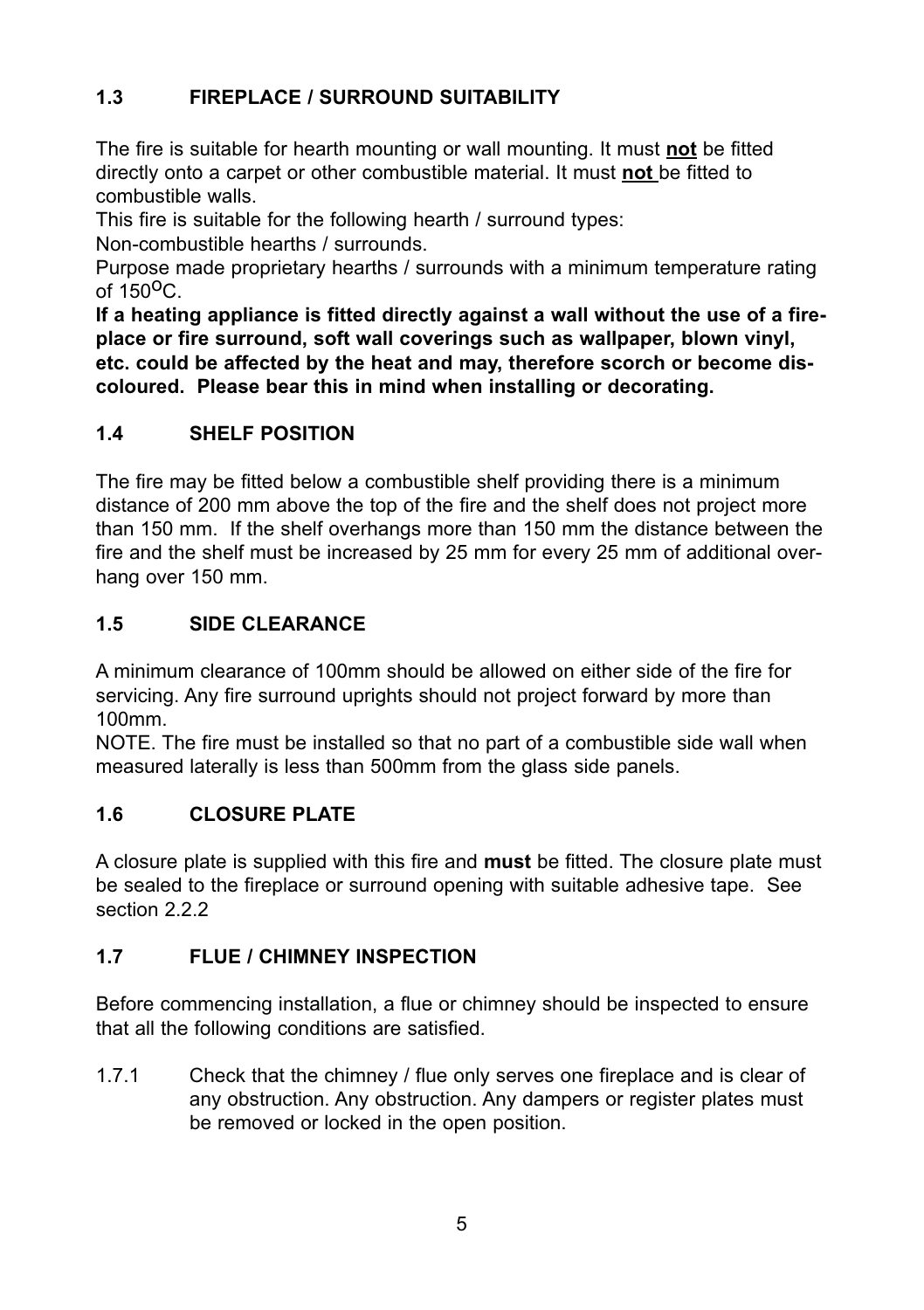# **1.3 FIREPLACE / SURROUND SUITABILITY**

The fire is suitable for hearth mounting or wall mounting. It must **not** be fitted directly onto a carpet or other combustible material. It must **not** be fitted to combustible walls.

This fire is suitable for the following hearth / surround types:

Non-combustible hearths / surrounds.

Purpose made proprietary hearths / surrounds with a minimum temperature rating of  $150^{\circ}$ C.

**If a heating appliance is fitted directly against a wall without the use of a fireplace or fire surround, soft wall coverings such as wallpaper, blown vinyl, etc. could be affected by the heat and may, therefore scorch or become discoloured. Please bear this in mind when installing or decorating.**

# **1.4 SHELF POSITION**

The fire may be fitted below a combustible shelf providing there is a minimum distance of 200 mm above the top of the fire and the shelf does not project more than 150 mm. If the shelf overhangs more than 150 mm the distance between the fire and the shelf must be increased by 25 mm for every 25 mm of additional overhang over 150 mm.

# **1.5 SIDE CLEARANCE**

A minimum clearance of 100mm should be allowed on either side of the fire for servicing. Any fire surround uprights should not project forward by more than 100mm.

NOTE. The fire must be installed so that no part of a combustible side wall when measured laterally is less than 500mm from the glass side panels.

# **1.6 CLOSURE PLATE**

A closure plate is supplied with this fire and **must** be fitted. The closure plate must be sealed to the fireplace or surround opening with suitable adhesive tape. See section 2.2.2.

# **1.7 FLUE / CHIMNEY INSPECTION**

Before commencing installation, a flue or chimney should be inspected to ensure that all the following conditions are satisfied.

1.7.1 Check that the chimney / flue only serves one fireplace and is clear of any obstruction. Any obstruction. Any dampers or register plates must be removed or locked in the open position.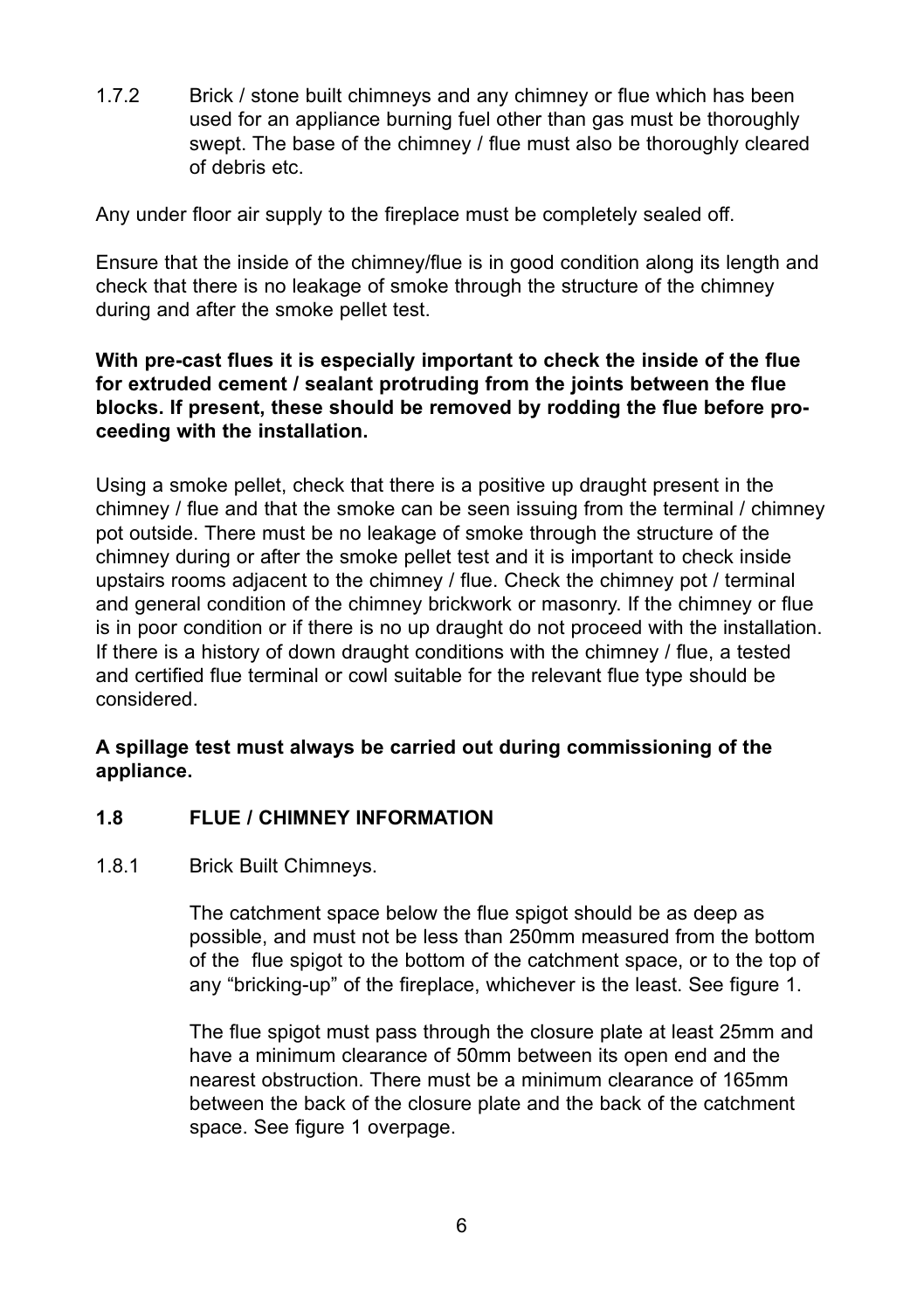1.7.2 Brick / stone built chimneys and any chimney or flue which has been used for an appliance burning fuel other than gas must be thoroughly swept. The base of the chimney / flue must also be thoroughly cleared of debris etc.

Any under floor air supply to the fireplace must be completely sealed off.

Ensure that the inside of the chimney/flue is in good condition along its length and check that there is no leakage of smoke through the structure of the chimney during and after the smoke pellet test.

# **With pre-cast flues it is especially important to check the inside of the flue for extruded cement / sealant protruding from the joints between the flue blocks. If present, these should be removed by rodding the flue before proceeding with the installation.**

Using a smoke pellet, check that there is a positive up draught present in the chimney / flue and that the smoke can be seen issuing from the terminal / chimney pot outside. There must be no leakage of smoke through the structure of the chimney during or after the smoke pellet test and it is important to check inside upstairs rooms adjacent to the chimney / flue. Check the chimney pot / terminal and general condition of the chimney brickwork or masonry. If the chimney or flue is in poor condition or if there is no up draught do not proceed with the installation. If there is a history of down draught conditions with the chimney / flue, a tested and certified flue terminal or cowl suitable for the relevant flue type should be considered.

# **A spillage test must always be carried out during commissioning of the appliance.**

# **1.8 FLUE / CHIMNEY INFORMATION**

#### 1.8.1 Brick Built Chimneys.

The catchment space below the flue spigot should be as deep as possible, and must not be less than 250mm measured from the bottom of the flue spigot to the bottom of the catchment space, or to the top of any "bricking-up" of the fireplace, whichever is the least. See figure 1.

The flue spigot must pass through the closure plate at least 25mm and have a minimum clearance of 50mm between its open end and the nearest obstruction. There must be a minimum clearance of 165mm between the back of the closure plate and the back of the catchment space. See figure 1 overpage.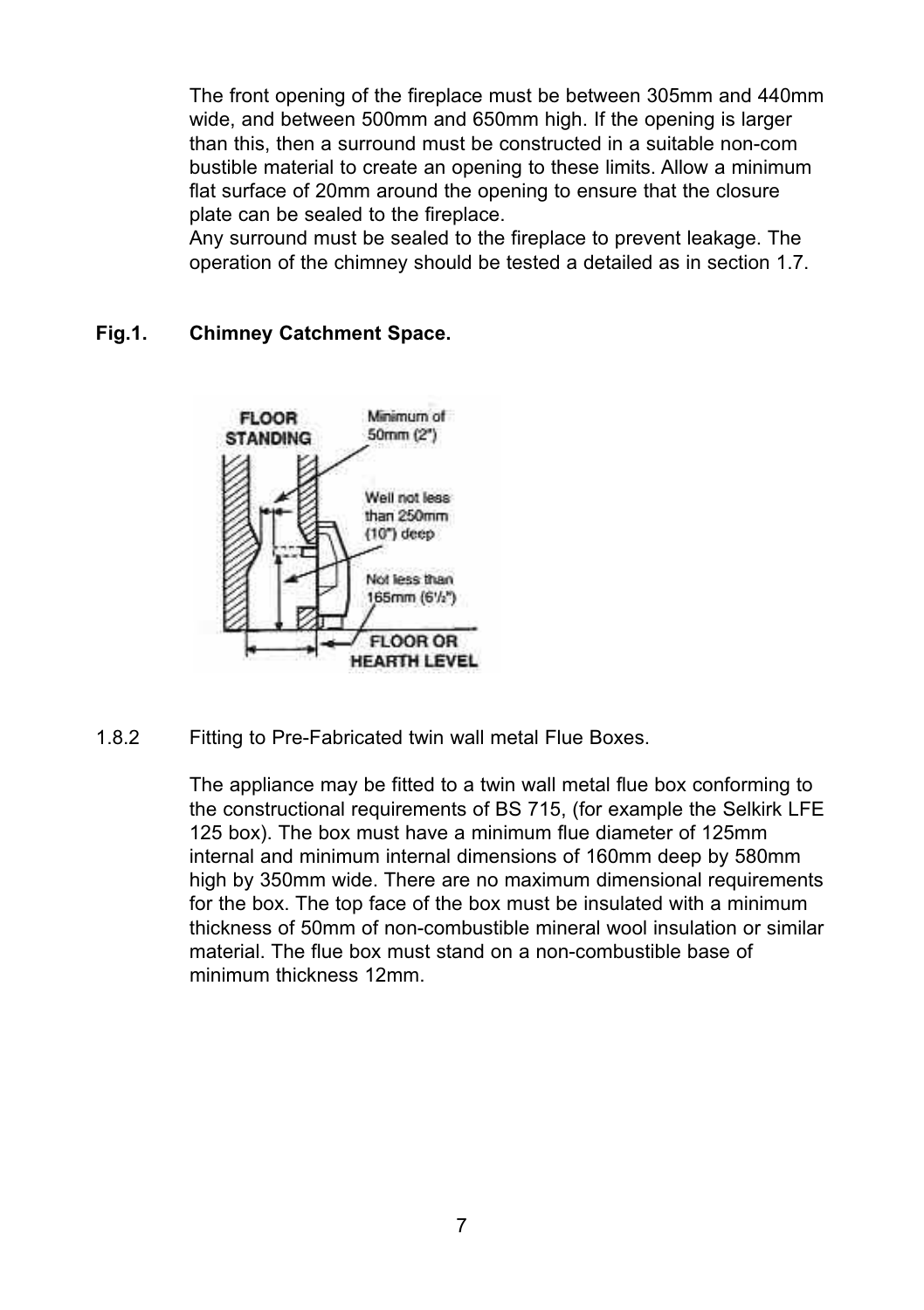The front opening of the fireplace must be between 305mm and 440mm wide, and between 500mm and 650mm high. If the opening is larger than this, then a surround must be constructed in a suitable non-com bustible material to create an opening to these limits. Allow a minimum flat surface of 20mm around the opening to ensure that the closure plate can be sealed to the fireplace.

Any surround must be sealed to the fireplace to prevent leakage. The operation of the chimney should be tested a detailed as in section 1.7.

#### **Fig.1. Chimney Catchment Space.**



1.8.2 Fitting to Pre-Fabricated twin wall metal Flue Boxes.

The appliance may be fitted to a twin wall metal flue box conforming to the constructional requirements of BS 715, (for example the Selkirk LFE 125 box). The box must have a minimum flue diameter of 125mm internal and minimum internal dimensions of 160mm deep by 580mm high by 350mm wide. There are no maximum dimensional requirements for the box. The top face of the box must be insulated with a minimum thickness of 50mm of non-combustible mineral wool insulation or similar material. The flue box must stand on a non-combustible base of minimum thickness 12mm.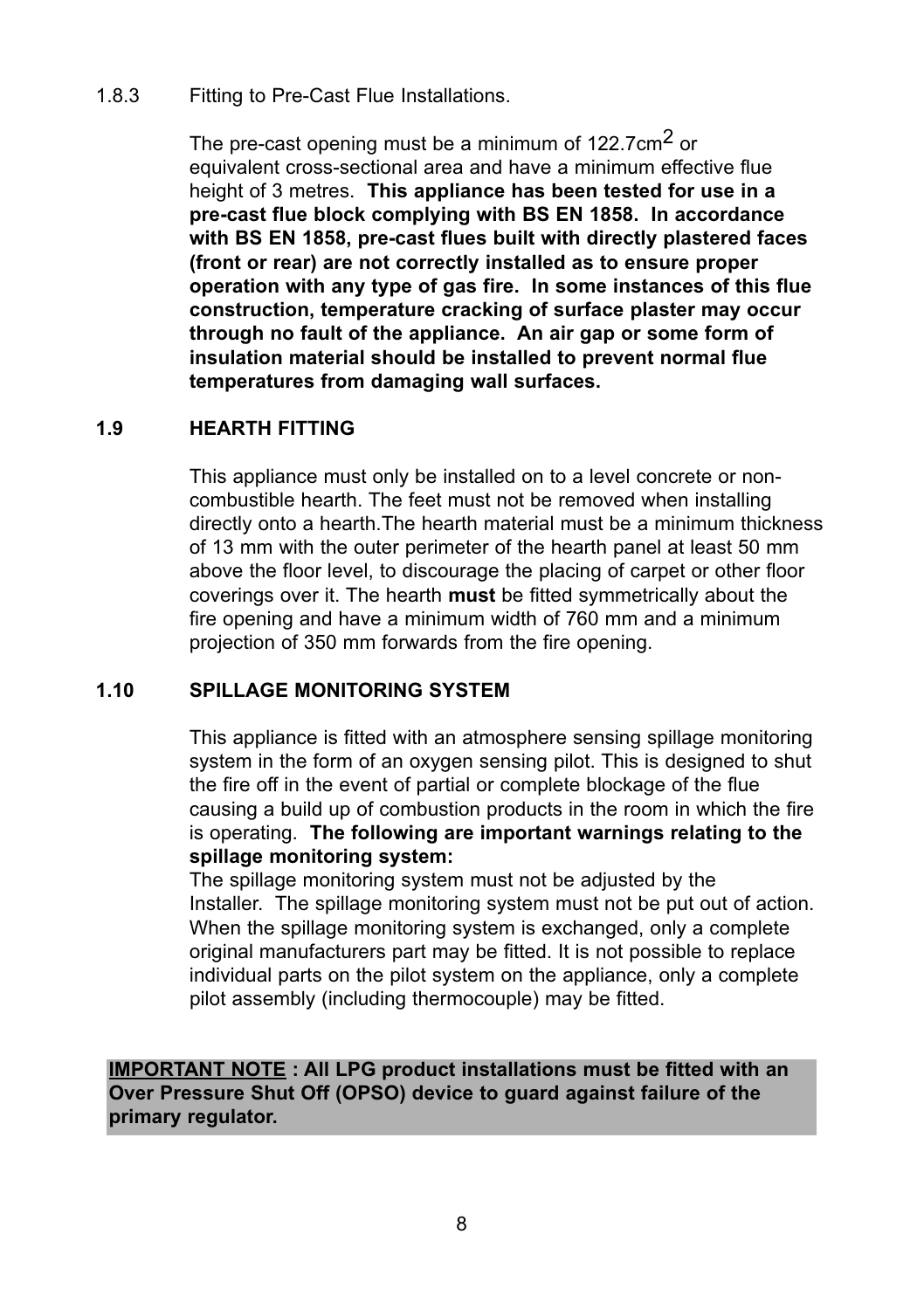#### 1.8.3 Fitting to Pre-Cast Flue Installations.

The pre-cast opening must be a minimum of 122.7cm<sup>2</sup> or equivalent cross-sectional area and have a minimum effective flue height of 3 metres. **This appliance has been tested for use in a pre-cast flue block complying with BS EN 1858. In accordance with BS EN 1858, pre-cast flues built with directly plastered faces (front or rear) are not correctly installed as to ensure proper operation with any type of gas fire. In some instances of this flue construction, temperature cracking of surface plaster may occur through no fault of the appliance. An air gap or some form of insulation material should be installed to prevent normal flue temperatures from damaging wall surfaces.**

# **1.9 HEARTH FITTING**

This appliance must only be installed on to a level concrete or noncombustible hearth. The feet must not be removed when installing directly onto a hearth.The hearth material must be a minimum thickness of 13 mm with the outer perimeter of the hearth panel at least 50 mm above the floor level, to discourage the placing of carpet or other floor coverings over it. The hearth **must** be fitted symmetrically about the fire opening and have a minimum width of 760 mm and a minimum projection of 350 mm forwards from the fire opening.

#### **1.10 SPILLAGE MONITORING SYSTEM**

This appliance is fitted with an atmosphere sensing spillage monitoring system in the form of an oxygen sensing pilot. This is designed to shut the fire off in the event of partial or complete blockage of the flue causing a build up of combustion products in the room in which the fire is operating. **The following are important warnings relating to the spillage monitoring system:** 

The spillage monitoring system must not be adjusted by the Installer. The spillage monitoring system must not be put out of action. When the spillage monitoring system is exchanged, only a complete original manufacturers part may be fitted. It is not possible to replace individual parts on the pilot system on the appliance, only a complete pilot assembly (including thermocouple) may be fitted.

**IMPORTANT NOTE : All LPG product installations must be fitted with an Over Pressure Shut Off (OPSO) device to guard against failure of the primary regulator.**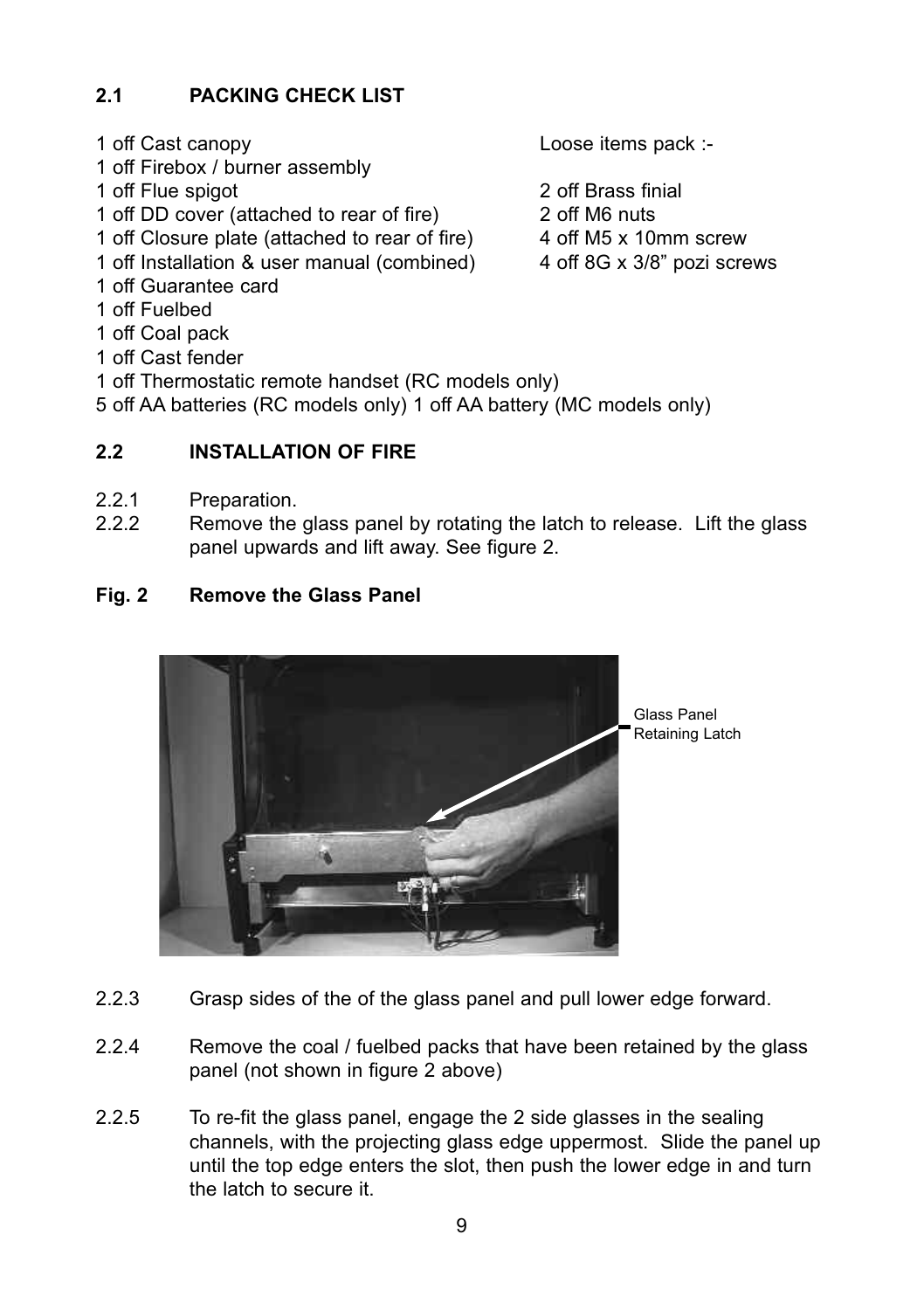# **2.1 PACKING CHECK LIST**

- 
- 1 off Firebox / burner assembly
- 
- 1 off Flue spigot<br>
1 off DD cover (attached to rear of fire)<br>
2 off M6 puts 1 off DD cover (attached to rear of fire)
- 1 off Closure plate (attached to rear of fire) 4 off M5 x 10mm screw<br>1 off Installation & user manual (combined) 4 off 8G x 3/8" pozi screws
- 1 off Installation & user manual (combined)
- 1 off Guarantee card
- 1 off Fuelbed
- 1 off Coal pack
- 1 off Cast fender
- 1 off Thermostatic remote handset (RC models only)
- 5 off AA batteries (RC models only) 1 off AA battery (MC models only)

# 2.2 **INSTALLATION OF FIRE**

- 2.2.1 Preparation.<br>2.2.2 Remove the
- Remove the glass panel by rotating the latch to release. Lift the glass panel upwards and lift away. See figure 2.

# **Fig. 2 Remove the Glass Panel**



- 2.2.3 Grasp sides of the of the glass panel and pull lower edge forward.
- 2.2.4 Remove the coal / fuelbed packs that have been retained by the glass panel (not shown in figure 2 above)
- 2.2.5 To re-fit the glass panel, engage the 2 side glasses in the sealing channels, with the projecting glass edge uppermost. Slide the panel up until the top edge enters the slot, then push the lower edge in and turn the latch to secure it.

1 off Cast canopy Loose items pack :-

- 
- 
- 
-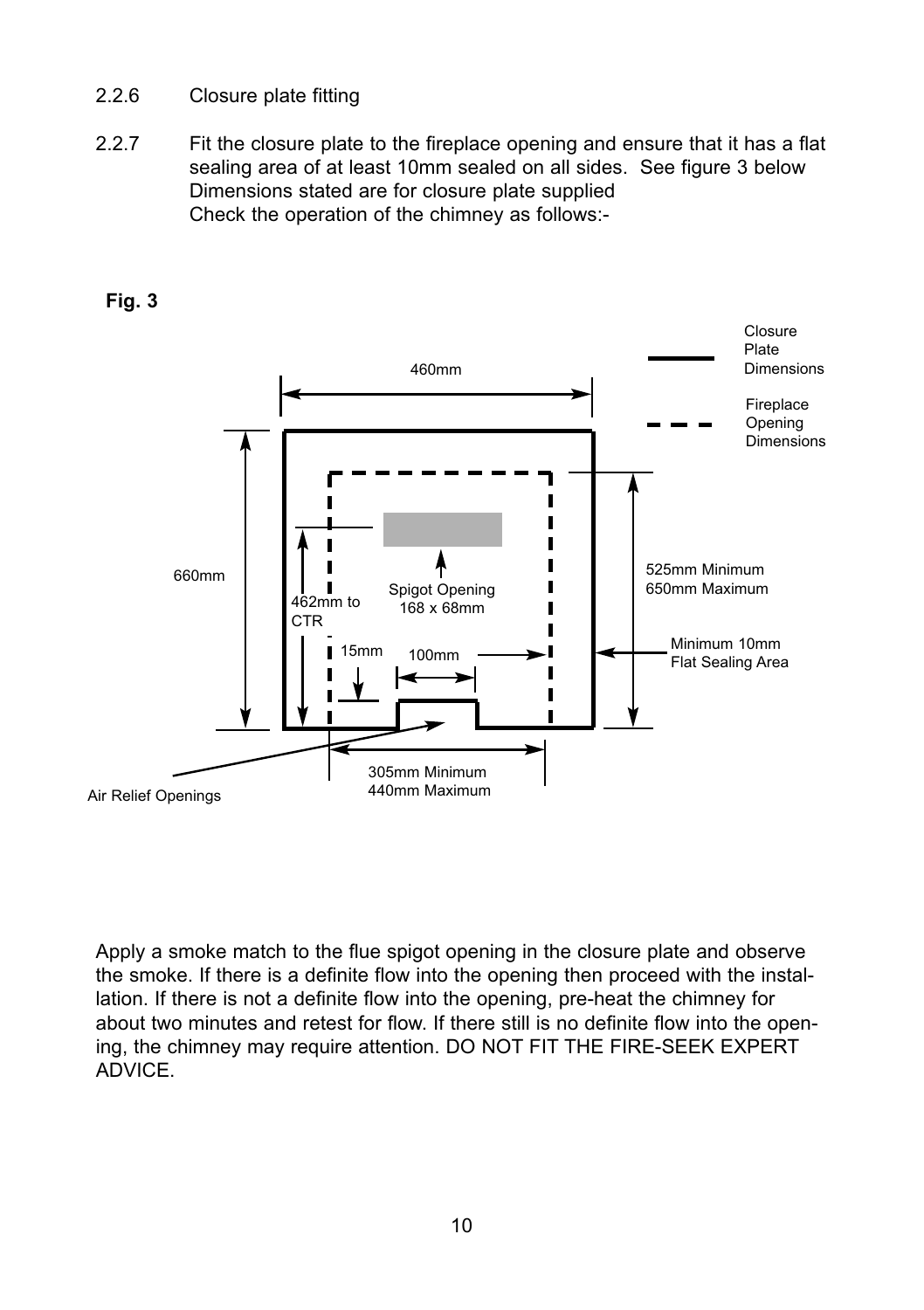# 2.2.6 Closure plate fitting

2.2.7 Fit the closure plate to the fireplace opening and ensure that it has a flat sealing area of at least 10mm sealed on all sides. See figure 3 below Dimensions stated are for closure plate supplied Check the operation of the chimney as follows:-



**Fig. 3**

Apply a smoke match to the flue spigot opening in the closure plate and observe the smoke. If there is a definite flow into the opening then proceed with the installation. If there is not a definite flow into the opening, pre-heat the chimney for about two minutes and retest for flow. If there still is no definite flow into the opening, the chimney may require attention. DO NOT FIT THE FIRE-SEEK EXPERT **ADVICE**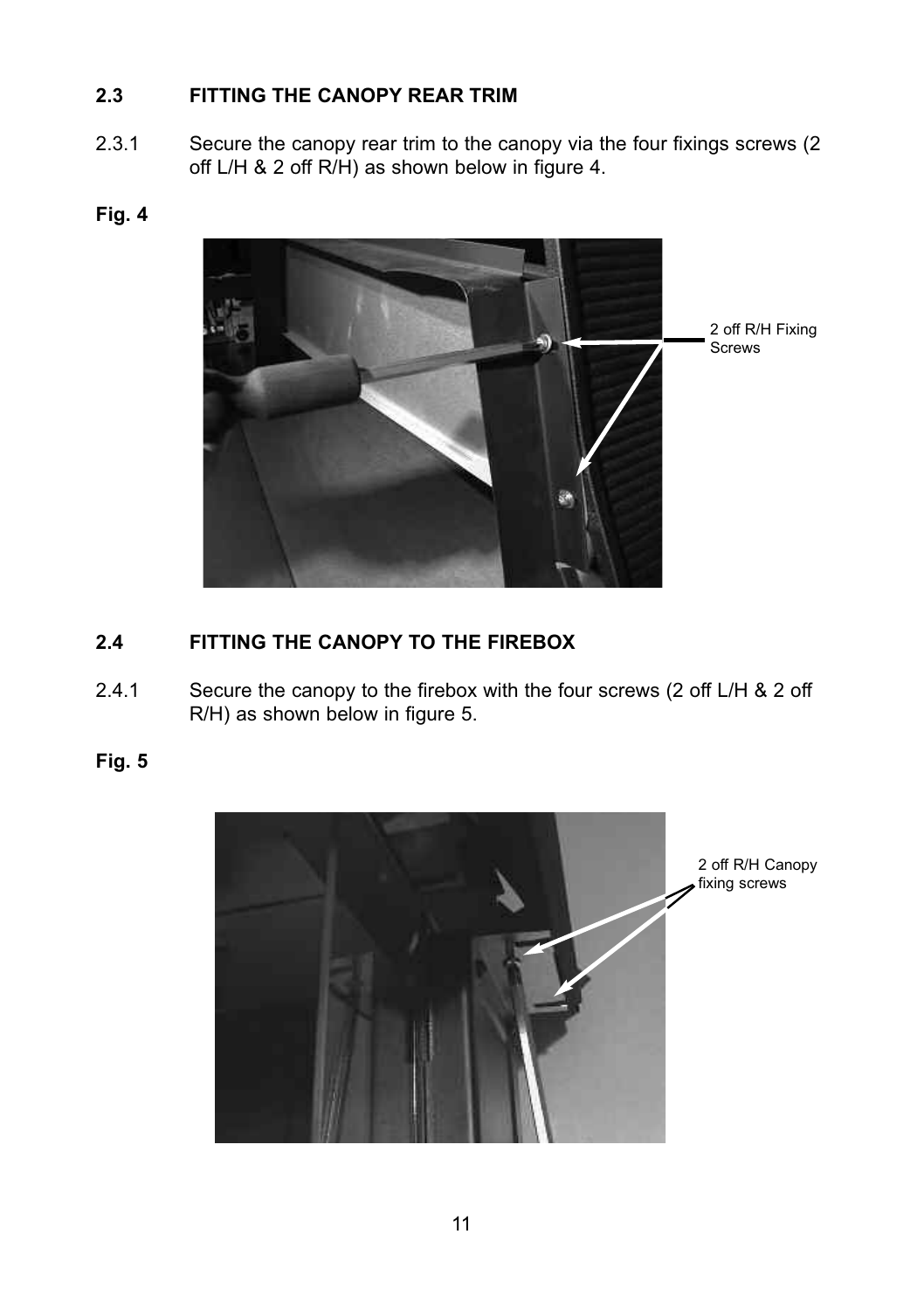# **2.3 FITTING THE CANOPY REAR TRIM**

2.3.1 Secure the canopy rear trim to the canopy via the four fixings screws (2 off L/H & 2 off R/H) as shown below in figure 4.

# **Fig. 4**



# **2.4 FITTING THE CANOPY TO THE FIREBOX**

2.4.1 Secure the canopy to the firebox with the four screws (2 off L/H & 2 off R/H) as shown below in figure 5.

**Fig. 5**



2 off R/H Canopy fixing screws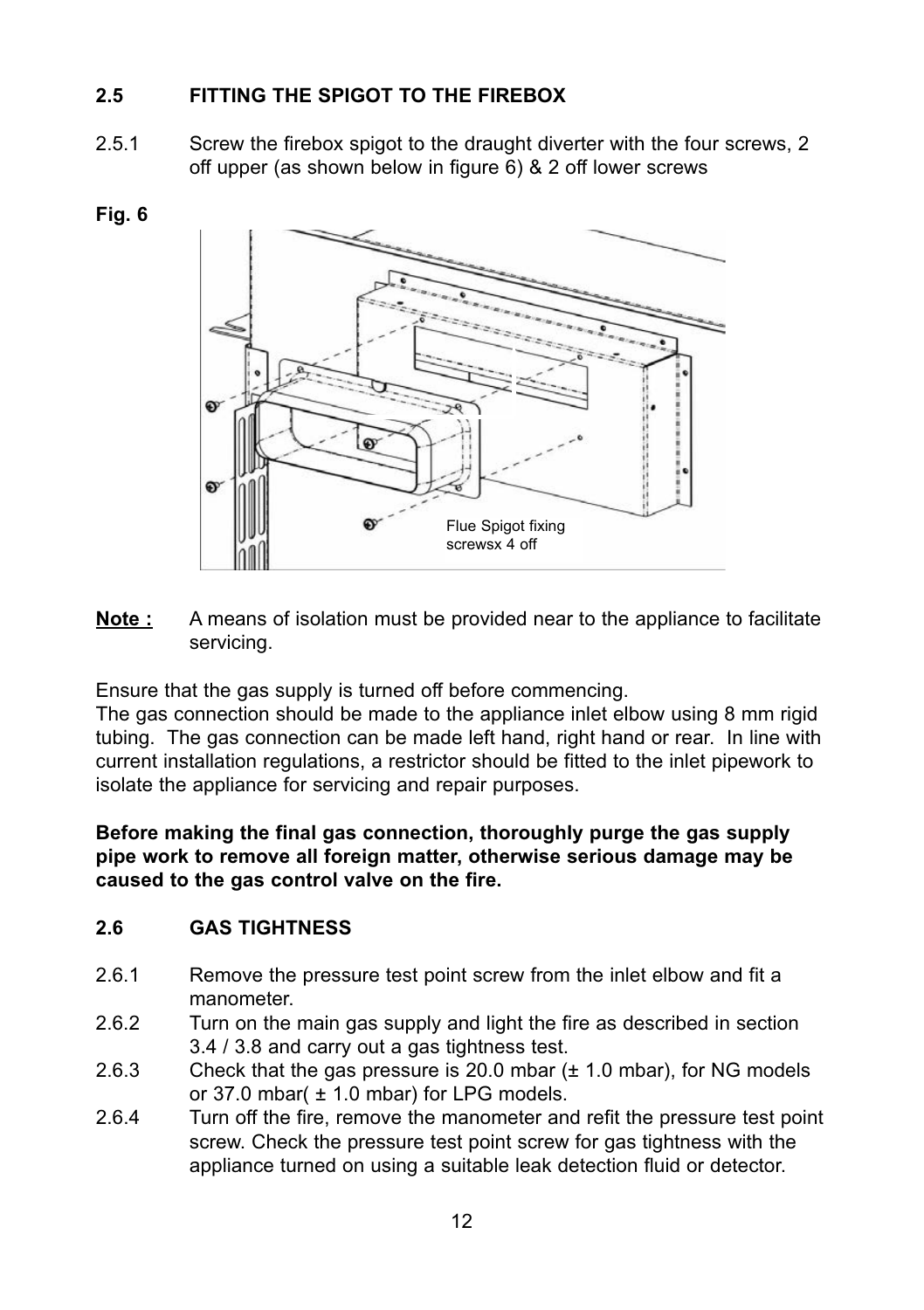# **2.5 FITTING THE SPIGOT TO THE FIREBOX**

2.5.1 Screw the firebox spigot to the draught diverter with the four screws, 2 off upper (as shown below in figure 6) & 2 off lower screws





**Note :** A means of isolation must be provided near to the appliance to facilitate servicing.

Ensure that the gas supply is turned off before commencing.

The gas connection should be made to the appliance inlet elbow using 8 mm rigid tubing. The gas connection can be made left hand, right hand or rear. In line with current installation regulations, a restrictor should be fitted to the inlet pipework to isolate the appliance for servicing and repair purposes.

**Before making the final gas connection, thoroughly purge the gas supply pipe work to remove all foreign matter, otherwise serious damage may be caused to the gas control valve on the fire.**

# **2.6 GAS TIGHTNESS**

- 2.6.1 Remove the pressure test point screw from the inlet elbow and fit a manometer.
- 2.6.2 Turn on the main gas supply and light the fire as described in section 3.4 / 3.8 and carry out a gas tightness test.
- 2.6.3 Check that the gas pressure is 20.0 mbar  $(\pm 1.0$  mbar), for NG models or 37.0 mbar( $\pm$  1.0 mbar) for LPG models.
- 2.6.4 Turn off the fire, remove the manometer and refit the pressure test point screw. Check the pressure test point screw for gas tightness with the appliance turned on using a suitable leak detection fluid or detector.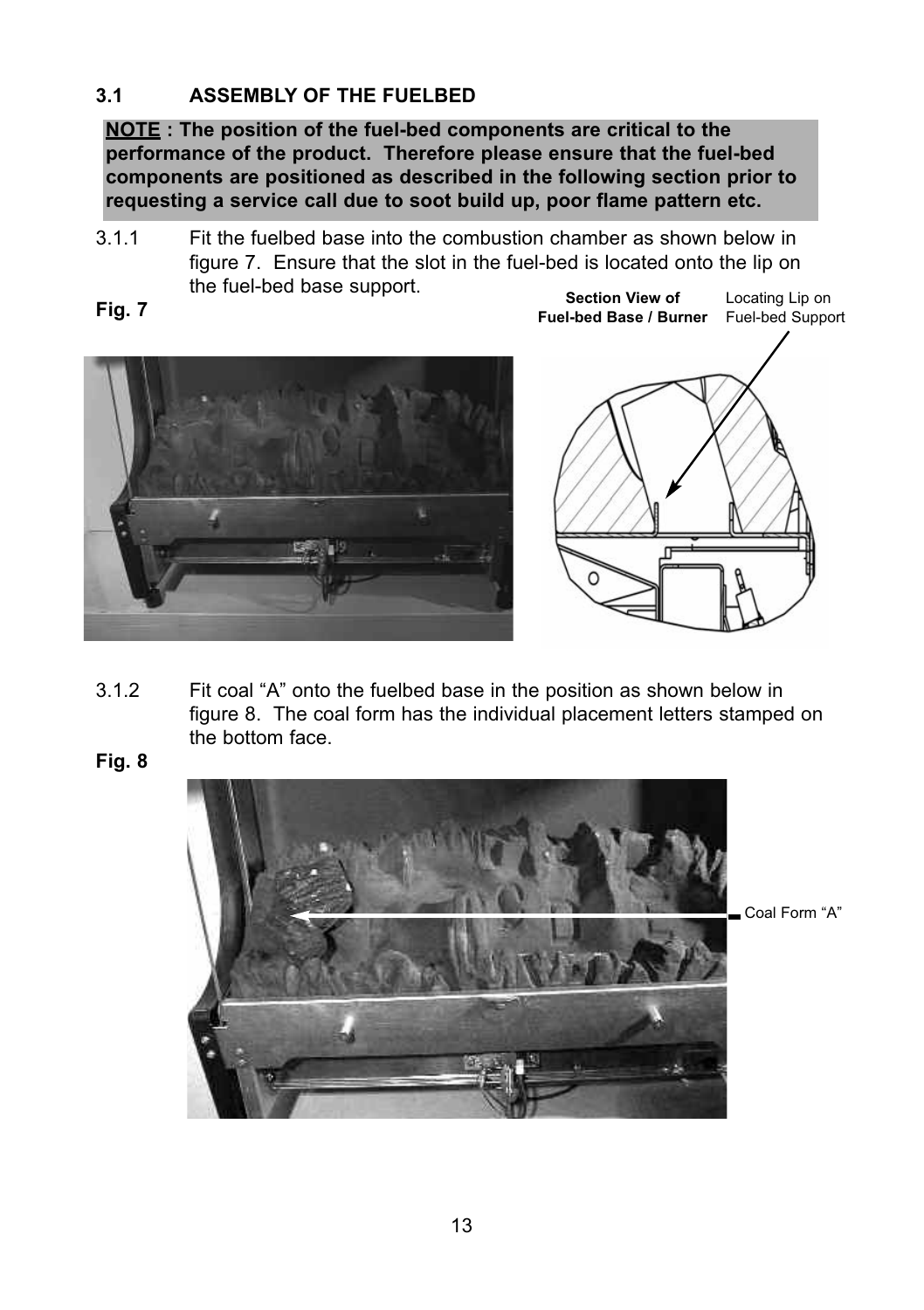# **3.1 ASSEMBLY OF THE FUELBED**

**NOTE : The position of the fuel-bed components are critical to the performance of the product. Therefore please ensure that the fuel-bed components are positioned as described in the following section prior to requesting a service call due to soot build up, poor flame pattern etc.**

3.1.1 Fit the fuelbed base into the combustion chamber as shown below in figure 7. Ensure that the slot in the fuel-bed is located onto the lip on the fuel-bed base support.









3.1.2 Fit coal "A" onto the fuelbed base in the position as shown below in figure 8. The coal form has the individual placement letters stamped on the bottom face.

**Fig. 8**

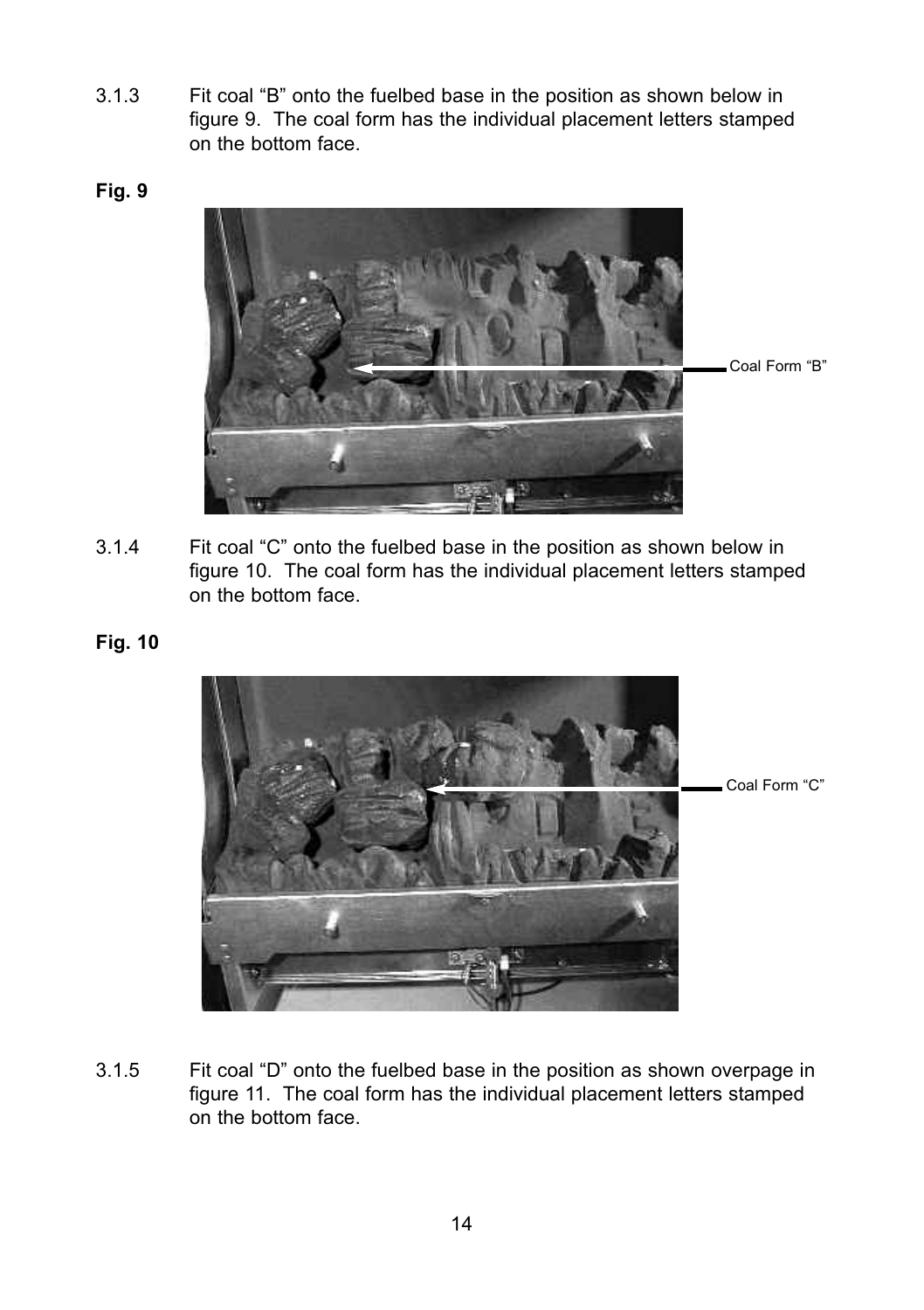- 3.1.3 Fit coal "B" onto the fuelbed base in the position as shown below in figure 9. The coal form has the individual placement letters stamped on the bottom face.
- **Fig. 9**



3.1.4 Fit coal "C" onto the fuelbed base in the position as shown below in figure 10. The coal form has the individual placement letters stamped on the bottom face.

# **Fig. 10**



3.1.5 Fit coal "D" onto the fuelbed base in the position as shown overpage in figure 11. The coal form has the individual placement letters stamped on the bottom face.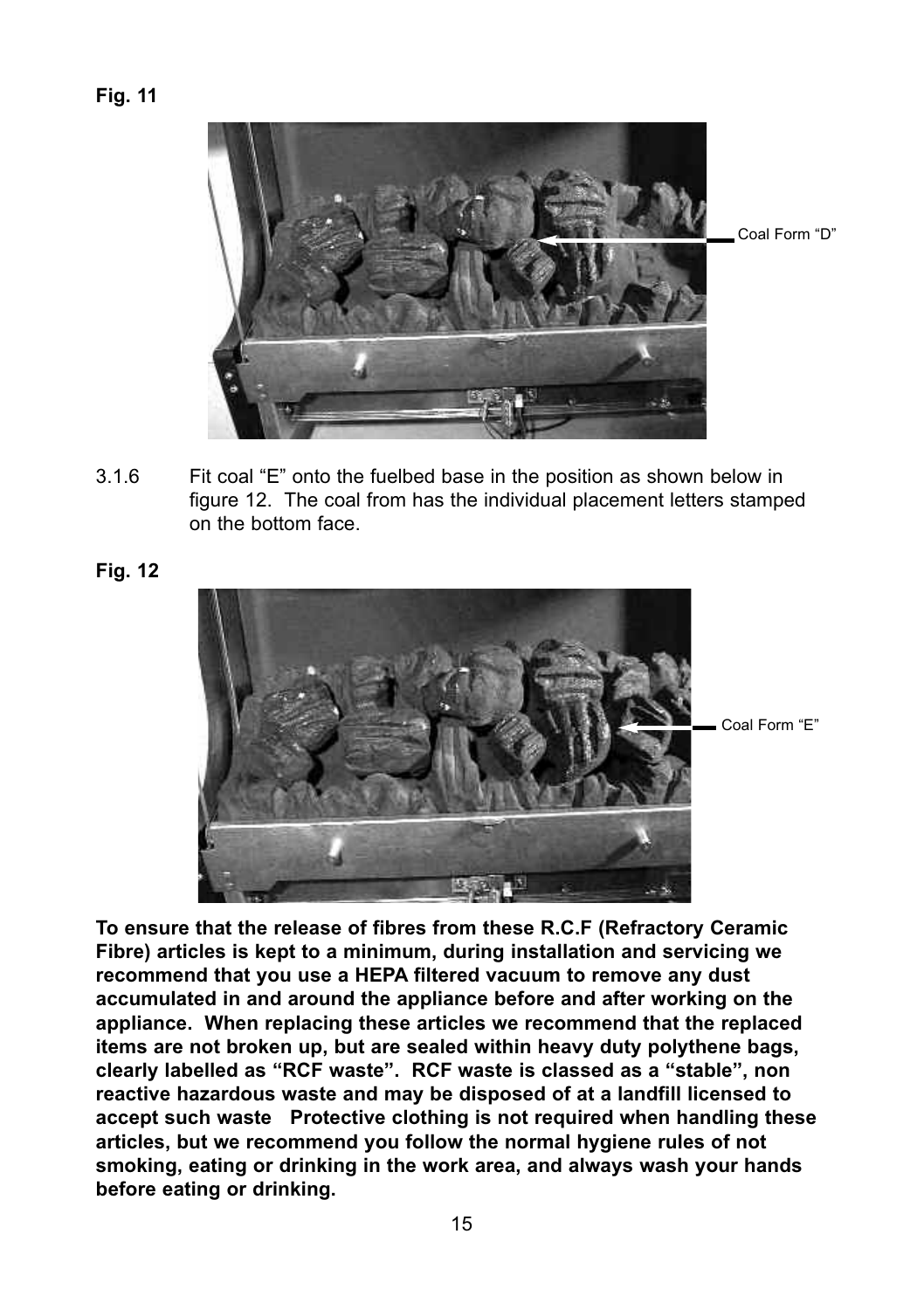#### **Fig. 11**

- 3.1.6 Fit coal "E" onto the fuelbed base in the position as shown below in figure 12. The coal from has the individual placement letters stamped on the bottom face.
- **Fig. 12**

**To ensure that the release of fibres from these R.C.F (Refractory Ceramic Fibre) articles is kept to a minimum, during installation and servicing we recommend that you use a HEPA filtered vacuum to remove any dust accumulated in and around the appliance before and after working on the appliance. When replacing these articles we recommend that the replaced items are not broken up, but are sealed within heavy duty polythene bags, clearly labelled as "RCF waste". RCF waste is classed as a "stable", non reactive hazardous waste and may be disposed of at a landfill licensed to accept such waste Protective clothing is not required when handling these articles, but we recommend you follow the normal hygiene rules of not smoking, eating or drinking in the work area, and always wash your hands before eating or drinking.**



Coal Form "E"

Coal Form "D"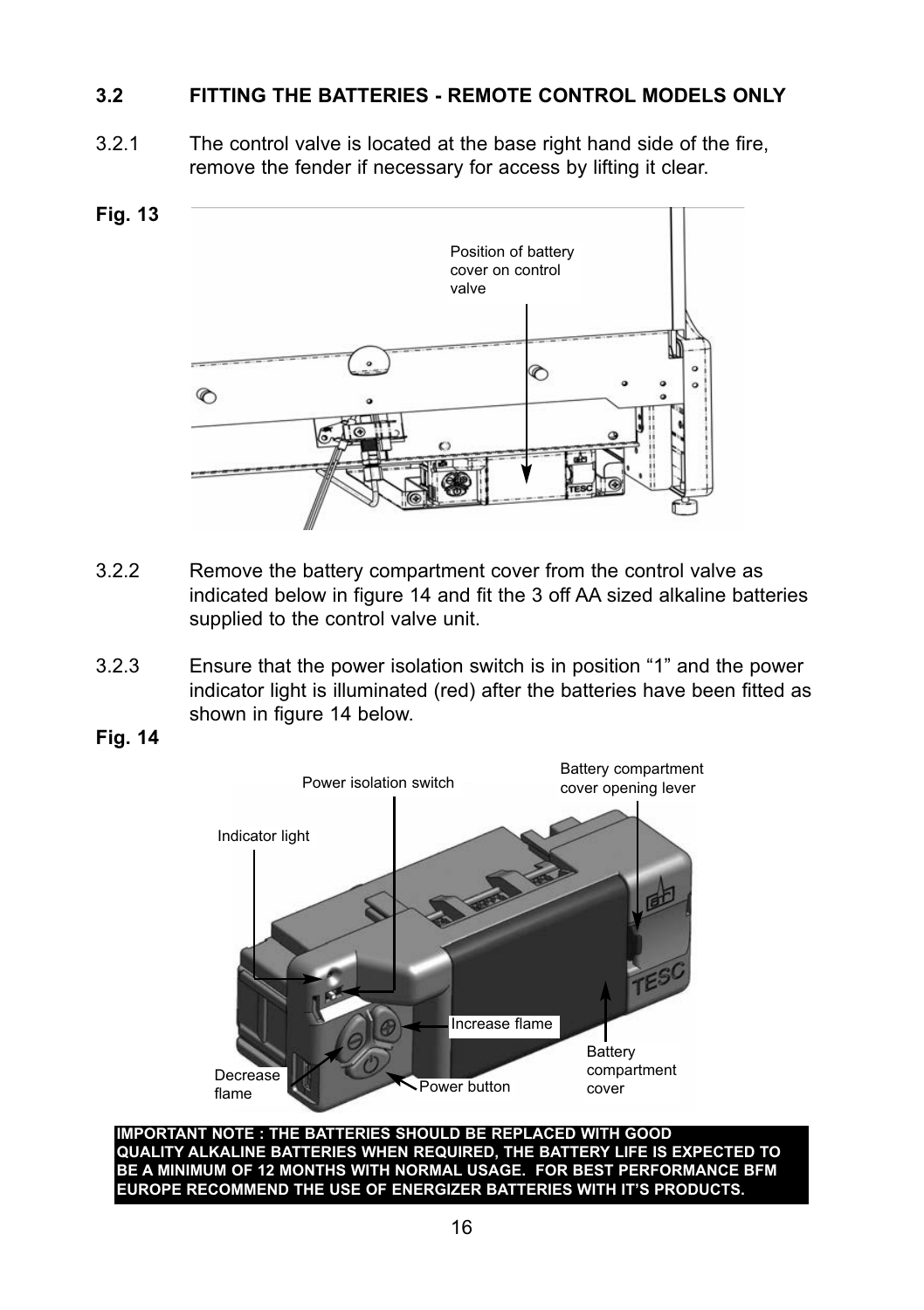# **3.2 FITTING THE BATTERIES - REMOTE CONTROL MODELS ONLY**

3.2.1 The control valve is located at the base right hand side of the fire, remove the fender if necessary for access by lifting it clear.



- 3.2.2 Remove the battery compartment cover from the control valve as indicated below in figure 14 and fit the 3 off AA sized alkaline batteries supplied to the control valve unit.
- 3.2.3 Ensure that the power isolation switch is in position "1" and the power indicator light is illuminated (red) after the batteries have been fitted as shown in figure 14 below.
- **Fig. 14**



**IMPORTANT NOTE : THE BATTERIES SHOULD BE REPLACED WITH GOOD QUALITY ALKALINE BATTERIES WHEN REQUIRED, THE BATTERY LIFE IS EXPECTED TO BE A MINIMUM OF 12 MONTHS WITH NORMAL USAGE. FOR BEST PERFORMANCE BFM EUROPE RECOMMEND THE USE OF ENERGIZER BATTERIES WITH IT'S PRODUCTS.**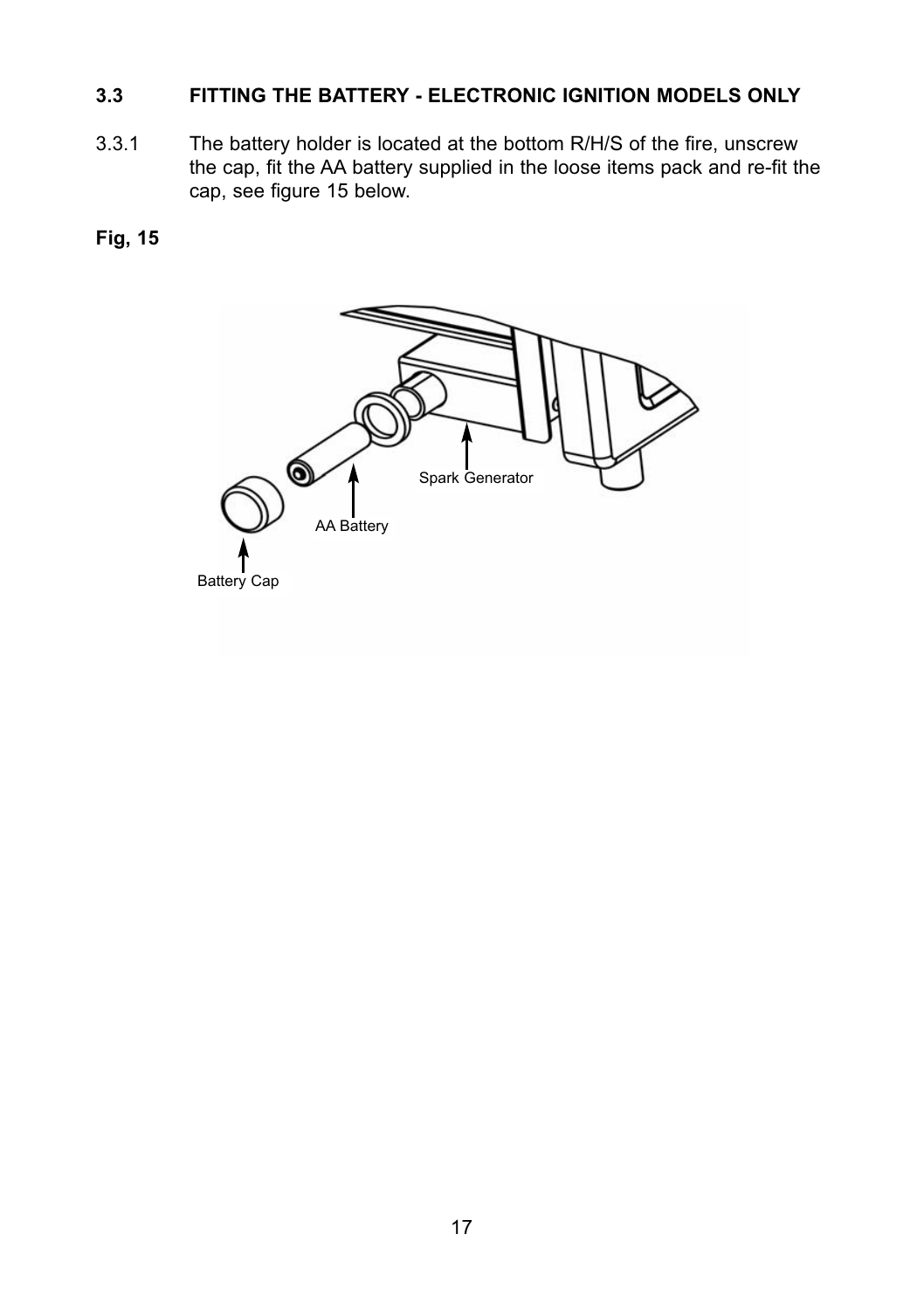# **3.3 FITTING THE BATTERY - ELECTRONIC IGNITION MODELS ONLY**

3.3.1 The battery holder is located at the bottom R/H/S of the fire, unscrew the cap, fit the AA battery supplied in the loose items pack and re-fit the cap, see figure 15 below.

# **Fig, 15**

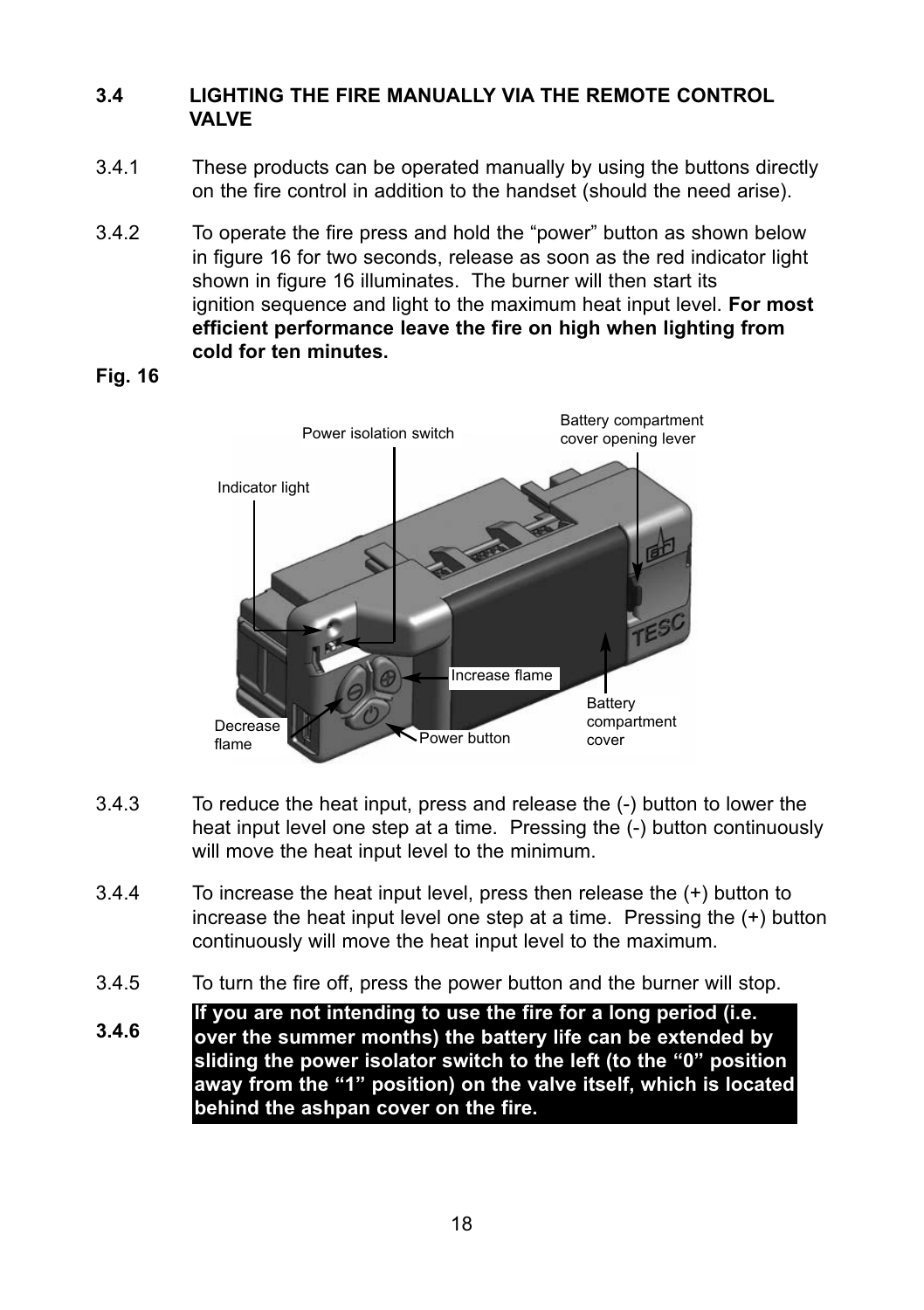# **3.4 LIGHTING THE FIRE MANUALLY VIA THE REMOTE CONTROL VALVE**

- 3.4.1 These products can be operated manually by using the buttons directly on the fire control in addition to the handset (should the need arise).
- 3.4.2 To operate the fire press and hold the "power" button as shown below in figure 16 for two seconds, release as soon as the red indicator light shown in figure 16 illuminates. The burner will then start its ignition sequence and light to the maximum heat input level. **For most efficient performance leave the fire on high when lighting from cold for ten minutes.**



**Fig. 16**

- 3.4.3 To reduce the heat input, press and release the (-) button to lower the heat input level one step at a time. Pressing the (-) button continuously will move the heat input level to the minimum.
- 3.4.4 To increase the heat input level, press then release the (+) button to increase the heat input level one step at a time. Pressing the (+) button continuously will move the heat input level to the maximum.
- 3.4.5 To turn the fire off, press the power button and the burner will stop.
- **If you are not intending to use the fire for a long period (i.e.**
- **3.4.6 over the summer months) the battery life can be extended by sliding the power isolator switch to the left (to the "0" position away from the "1" position) on the valve itself, which is located behind the ashpan cover on the fire.**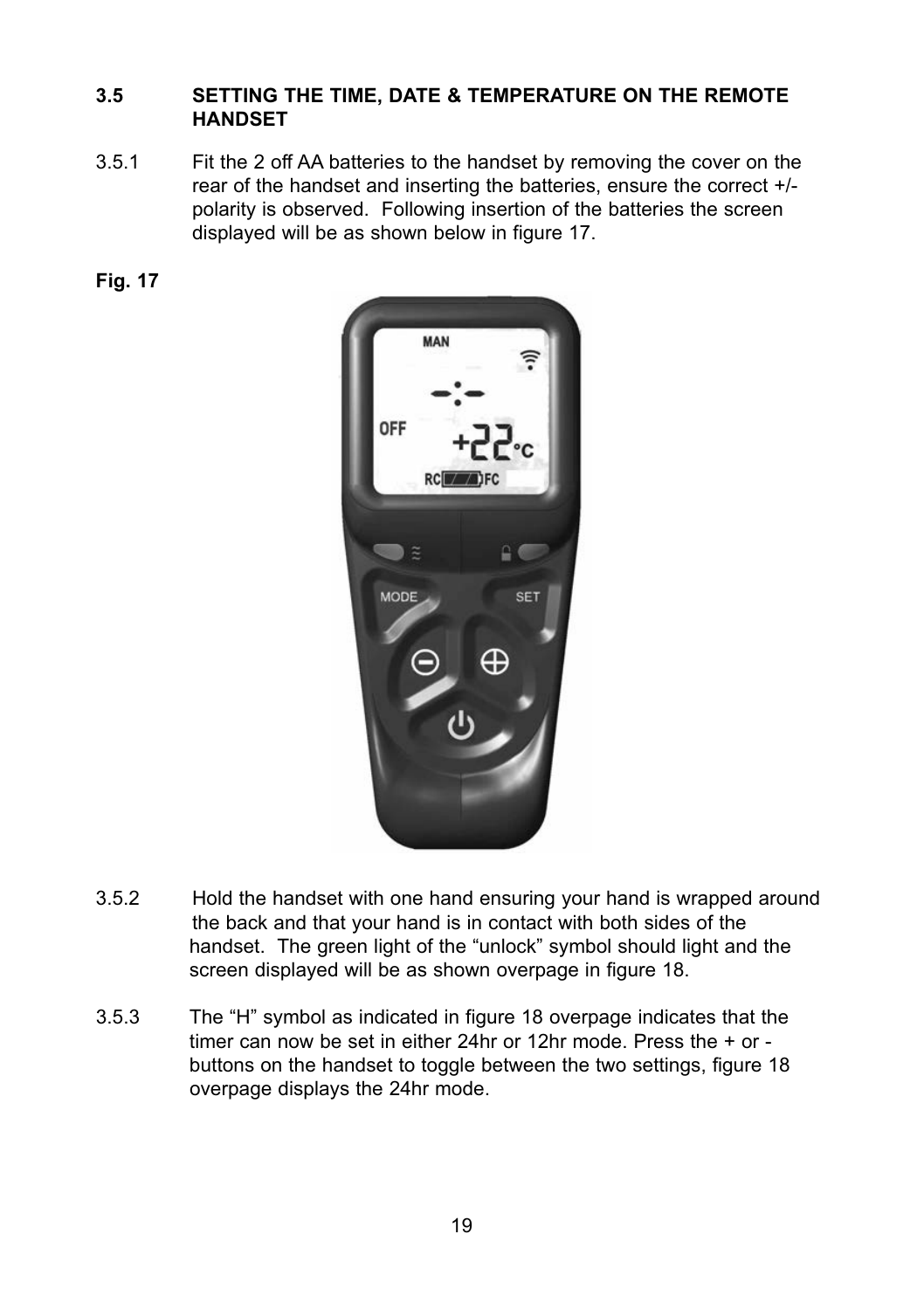# **3.5 SETTING THE TIME, DATE & TEMPERATURE ON THE REMOTE HANDSET**

3.5.1 Fit the 2 off AA batteries to the handset by removing the cover on the rear of the handset and inserting the batteries, ensure the correct +/ polarity is observed. Following insertion of the batteries the screen displayed will be as shown below in figure 17.



| <b>MAN</b><br><b>OFF</b> |                                |
|--------------------------|--------------------------------|
| $\tilde{z}$              | <b>55-</b><br>RC <b>WWA</b> FC |
| <b>MODE</b>              | <b>SET</b><br>⊕                |
|                          | ധ                              |

- 3.5.2 Hold the handset with one hand ensuring your hand is wrapped around the back and that your hand is in contact with both sides of the handset. The green light of the "unlock" symbol should light and the screen displayed will be as shown overpage in figure 18.
- 3.5.3 The "H" symbol as indicated in figure 18 overpage indicates that the timer can now be set in either 24hr or 12hr mode. Press the + or buttons on the handset to toggle between the two settings, figure 18 overpage displays the 24hr mode.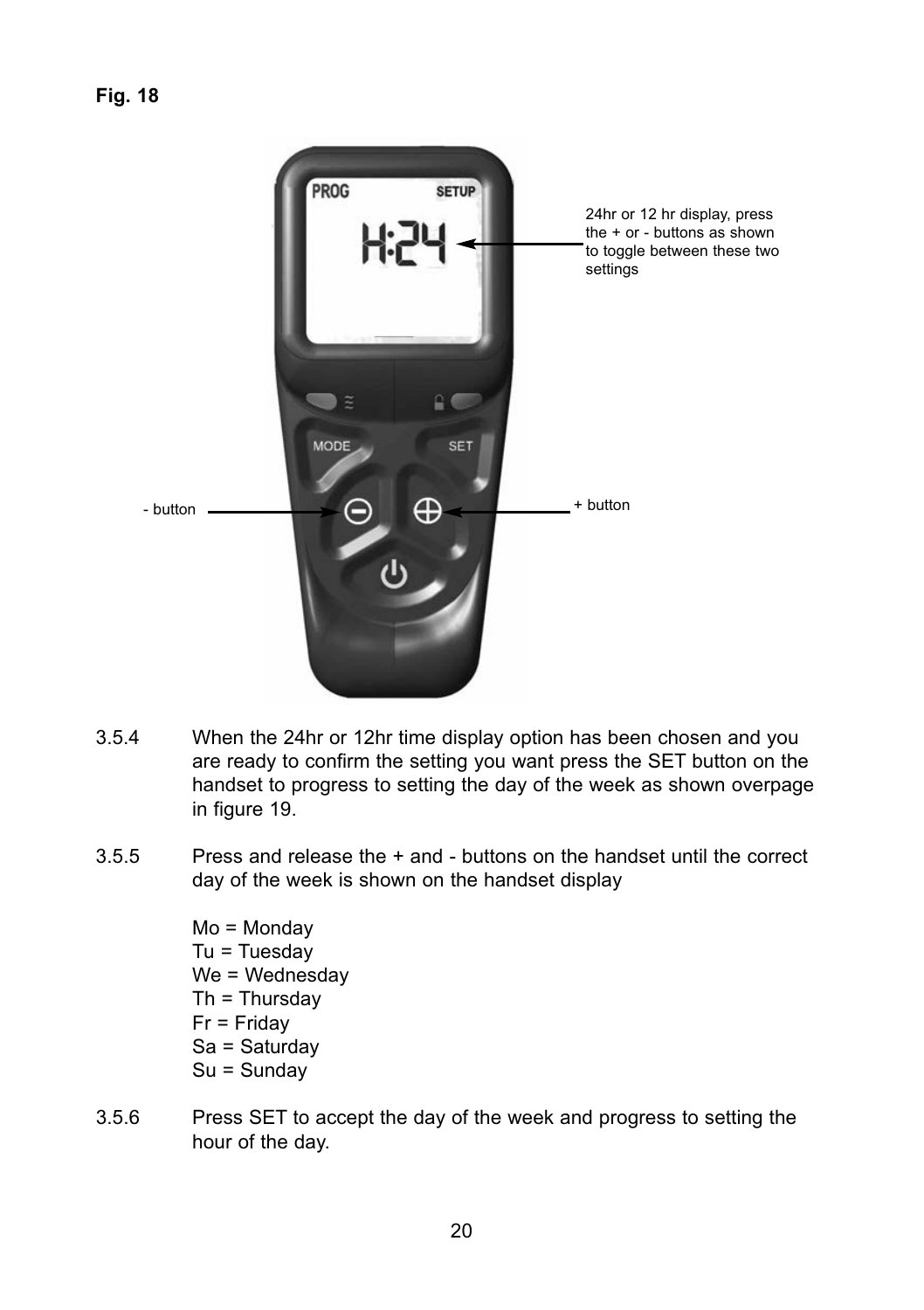

- 3.5.4 When the 24hr or 12hr time display option has been chosen and you are ready to confirm the setting you want press the SET button on the handset to progress to setting the day of the week as shown overpage in figure 19.
- 3.5.5 Press and release the + and buttons on the handset until the correct day of the week is shown on the handset display

Mo = Monday  $Tu = Tu$ esday We = Wednesdav Th = Thursday Fr = Friday Sa = Saturday Su = Sunday

3.5.6 Press SET to accept the day of the week and progress to setting the hour of the day.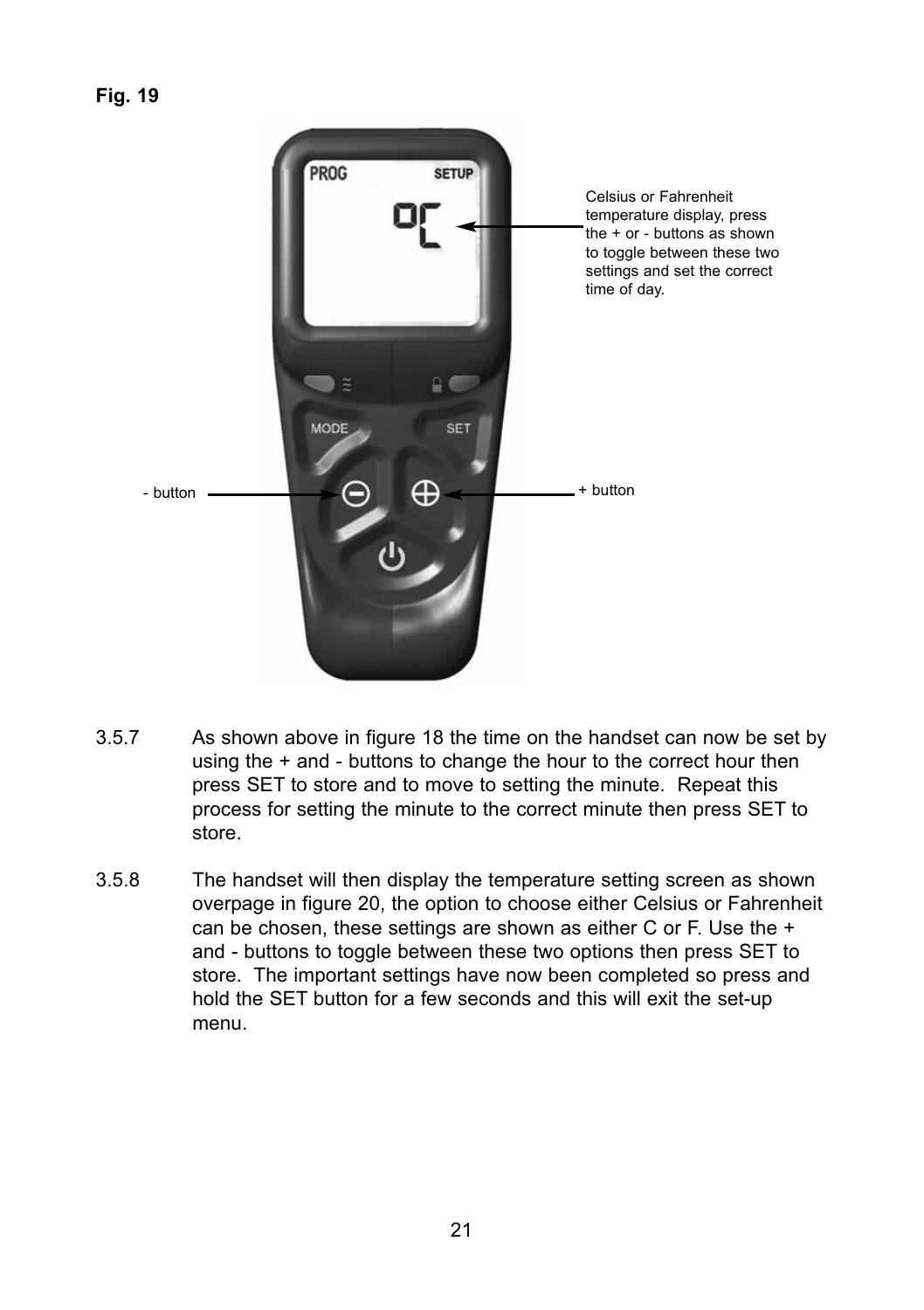

- 3.5.7 As shown above in figure 18 the time on the handset can now be set by using the + and - buttons to change the hour to the correct hour then press SET to store and to move to setting the minute. Repeat this process for setting the minute to the correct minute then press SET to store.
- 3.5.8 The handset will then display the temperature setting screen as shown overpage in figure 20, the option to choose either Celsius or Fahrenheit can be chosen, these settings are shown as either C or F. Use the + and - buttons to toggle between these two options then press SET to store. The important settings have now been completed so press and hold the SET button for a few seconds and this will exit the set-up menu.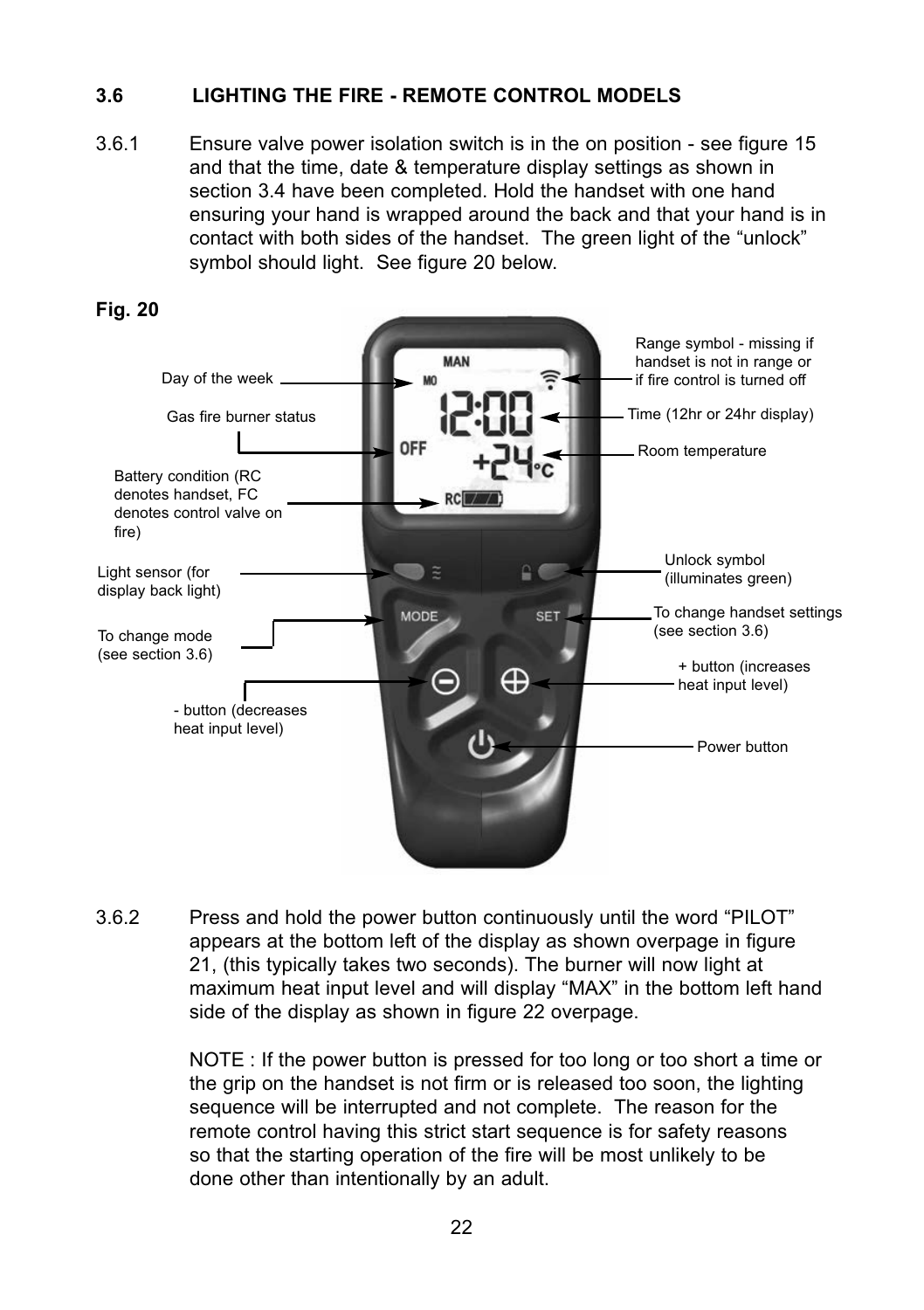# **3.6 LIGHTING THE FIRE - REMOTE CONTROL MODELS**

3.6.1 Ensure valve power isolation switch is in the on position - see figure 15 and that the time, date & temperature display settings as shown in section 3.4 have been completed. Hold the handset with one hand ensuring your hand is wrapped around the back and that your hand is in contact with both sides of the handset. The green light of the "unlock" symbol should light. See figure 20 below.



3.6.2 Press and hold the power button continuously until the word "PILOT" appears at the bottom left of the display as shown overpage in figure 21, (this typically takes two seconds). The burner will now light at maximum heat input level and will display "MAX" in the bottom left hand side of the display as shown in figure 22 overpage.

> NOTE : If the power button is pressed for too long or too short a time or the grip on the handset is not firm or is released too soon, the lighting sequence will be interrupted and not complete. The reason for the remote control having this strict start sequence is for safety reasons so that the starting operation of the fire will be most unlikely to be done other than intentionally by an adult.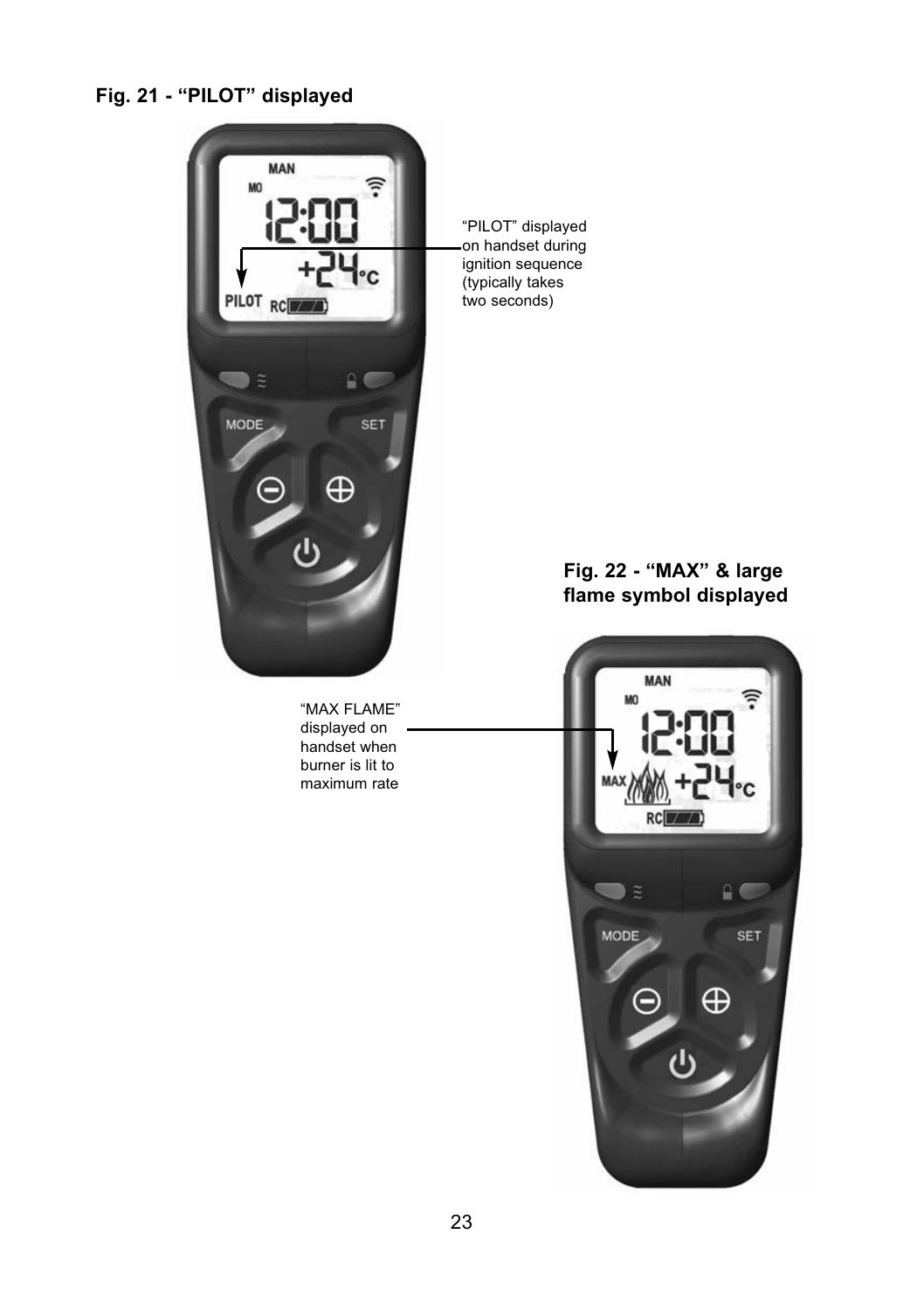# **Fig. 21 - "PILOT" displayed**



"MAX FLAME" displayed on handset when burner is lit to maximum rate

"PILOT" displayed on handset during ignition sequence (typically takes two seconds)

# **Fig. 22 - "MAX" & large flame symbol displayed**

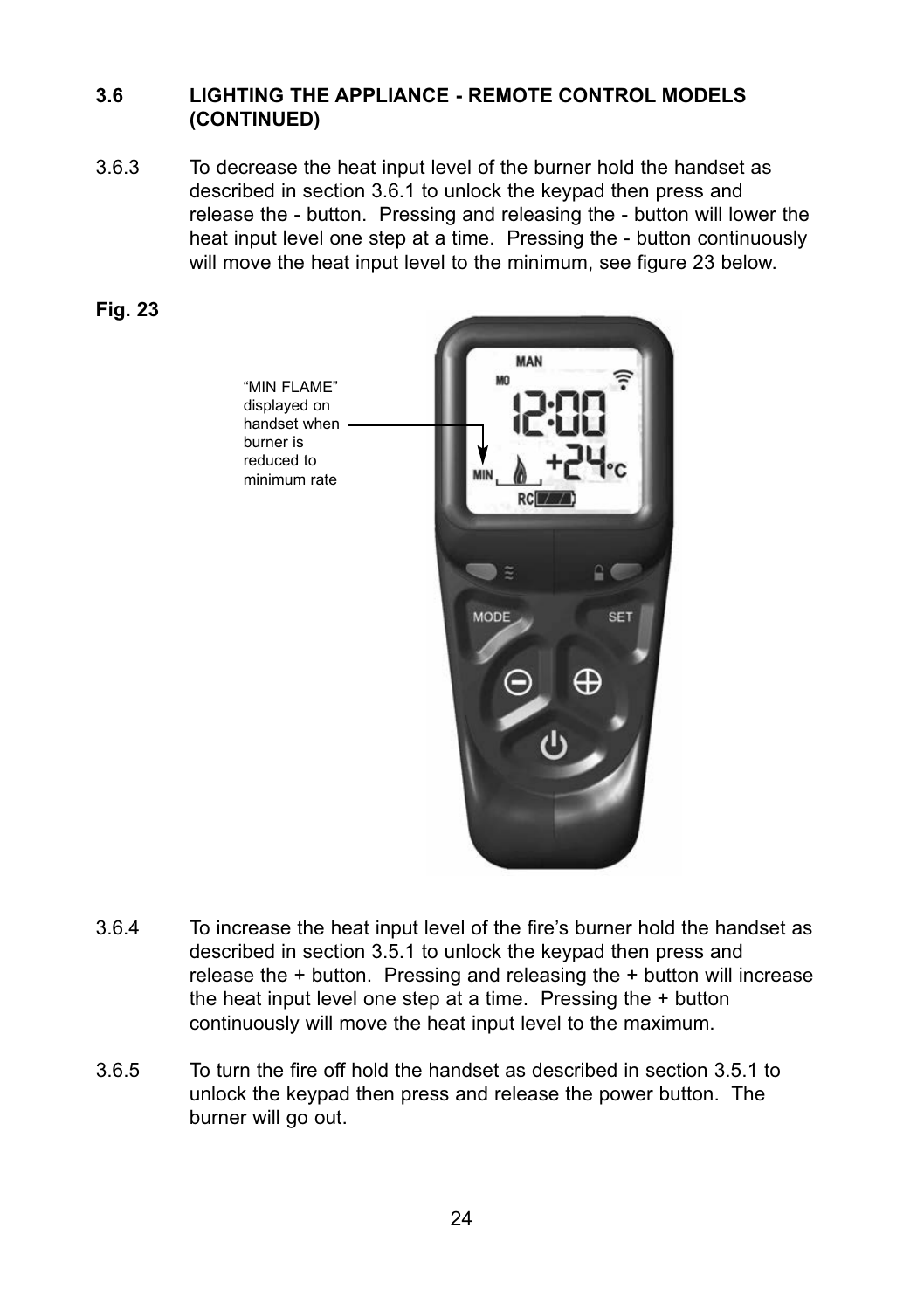# **3.6 LIGHTING THE APPLIANCE - REMOTE CONTROL MODELS  (CONTINUED)**

3.6.3 To decrease the heat input level of the burner hold the handset as described in section 3.6.1 to unlock the keypad then press and release the - button. Pressing and releasing the - button will lower the heat input level one step at a time. Pressing the - button continuously will move the heat input level to the minimum, see figure 23 below.





- 3.6.4 To increase the heat input level of the fire's burner hold the handset as described in section 3.5.1 to unlock the keypad then press and release the + button. Pressing and releasing the + button will increase the heat input level one step at a time. Pressing the + button continuously will move the heat input level to the maximum.
- 3.6.5 To turn the fire off hold the handset as described in section 3.5.1 to unlock the keypad then press and release the power button. The burner will go out.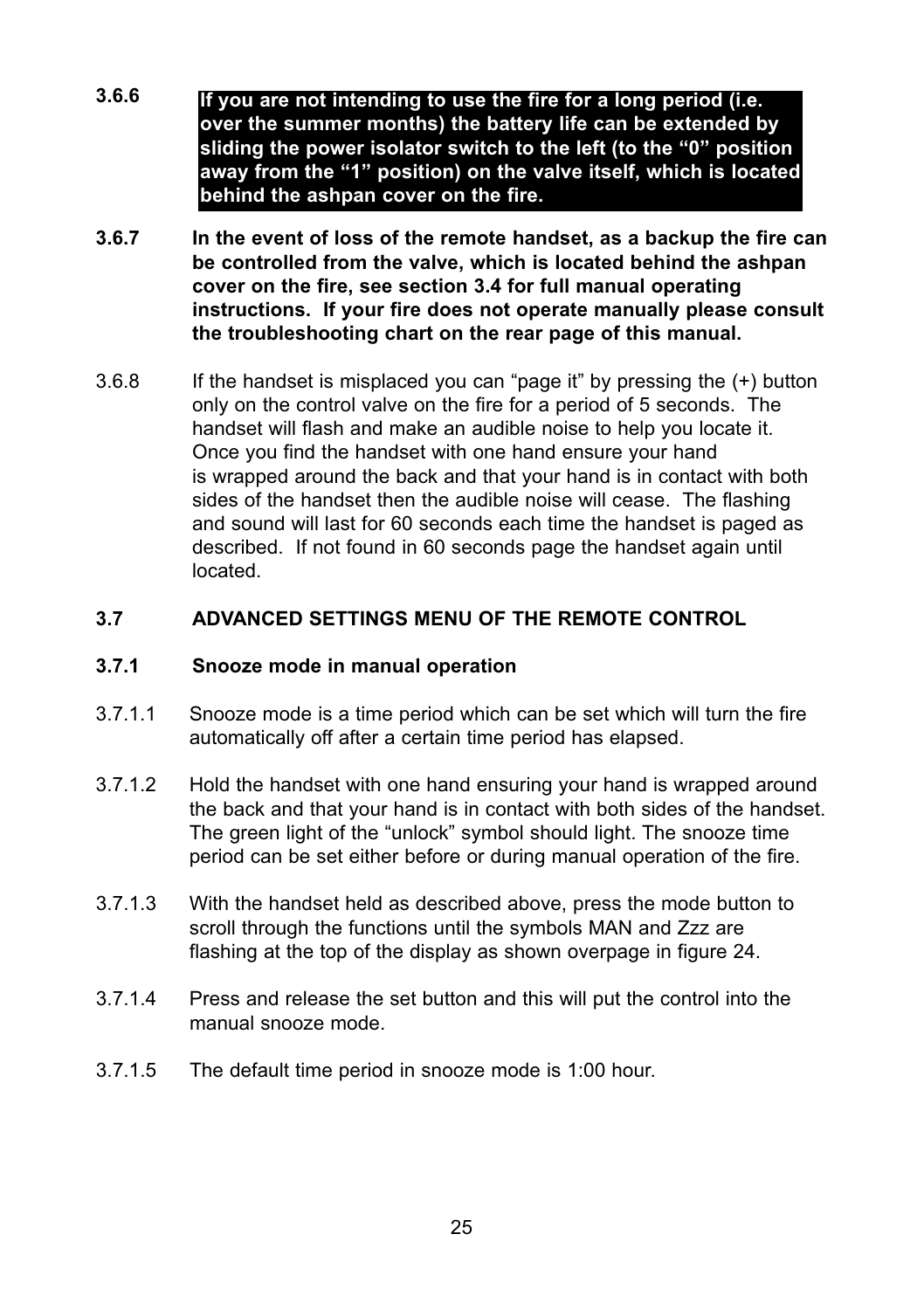- **3.6.6 If you are not intending to use the fire for a long period (i.e. over the summer months) the battery life can be extended by sliding the power isolator switch to the left (to the "0" position away from the "1" position) on the valve itself, which is located behind the ashpan cover on the fire.**
- **3.6.7 In the event of loss of the remote handset, as a backup the fire can be controlled from the valve, which is located behind the ashpan cover on the fire, see section 3.4 for full manual operating instructions. If your fire does not operate manually please consult the troubleshooting chart on the rear page of this manual.**
- 3.6.8 If the handset is misplaced you can "page it" by pressing the (+) button only on the control valve on the fire for a period of 5 seconds. The handset will flash and make an audible noise to help you locate it. Once you find the handset with one hand ensure your hand is wrapped around the back and that your hand is in contact with both sides of the handset then the audible noise will cease. The flashing and sound will last for 60 seconds each time the handset is paged as described. If not found in 60 seconds page the handset again until located.

# **3.7 ADVANCED SETTINGS MENU OF THE REMOTE CONTROL**

### **3.7.1 Snooze mode in manual operation**

- 3.7.1.1 Snooze mode is a time period which can be set which will turn the fire automatically off after a certain time period has elapsed.
- 3.7.1.2 Hold the handset with one hand ensuring your hand is wrapped around the back and that your hand is in contact with both sides of the handset. The green light of the "unlock" symbol should light. The snooze time period can be set either before or during manual operation of the fire.
- 3.7.1.3 With the handset held as described above, press the mode button to scroll through the functions until the symbols MAN and Zzz are flashing at the top of the display as shown overpage in figure 24.
- 3.7.1.4 Press and release the set button and this will put the control into the manual snooze mode.
- 3.7.1.5 The default time period in snooze mode is 1:00 hour.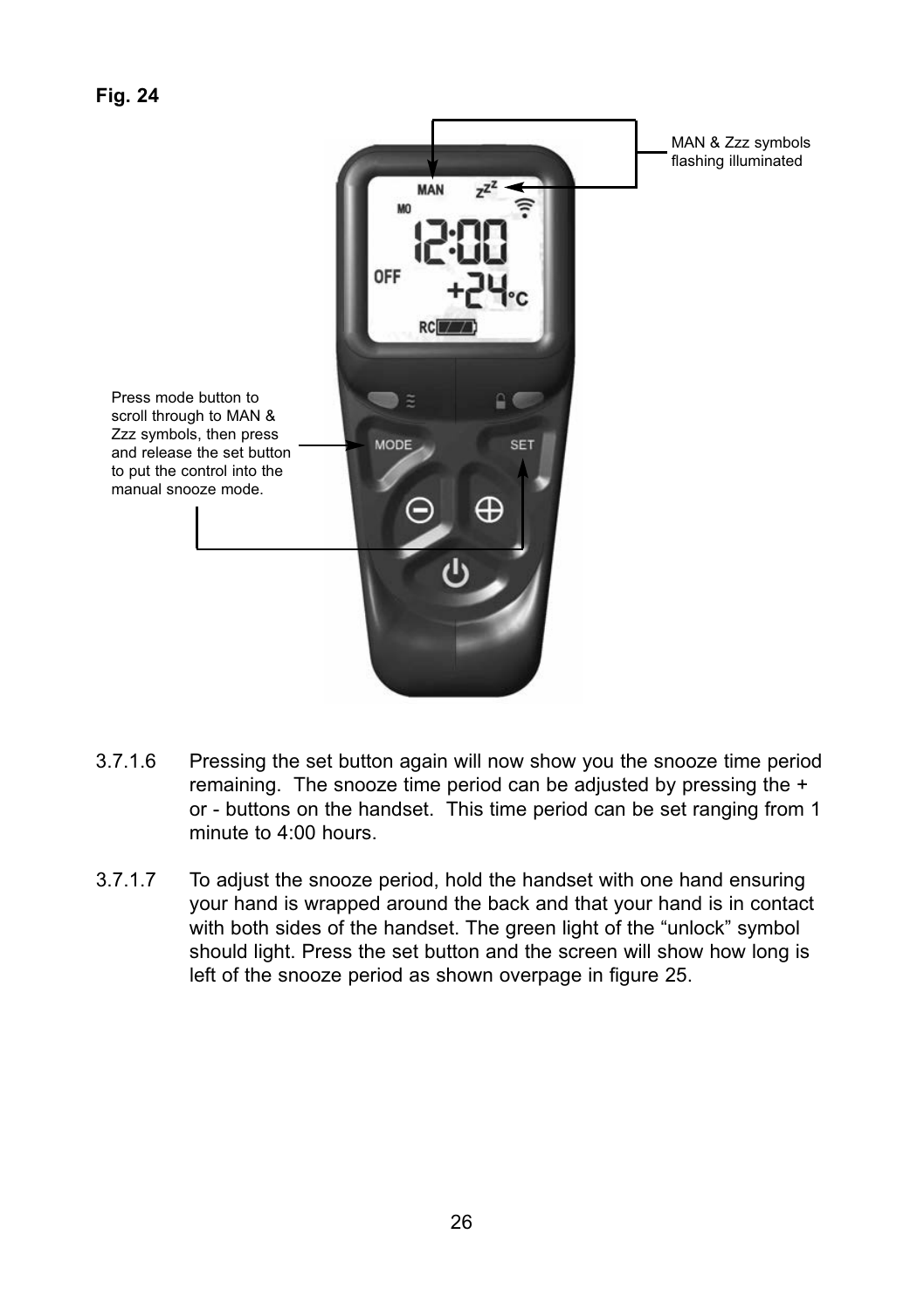

- 3.7.1.6 Pressing the set button again will now show you the snooze time period remaining. The snooze time period can be adjusted by pressing the + or - buttons on the handset. This time period can be set ranging from 1 minute to 4:00 hours.
- 3.7.1.7 To adjust the snooze period, hold the handset with one hand ensuring your hand is wrapped around the back and that your hand is in contact with both sides of the handset. The green light of the "unlock" symbol should light. Press the set button and the screen will show how long is left of the snooze period as shown overpage in figure 25.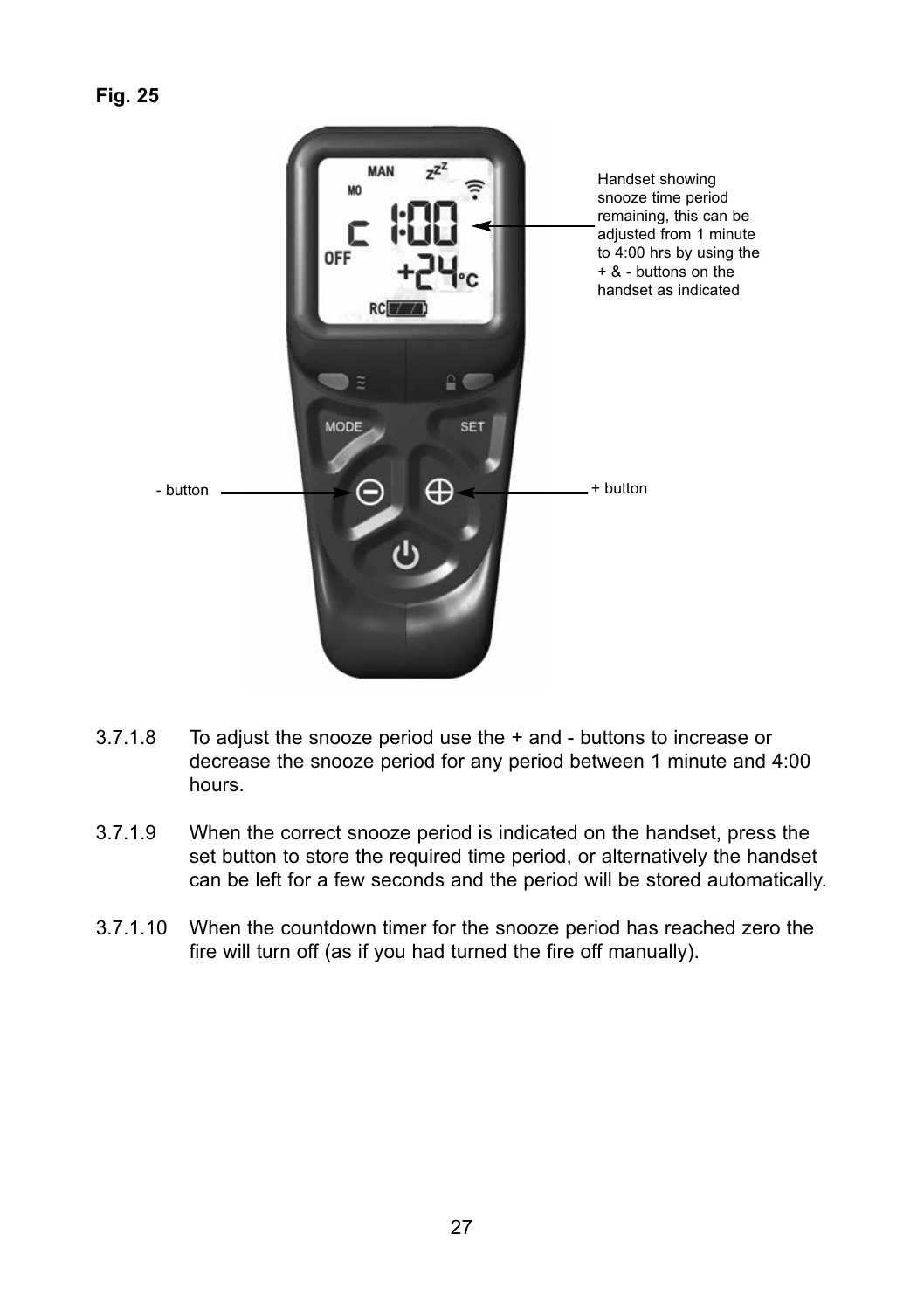

- 3.7.1.8 To adjust the snooze period use the + and - buttons to increase or decrease the snooze period for any period between 1 minute and 4:00 hours.
- 3.7.1.9 When the correct snooze period is indicated on the handset, press the set button to store the required time period, or alternatively the handset can be left for a few seconds and the period will be stored automatically.
- 3.7.1.10 When the countdown timer for the snooze period has reached zero the fire will turn off (as if you had turned the fire off manually).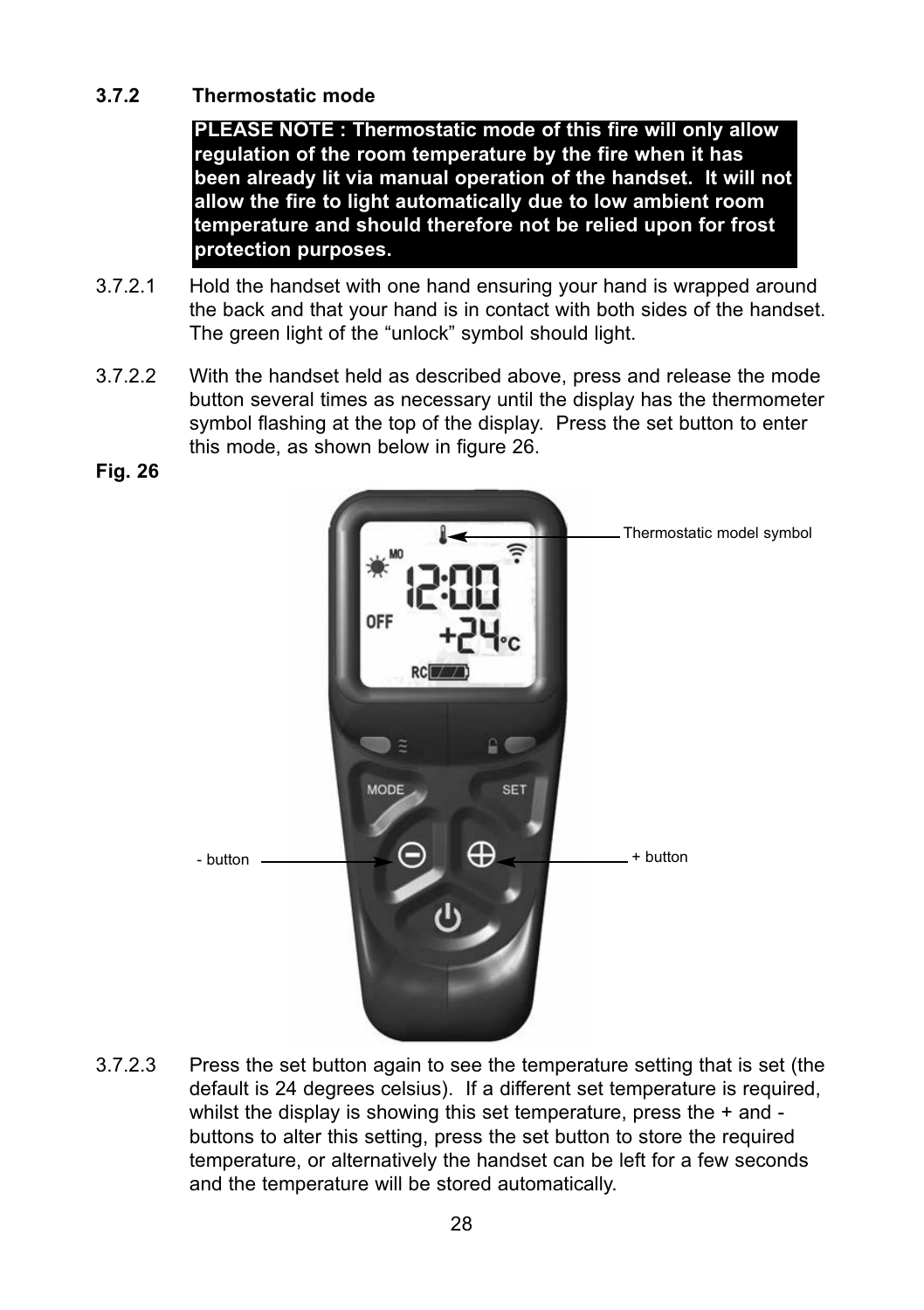# **3.7.2 Thermostatic mode**

**PLEASE NOTE : Thermostatic mode of this fire will only allow regulation of the room temperature by the fire when it has been already lit via manual operation of the handset. It will not allow the fire to light automatically due to low ambient room temperature and should therefore not be relied upon for frost protection purposes.**

- 3.7.2.1 Hold the handset with one hand ensuring your hand is wrapped around the back and that your hand is in contact with both sides of the handset. The green light of the "unlock" symbol should light.
- 3.7.2.2 With the handset held as described above, press and release the mode button several times as necessary until the display has the thermometer symbol flashing at the top of the display. Press the set button to enter this mode, as shown below in figure 26.

**Fig. 26**



3.7.2.3 Press the set button again to see the temperature setting that is set (the default is 24 degrees celsius). If a different set temperature is required, whilst the display is showing this set temperature, press the + and buttons to alter this setting, press the set button to store the required temperature, or alternatively the handset can be left for a few seconds and the temperature will be stored automatically.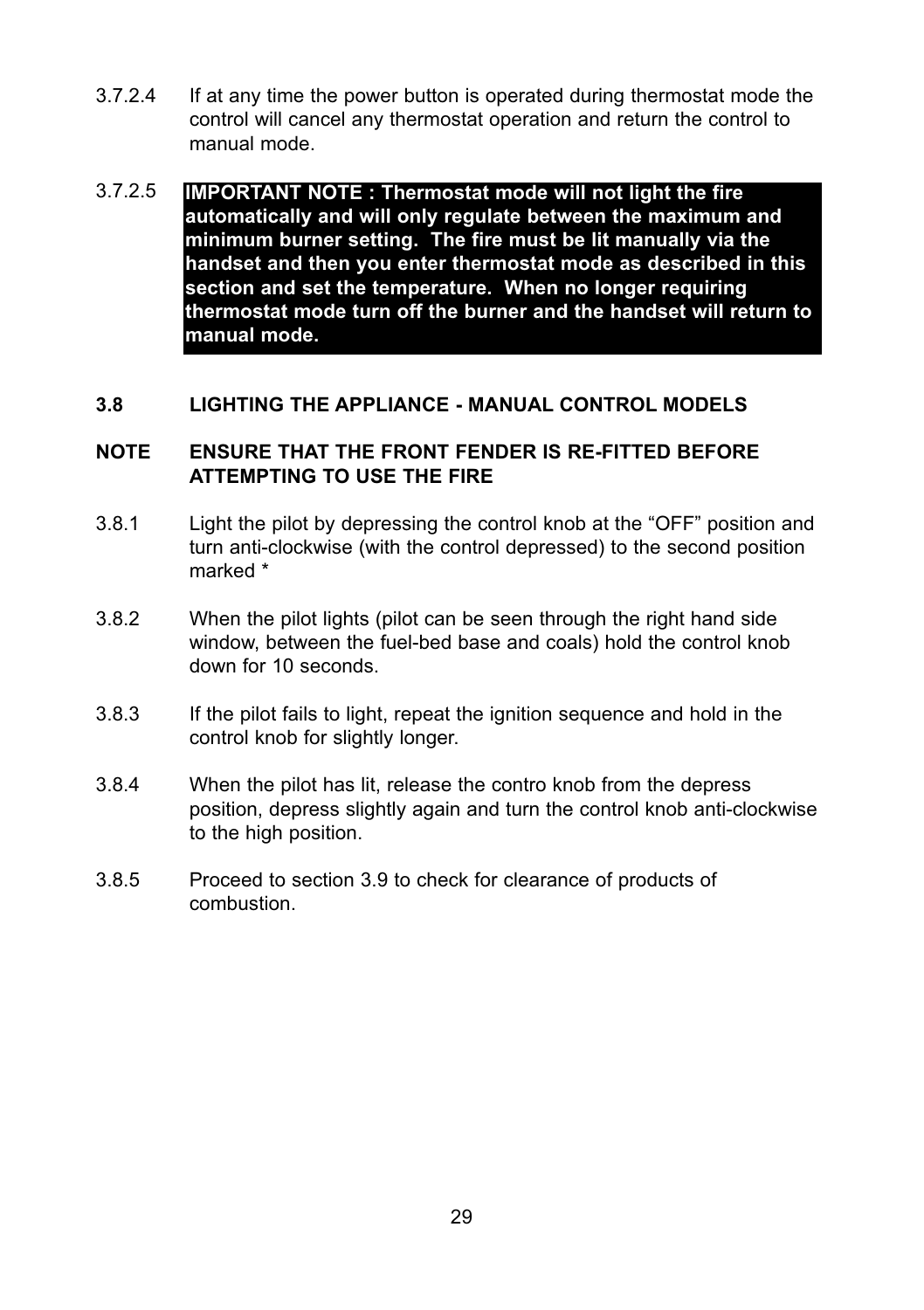- 3.7.2.4 If at any time the power button is operated during thermostat mode the control will cancel any thermostat operation and return the control to manual mode.
- 3.7.2.5 **IMPORTANT NOTE : Thermostat mode will not light the fire automatically and will only regulate between the maximum and minimum burner setting. The fire must be lit manually via the handset and then you enter thermostat mode as described in this section and set the temperature. When no longer requiring thermostat mode turn off the burner and the handset will return to manual mode.**

#### **3.8 LIGHTING THE APPLIANCE - MANUAL CONTROL MODELS**

#### **NOTE ENSURE THAT THE FRONT FENDER IS RE-FITTED BEFORE ATTEMPTING TO USE THE FIRE**

- 3.8.1 Light the pilot by depressing the control knob at the "OFF" position and turn anti-clockwise (with the control depressed) to the second position marked \*
- 3.8.2 When the pilot lights (pilot can be seen through the right hand side window, between the fuel-bed base and coals) hold the control knob down for 10 seconds.
- 3.8.3 If the pilot fails to light, repeat the ignition sequence and hold in the control knob for slightly longer.
- 3.8.4 When the pilot has lit, release the contro knob from the depress position, depress slightly again and turn the control knob anti-clockwise to the high position.
- 3.8.5 Proceed to section 3.9 to check for clearance of products of combustion.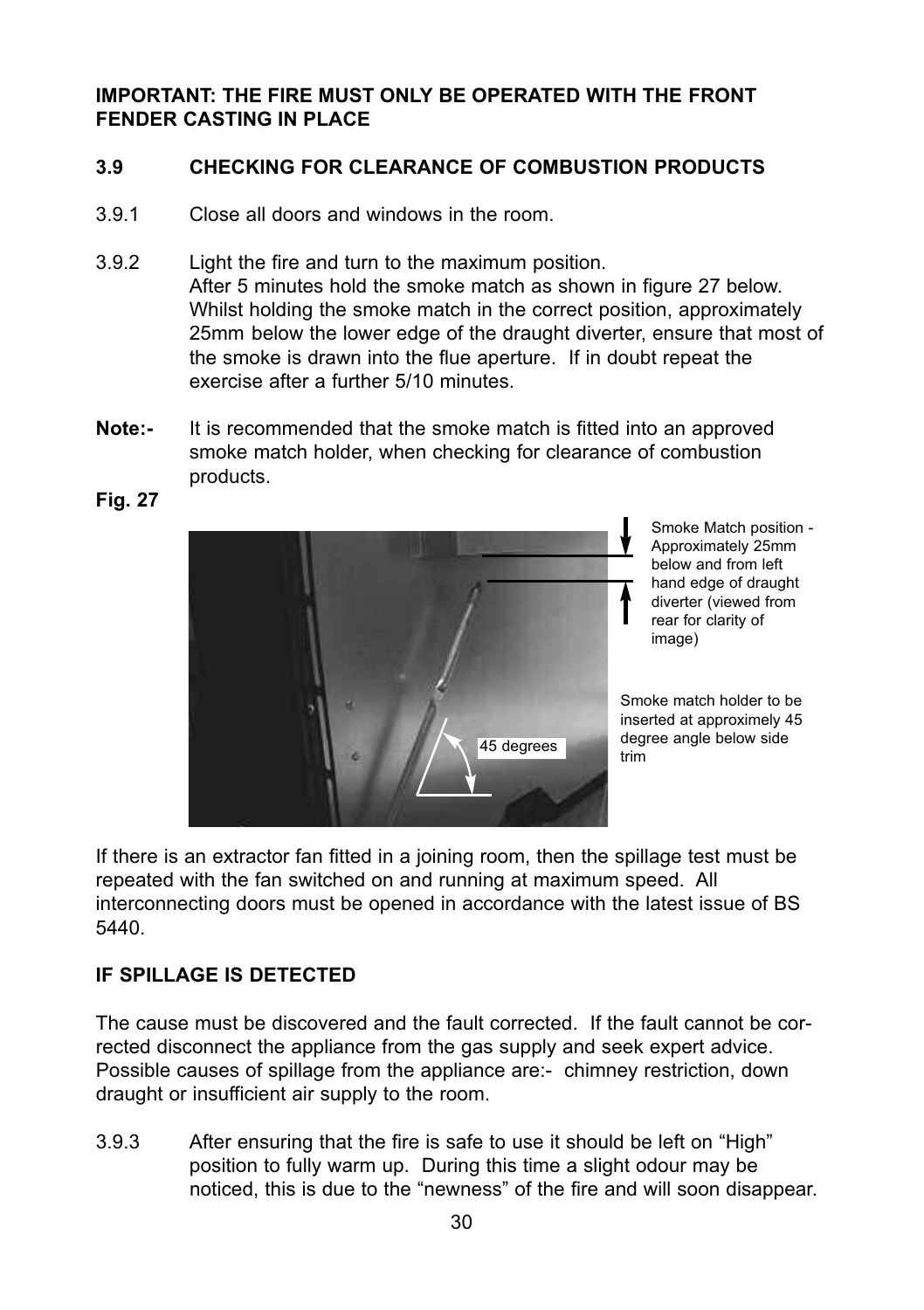# **IMPORTANT: THE FIRE MUST ONLY BE OPERATED WITH THE FRONT  FENDER CASTING IN PLACE**

# **3.9 CHECKING FOR CLEARANCE OF COMBUSTION PRODUCTS**

- 3.9.1 Close all doors and windows in the room.
- 3.9.2 Light the fire and turn to the maximum position. After 5 minutes hold the smoke match as shown in figure 27 below. Whilst holding the smoke match in the correct position, approximately 25mm below the lower edge of the draught diverter, ensure that most of the smoke is drawn into the flue aperture. If in doubt repeat the exercise after a further 5/10 minutes.
- **Note:-** It is recommended that the smoke match is fitted into an approved smoke match holder, when checking for clearance of combustion products.



Smoke Match position - Approximately 25mm below and from left hand edge of draught diverter (viewed from rear for clarity of image)

Smoke match holder to be inserted at approximely 45 degree angle below side<br>trim

If there is an extractor fan fitted in a joining room, then the spillage test must be repeated with the fan switched on and running at maximum speed. All interconnecting doors must be opened in accordance with the latest issue of BS 5440.

# **IF SPILLAGE IS DETECTED**

The cause must be discovered and the fault corrected. If the fault cannot be corrected disconnect the appliance from the gas supply and seek expert advice. Possible causes of spillage from the appliance are:- chimney restriction, down draught or insufficient air supply to the room.

3.9.3 After ensuring that the fire is safe to use it should be left on "High" position to fully warm up. During this time a slight odour may be noticed, this is due to the "newness" of the fire and will soon disappear.

**Fig. 27**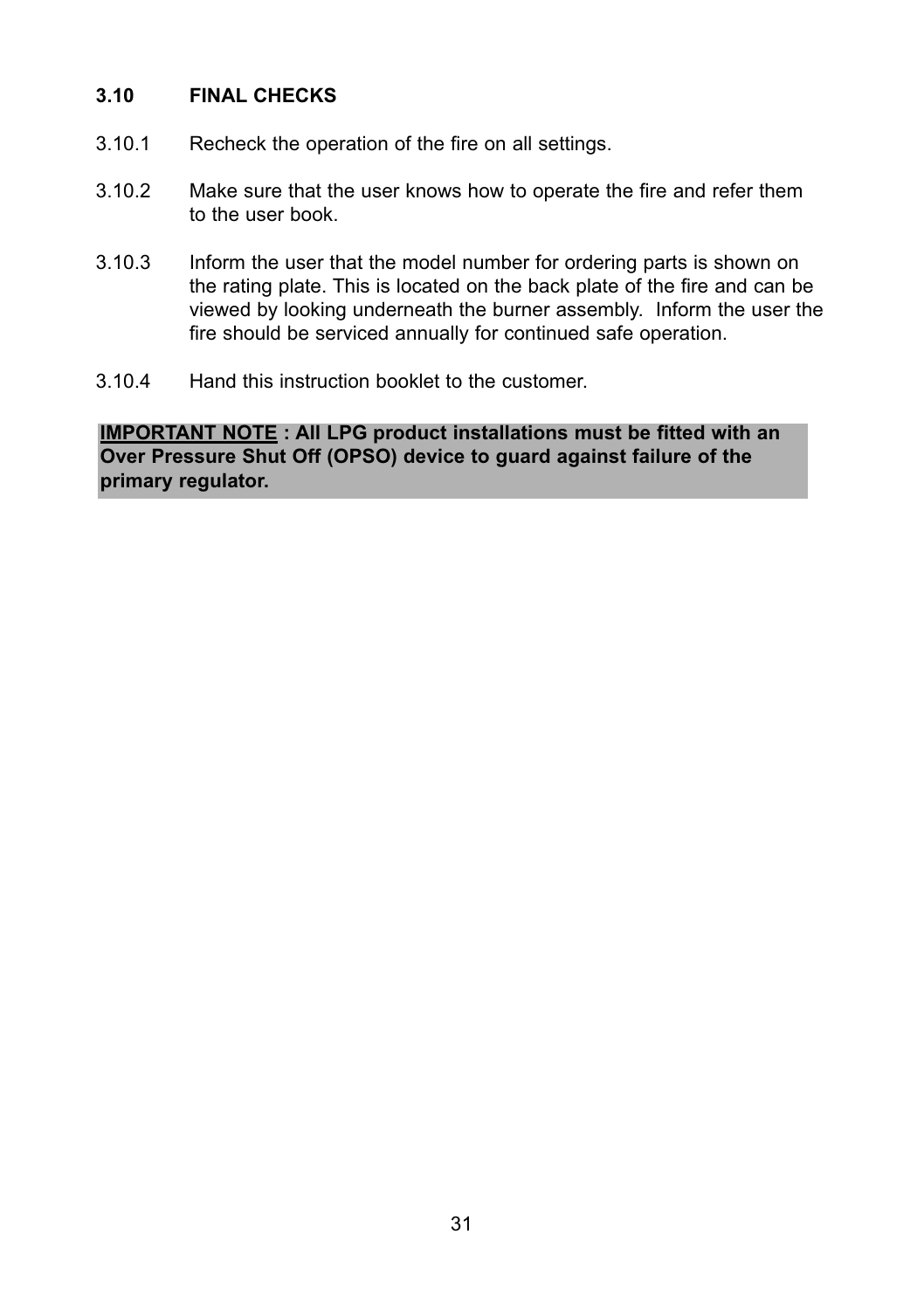#### **3.10 FINAL CHECKS**

- 3.10.1 Recheck the operation of the fire on all settings.
- 3.10.2 Make sure that the user knows how to operate the fire and refer them to the user book.
- 3.10.3 Inform the user that the model number for ordering parts is shown on the rating plate. This is located on the back plate of the fire and can be viewed by looking underneath the burner assembly. Inform the user the fire should be serviced annually for continued safe operation.
- 3.10.4 Hand this instruction booklet to the customer.

**IMPORTANT NOTE : All LPG product installations must be fitted with an Over Pressure Shut Off (OPSO) device to guard against failure of the primary regulator.**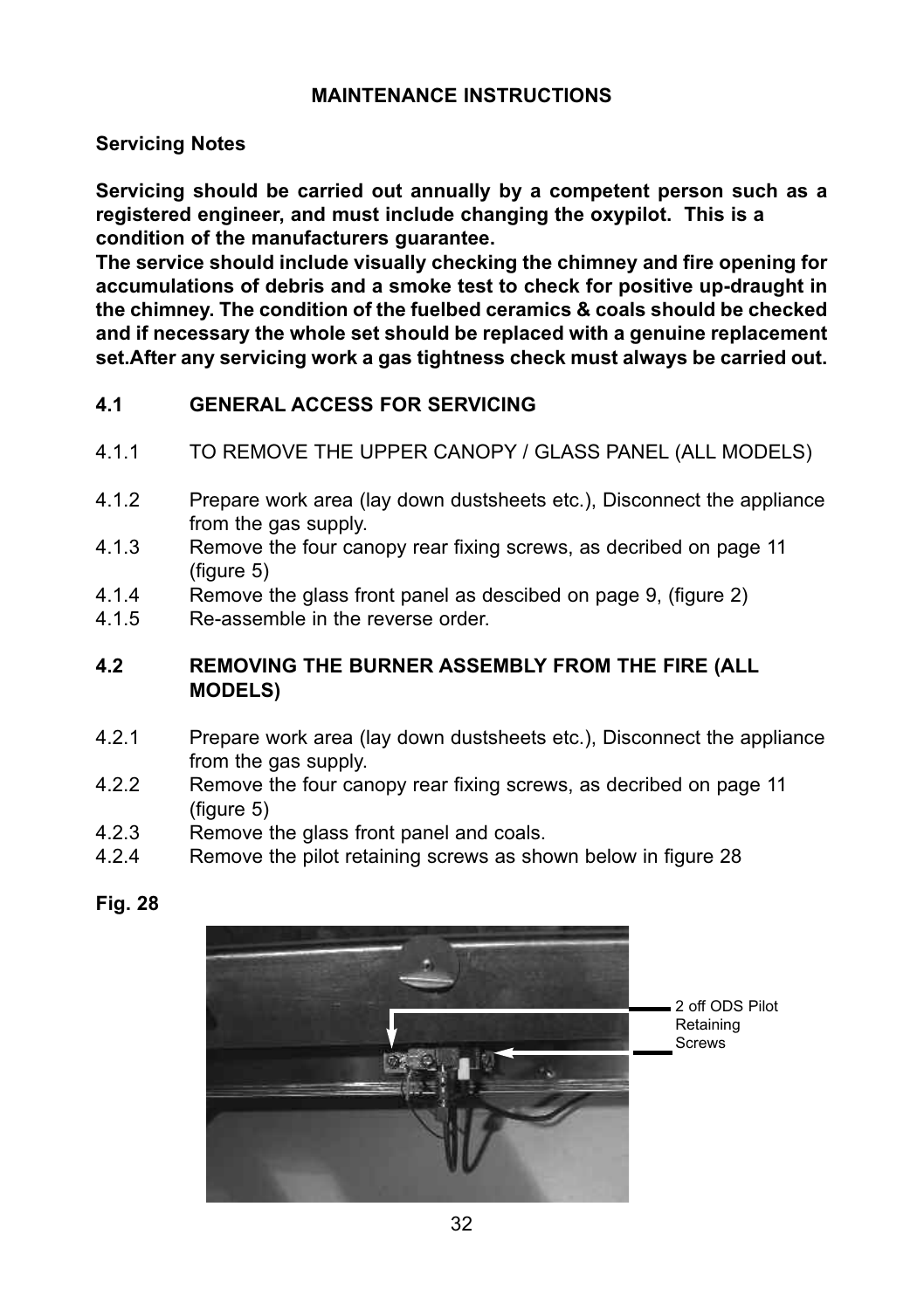# **MAINTENANCE INSTRUCTIONS**

#### **Servicing Notes**

**Servicing should be carried out annually by a competent person such as a registered engineer, and must include changing the oxypilot. This is a condition of the manufacturers guarantee.**

**The service should include visually checking the chimney and fire opening for accumulations of debris and a smoke test to check for positive up-draught in the chimney. The condition of the fuelbed ceramics & coals should be checked and if necessary the whole set should be replaced with a genuine replacement set.After any servicing work a gas tightness check must always be carried out.**

# **4.1 GENERAL ACCESS FOR SERVICING**

- 4.1.1 TO REMOVE THE UPPER CANOPY / GLASS PANEL (ALL MODELS)
- 4.1.2 Prepare work area (lay down dustsheets etc.), Disconnect the appliance from the gas supply.
- 4.1.3 Remove the four canopy rear fixing screws, as decribed on page 11  $(fiaure 5)$
- 4.1.4 Remove the glass front panel as descibed on page 9, (figure 2)<br>4.1.5 Re-assemble in the reverse order.
- Re-assemble in the reverse order.

# **4.2 REMOVING THE BURNER ASSEMBLY FROM THE FIRE (ALL MODELS)**

- 4.2.1 Prepare work area (lay down dustsheets etc.), Disconnect the appliance from the gas supply.
- 4.2.2 Remove the four canopy rear fixing screws, as decribed on page 11  $(fiaure 5)$
- 4.2.3 Remove the glass front panel and coals.<br>4.2.4 Remove the pilot retaining screws as sho
- Remove the pilot retaining screws as shown below in figure 28



**Fig. 28**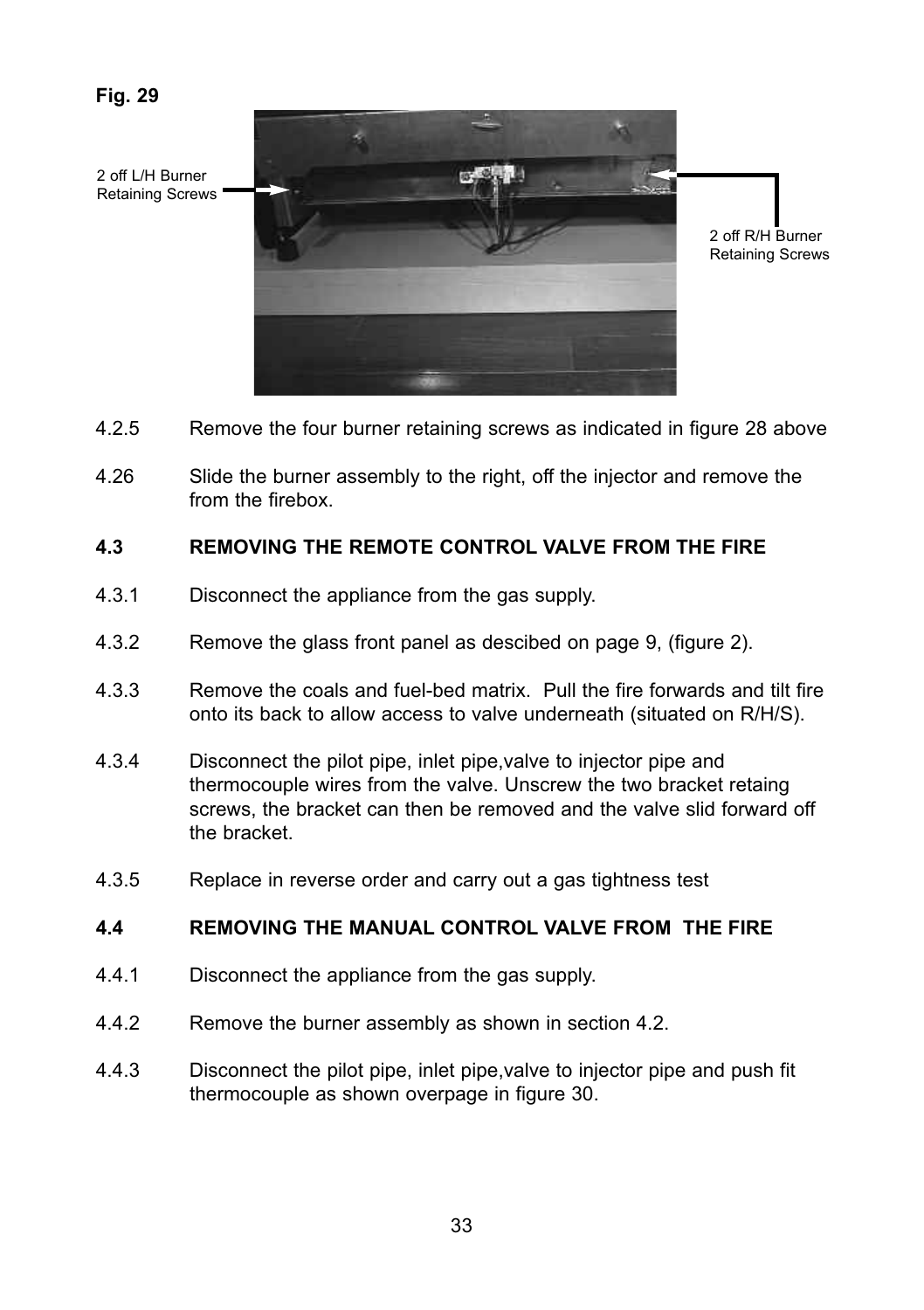**Fig. 29**

2 off L/H Burner Retaining Screws



2 off R/H Burner Retaining Screws

- 4.2.5 Remove the four burner retaining screws as indicated in figure 28 above
- 4.26 Slide the burner assembly to the right, off the injector and remove the from the firebox.

#### **4.3 REMOVING THE REMOTE CONTROL VALVE FROM THE FIRE**

- 4.3.1 Disconnect the appliance from the gas supply.
- 4.3.2 Remove the glass front panel as descibed on page 9, (figure 2).
- 4.3.3 Remove the coals and fuel-bed matrix. Pull the fire forwards and tilt fire onto its back to allow access to valve underneath (situated on R/H/S).
- 4.3.4 Disconnect the pilot pipe, inlet pipe,valve to injector pipe and thermocouple wires from the valve. Unscrew the two bracket retaing screws, the bracket can then be removed and the valve slid forward off the bracket.
- 4.3.5 Replace in reverse order and carry out a gas tightness test

# **4.4 REMOVING THE MANUAL CONTROL VALVE FROM  THE FIRE**

- 4.4.1 Disconnect the appliance from the gas supply.
- 4.4.2 Remove the burner assembly as shown in section 4.2.
- 4.4.3 Disconnect the pilot pipe, inlet pipe,valve to injector pipe and push fit thermocouple as shown overpage in figure 30.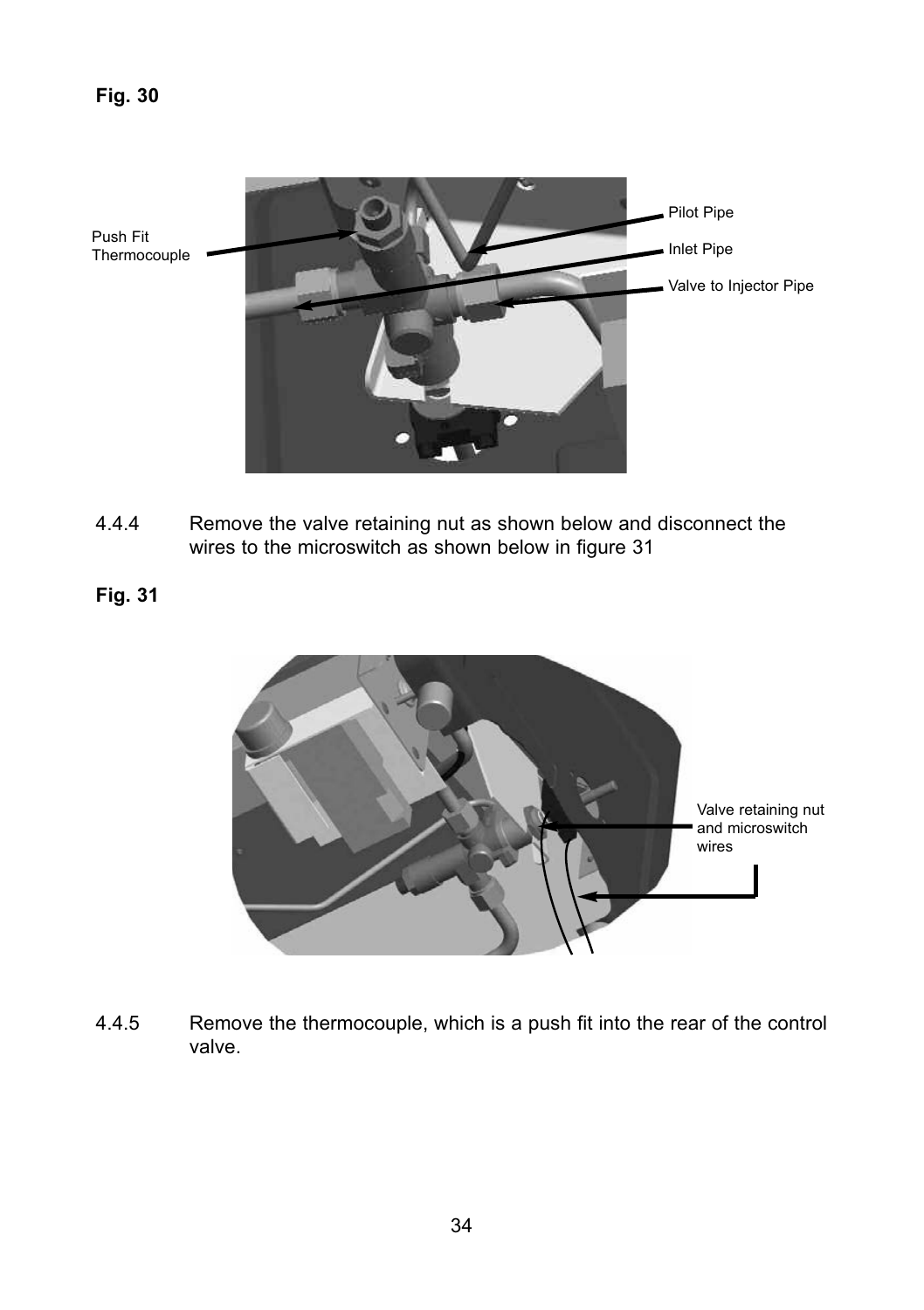

- 4.4.4 Remove the valve retaining nut as shown below and disconnect the wires to the microswitch as shown below in figure 31
- **Fig. 31**



4.4.5 Remove the thermocouple, which is a push fit into the rear of the control valve.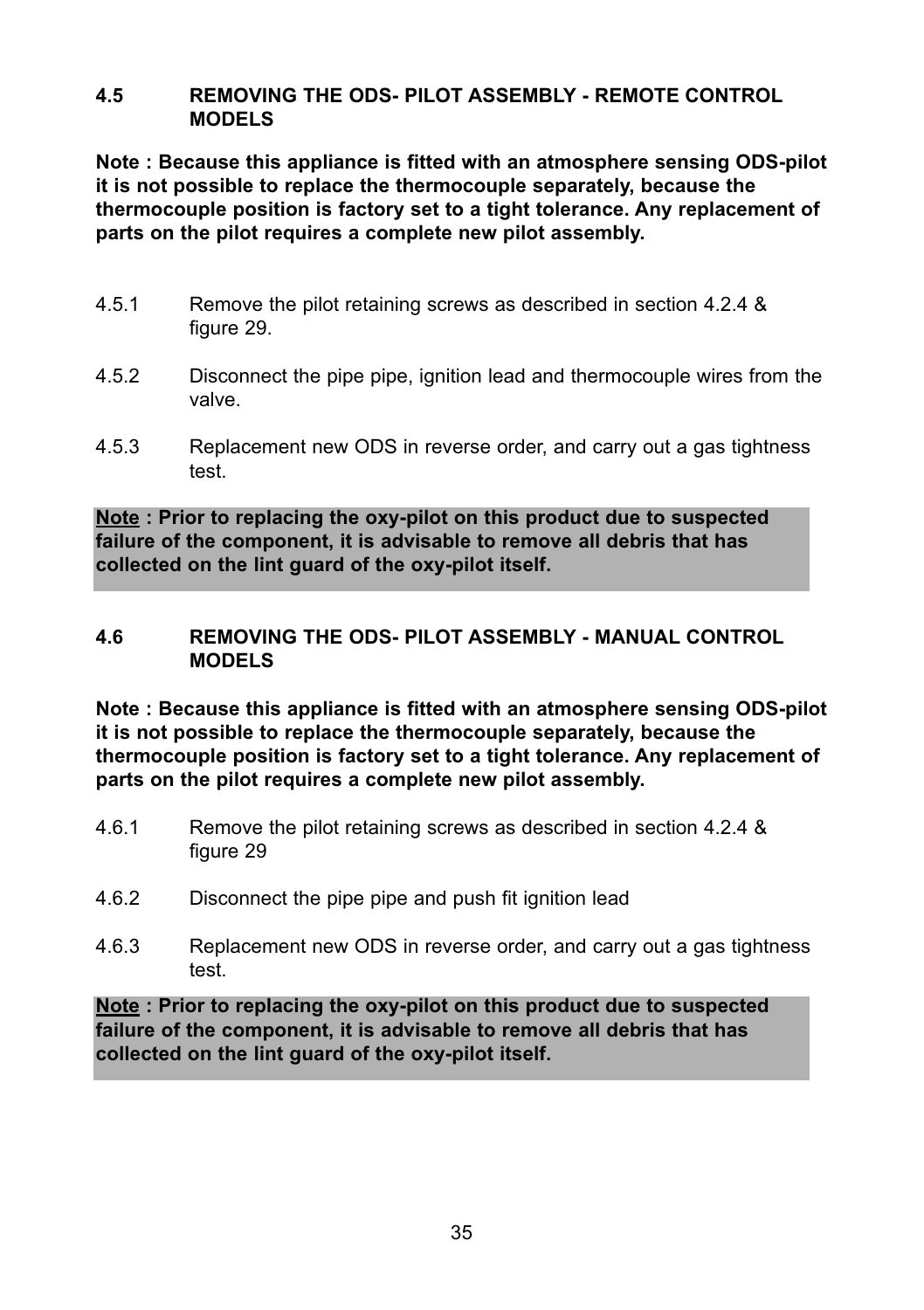#### **4.5 REMOVING THE ODS- PILOT ASSEMBLY - REMOTE CONTROL  MODELS**

**Note : Because this appliance is fitted with an atmosphere sensing ODS-pilot it is not possible to replace the thermocouple separately, because the thermocouple position is factory set to a tight tolerance. Any replacement of parts on the pilot requires a complete new pilot assembly.**

- 4.5.1 Remove the pilot retaining screws as described in section 4.2.4 & figure 29.
- 4.5.2 Disconnect the pipe pipe, ignition lead and thermocouple wires from the valve.
- 4.5.3 Replacement new ODS in reverse order, and carry out a gas tightness test.

**Note : Prior to replacing the oxy-pilot on this product due to suspected failure of the component, it is advisable to remove all debris that has collected on the lint guard of the oxy-pilot itself.**

### **4.6 REMOVING THE ODS- PILOT ASSEMBLY - MANUAL CONTROL MODELS**

**Note : Because this appliance is fitted with an atmosphere sensing ODS-pilot it is not possible to replace the thermocouple separately, because the thermocouple position is factory set to a tight tolerance. Any replacement of parts on the pilot requires a complete new pilot assembly.**

- 4.6.1 Remove the pilot retaining screws as described in section 4.2.4 & figure 29
- 4.6.2 Disconnect the pipe pipe and push fit ignition lead
- 4.6.3 Replacement new ODS in reverse order, and carry out a gas tightness test.

**Note : Prior to replacing the oxy-pilot on this product due to suspected failure of the component, it is advisable to remove all debris that has collected on the lint guard of the oxy-pilot itself.**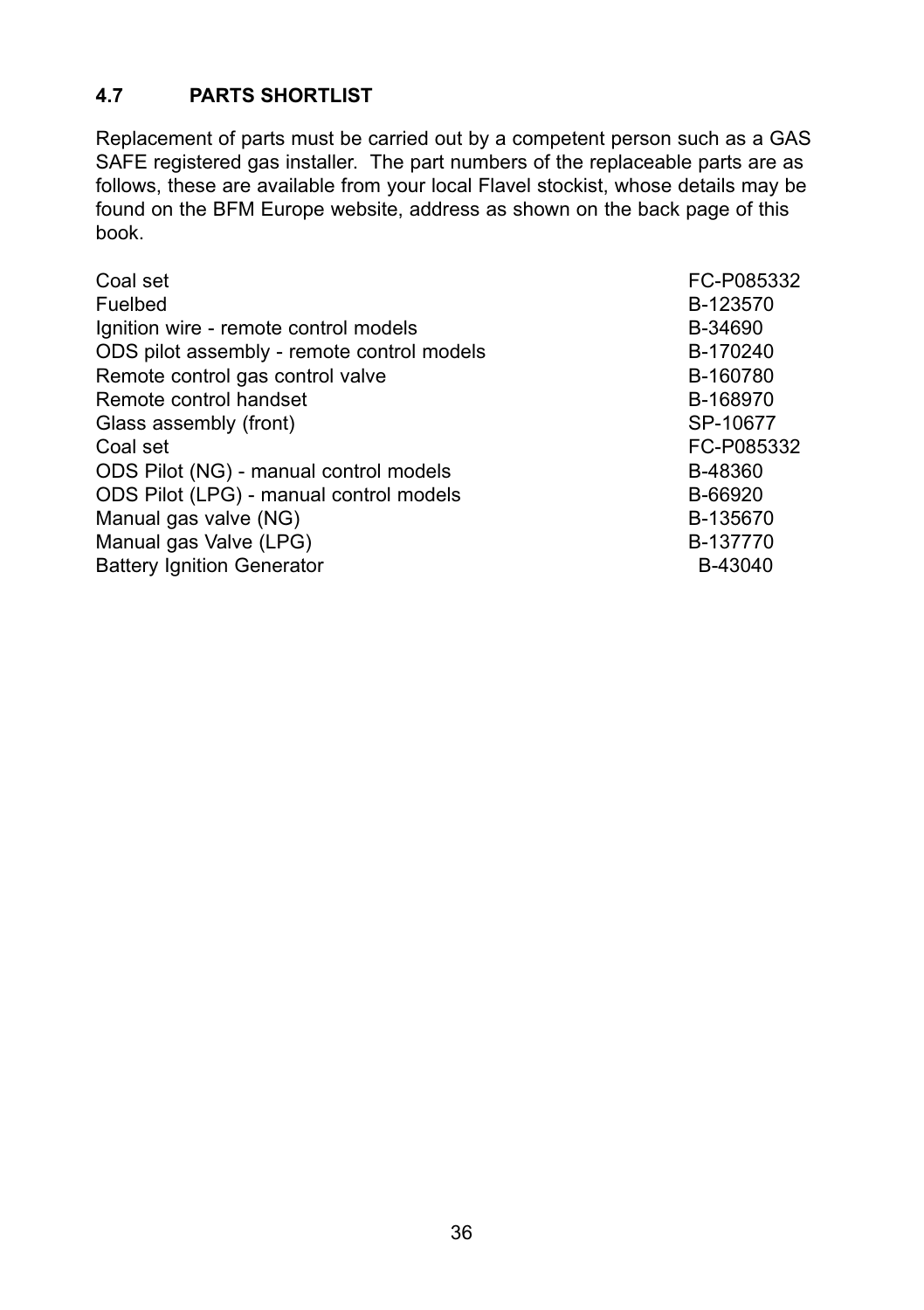# **4.7 PARTS SHORTLIST**

Replacement of parts must be carried out by a competent person such as a GAS SAFE registered gas installer. The part numbers of the replaceable parts are as follows, these are available from your local Flavel stockist, whose details may be found on the BFM Europe website, address as shown on the back page of this book.

| FC-P085332 |
|------------|
| B-123570   |
| B-34690    |
| B-170240   |
| B-160780   |
| B-168970   |
| SP-10677   |
| FC-P085332 |
| B-48360    |
| B-66920    |
| B-135670   |
| B-137770   |
| B-43040    |
|            |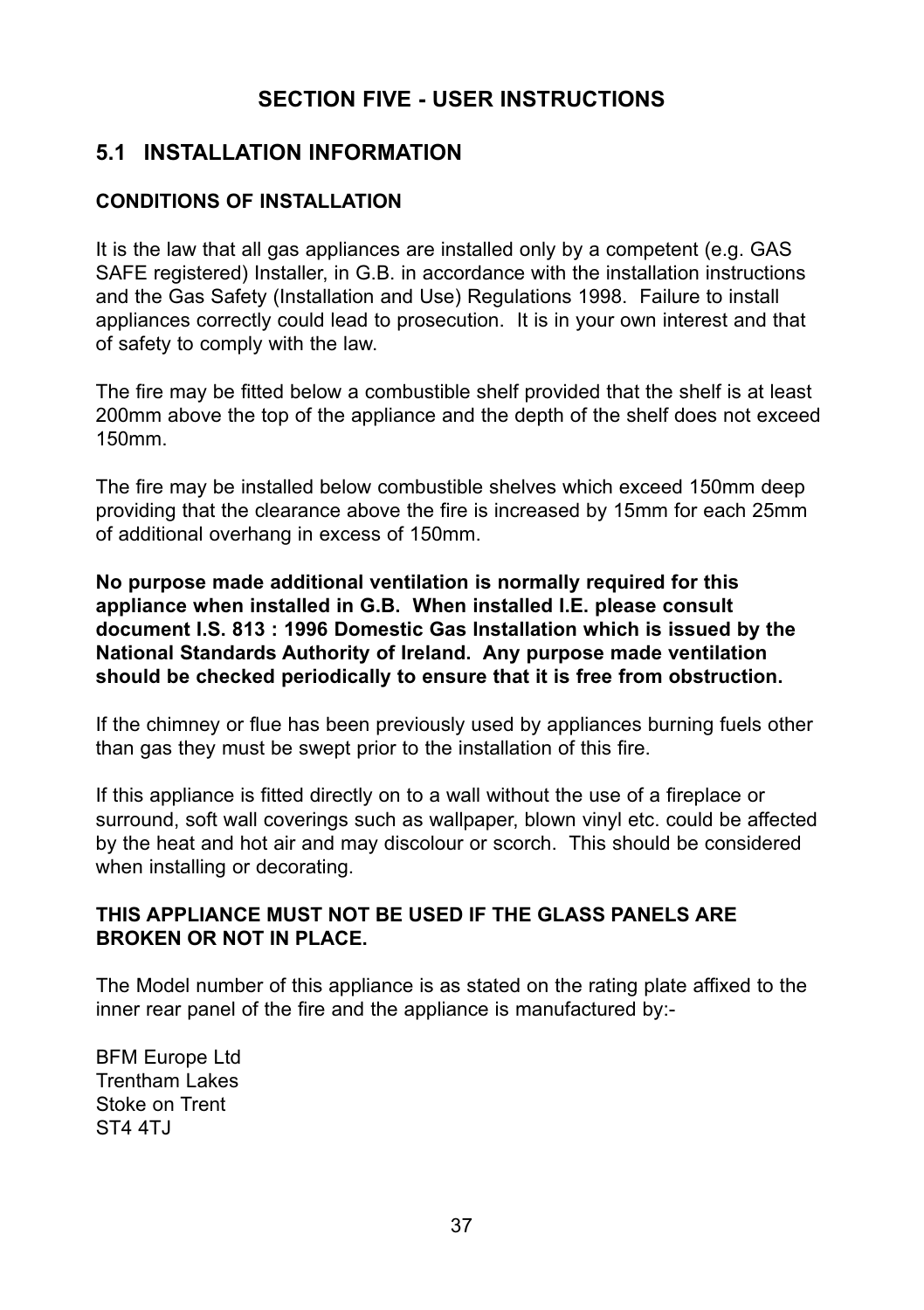# **SECTION FIVE - USER INSTRUCTIONS**

# **5.1 INSTALLATION INFORMATION**

# **CONDITIONS OF INSTALLATION**

It is the law that all gas appliances are installed only by a competent (e.g. GAS SAFE registered) Installer, in G.B. in accordance with the installation instructions and the Gas Safety (Installation and Use) Regulations 1998. Failure to install appliances correctly could lead to prosecution. It is in your own interest and that of safety to comply with the law.

The fire may be fitted below a combustible shelf provided that the shelf is at least 200mm above the top of the appliance and the depth of the shelf does not exceed 150mm.

The fire may be installed below combustible shelves which exceed 150mm deep providing that the clearance above the fire is increased by 15mm for each 25mm of additional overhang in excess of 150mm.

**No purpose made additional ventilation is normally required for this appliance when installed in G.B. When installed I.E. please consult document I.S. 813 : 1996 Domestic Gas Installation which is issued by the National Standards Authority of Ireland. Any purpose made ventilation should be checked periodically to ensure that it is free from obstruction.**

If the chimney or flue has been previously used by appliances burning fuels other than gas they must be swept prior to the installation of this fire.

If this appliance is fitted directly on to a wall without the use of a fireplace or surround, soft wall coverings such as wallpaper, blown vinyl etc. could be affected by the heat and hot air and may discolour or scorch. This should be considered when installing or decorating.

# **THIS APPLIANCE MUST NOT BE USED IF THE GLASS PANELS ARE  BROKEN OR NOT IN PLACE.**

The Model number of this appliance is as stated on the rating plate affixed to the inner rear panel of the fire and the appliance is manufactured by:-

BFM Europe Ltd Trentham Lakes Stoke on Trent ST<sub>4</sub>  $ATJ$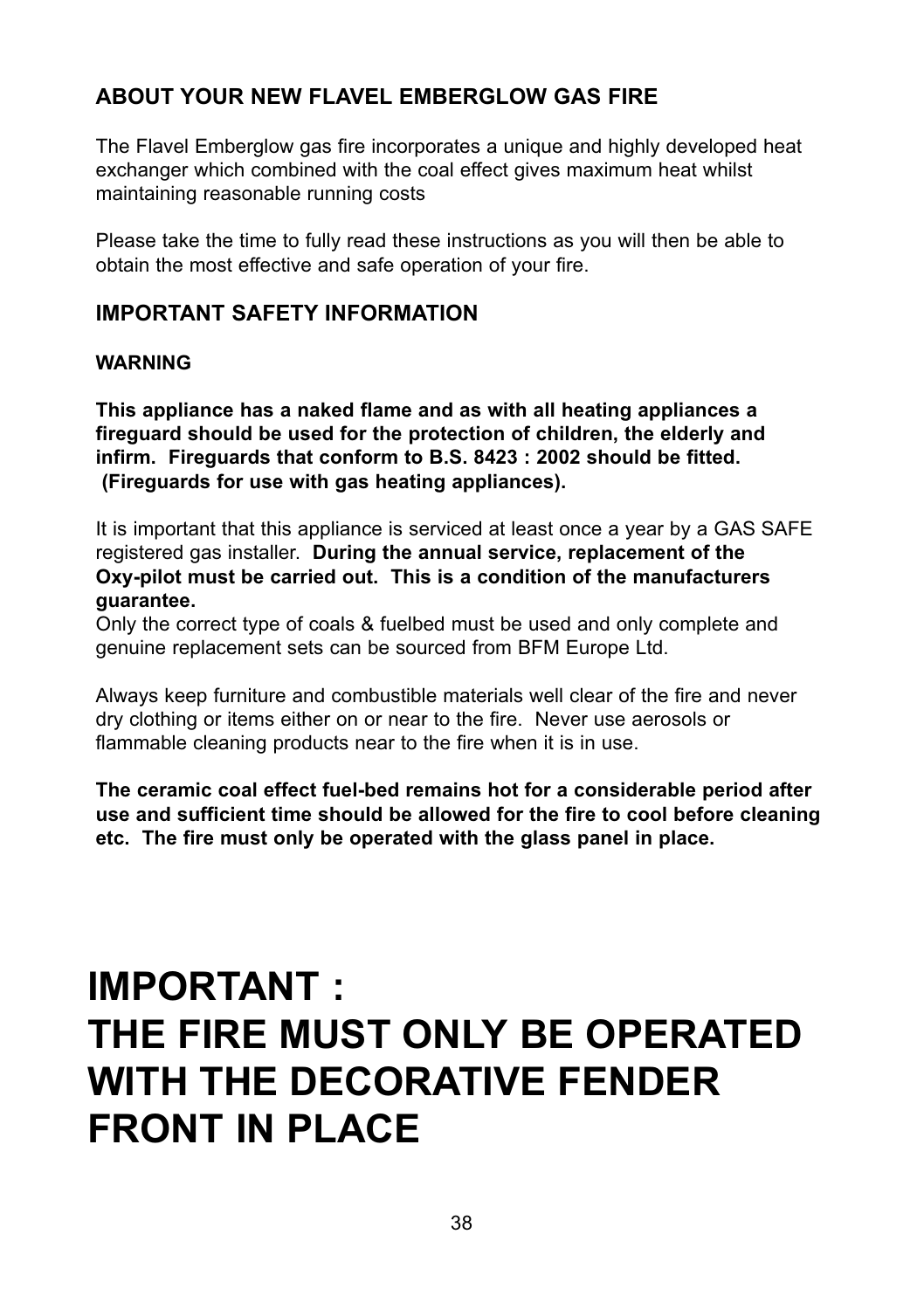# **ABOUT YOUR NEW FLAVEL EMBERGLOW GAS FIRE**

The Flavel Emberglow gas fire incorporates a unique and highly developed heat exchanger which combined with the coal effect gives maximum heat whilst maintaining reasonable running costs

Please take the time to fully read these instructions as you will then be able to obtain the most effective and safe operation of your fire.

# **IMPORTANT SAFETY INFORMATION**

#### **WARNING**

**This appliance has a naked flame and as with all heating appliances a fireguard should be used for the protection of children, the elderly and infirm. Fireguards that conform to B.S. 8423 : 2002 should be fitted. (Fireguards for use with gas heating appliances).**

It is important that this appliance is serviced at least once a year by a GAS SAFE registered gas installer. **During the annual service, replacement of the Oxy-pilot must be carried out. This is a condition of the manufacturers guarantee.**

Only the correct type of coals & fuelbed must be used and only complete and genuine replacement sets can be sourced from BFM Europe Ltd.

Always keep furniture and combustible materials well clear of the fire and never dry clothing or items either on or near to the fire. Never use aerosols or flammable cleaning products near to the fire when it is in use.

**The ceramic coal effect fuel-bed remains hot for a considerable period after use and sufficient time should be allowed for the fire to cool before cleaning etc. The fire must only be operated with the glass panel in place.**

# **IMPORTANT : THE FIRE MUST ONLY BE OPERATED WITH THE DECORATIVE FENDER** FRONT IN PLACE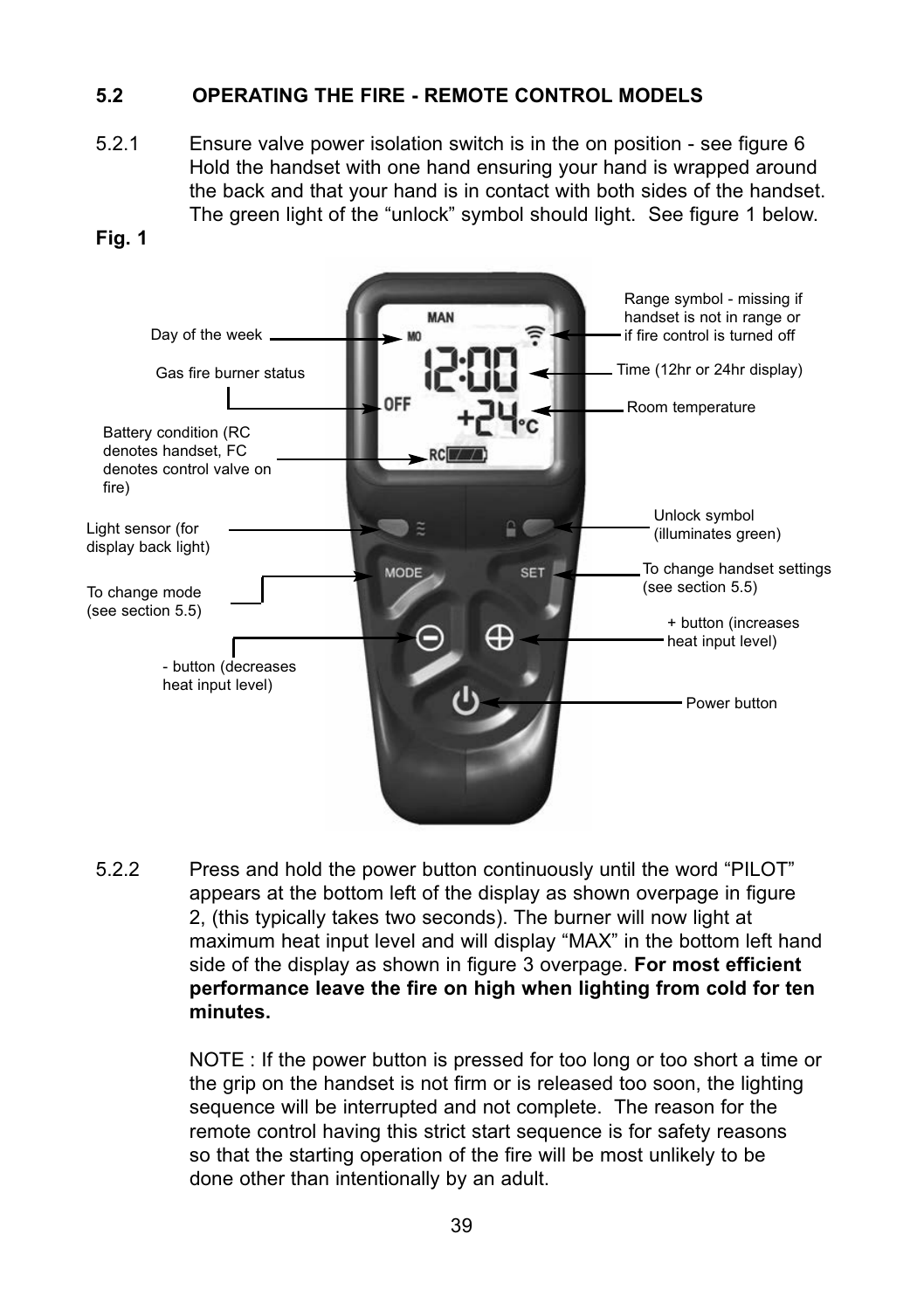# **5.2 OPERATING THE FIRE - REMOTE CONTROL MODELS**

5.2.1 Ensure valve power isolation switch is in the on position - see figure 6 Hold the handset with one hand ensuring your hand is wrapped around the back and that your hand is in contact with both sides of the handset. The green light of the "unlock" symbol should light. See figure 1 below.

#### **Fig. 1**



5.2.2 Press and hold the power button continuously until the word "PILOT" appears at the bottom left of the display as shown overpage in figure 2, (this typically takes two seconds). The burner will now light at maximum heat input level and will display "MAX" in the bottom left hand side of the display as shown in figure 3 overpage. **For most efficient performance leave the fire on high when lighting from cold for ten minutes.**

> NOTE : If the power button is pressed for too long or too short a time or the grip on the handset is not firm or is released too soon, the lighting sequence will be interrupted and not complete. The reason for the remote control having this strict start sequence is for safety reasons so that the starting operation of the fire will be most unlikely to be done other than intentionally by an adult.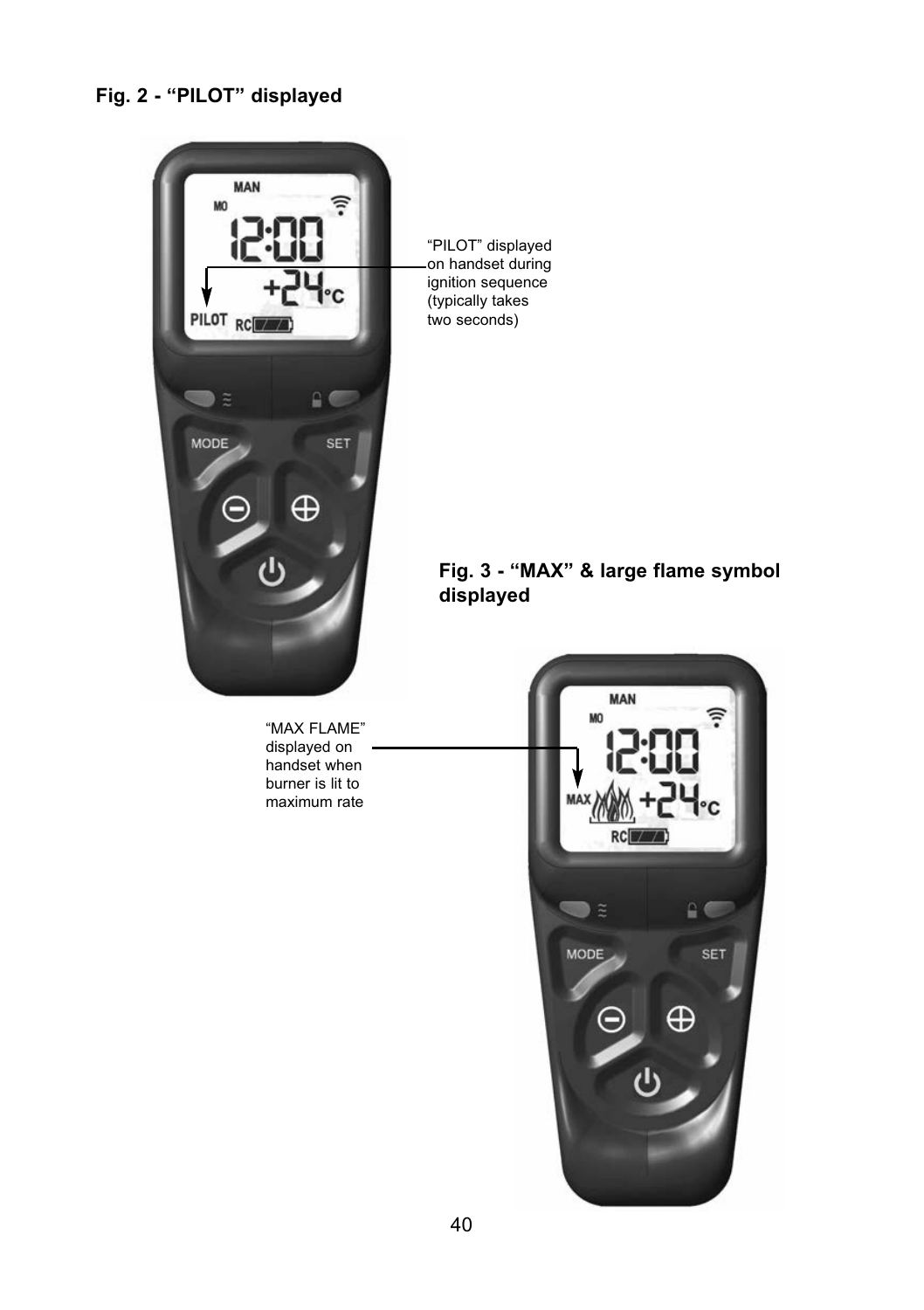# **Fig. 2 - "PILOT" displayed**



"PILOT" displayed on handset during ignition sequence (typically takes two seconds)

# **Fig. 3 - "MAX" & large flame symbol displayed**

"MAX FLAME" displayed on handset when burner is lit to maximum rate

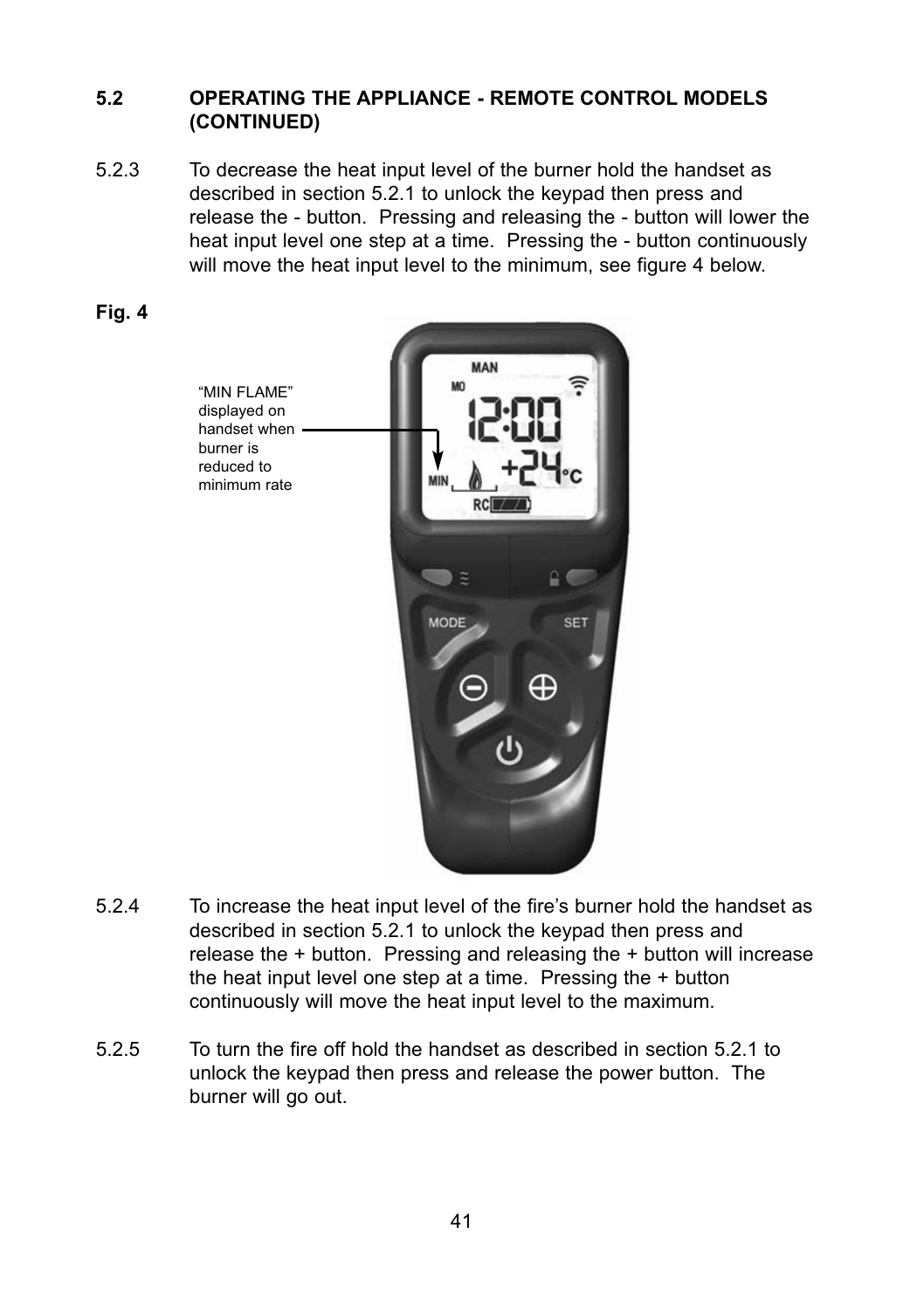#### **5.2 OPERATING THE APPLIANCE - REMOTE CONTROL MODELS  (CONTINUED)**

5.2.3 To decrease the heat input level of the burner hold the handset as described in section 5.2.1 to unlock the keypad then press and release the - button. Pressing and releasing the - button will lower the heat input level one step at a time. Pressing the - button continuously will move the heat input level to the minimum, see figure 4 below.





- 5.2.4 To increase the heat input level of the fire's burner hold the handset as described in section 5.2.1 to unlock the keypad then press and release the + button. Pressing and releasing the + button will increase the heat input level one step at a time. Pressing the + button continuously will move the heat input level to the maximum.
- 5.2.5 To turn the fire off hold the handset as described in section 5.2.1 to unlock the keypad then press and release the power button. The burner will go out.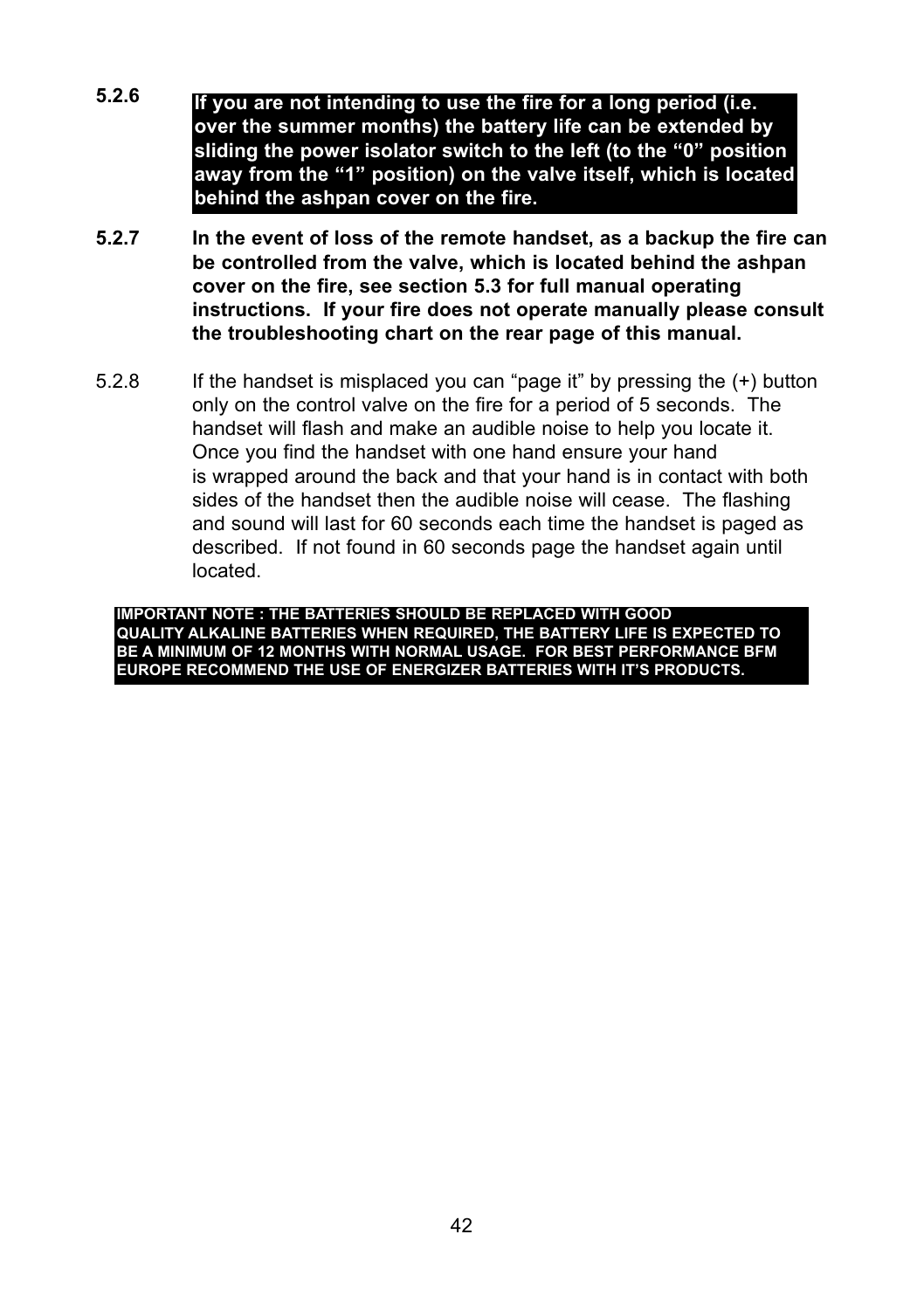- **5.2.6 If you are not intending to use the fire for a long period (i.e. over the summer months) the battery life can be extended by sliding the power isolator switch to the left (to the "0" position away from the "1" position) on the valve itself, which is located behind the ashpan cover on the fire.**
- **5.2.7 In the event of loss of the remote handset, as a backup the fire can be controlled from the valve, which is located behind the ashpan cover on the fire, see section 5.3 for full manual operating instructions. If your fire does not operate manually please consult the troubleshooting chart on the rear page of this manual.**
- 5.2.8 If the handset is misplaced you can "page it" by pressing the (+) button only on the control valve on the fire for a period of 5 seconds. The handset will flash and make an audible noise to help you locate it. Once you find the handset with one hand ensure your hand is wrapped around the back and that your hand is in contact with both sides of the handset then the audible noise will cease. The flashing and sound will last for 60 seconds each time the handset is paged as described. If not found in 60 seconds page the handset again until located.

**IMPORTANT NOTE : THE BATTERIES SHOULD BE REPLACED WITH GOOD QUALITY ALKALINE BATTERIES WHEN REQUIRED, THE BATTERY LIFE IS EXPECTED TO BE A MINIMUM OF 12 MONTHS WITH NORMAL USAGE. FOR BEST PERFORMANCE BFM EUROPE RECOMMEND THE USE OF ENERGIZER BATTERIES WITH IT'S PRODUCTS.**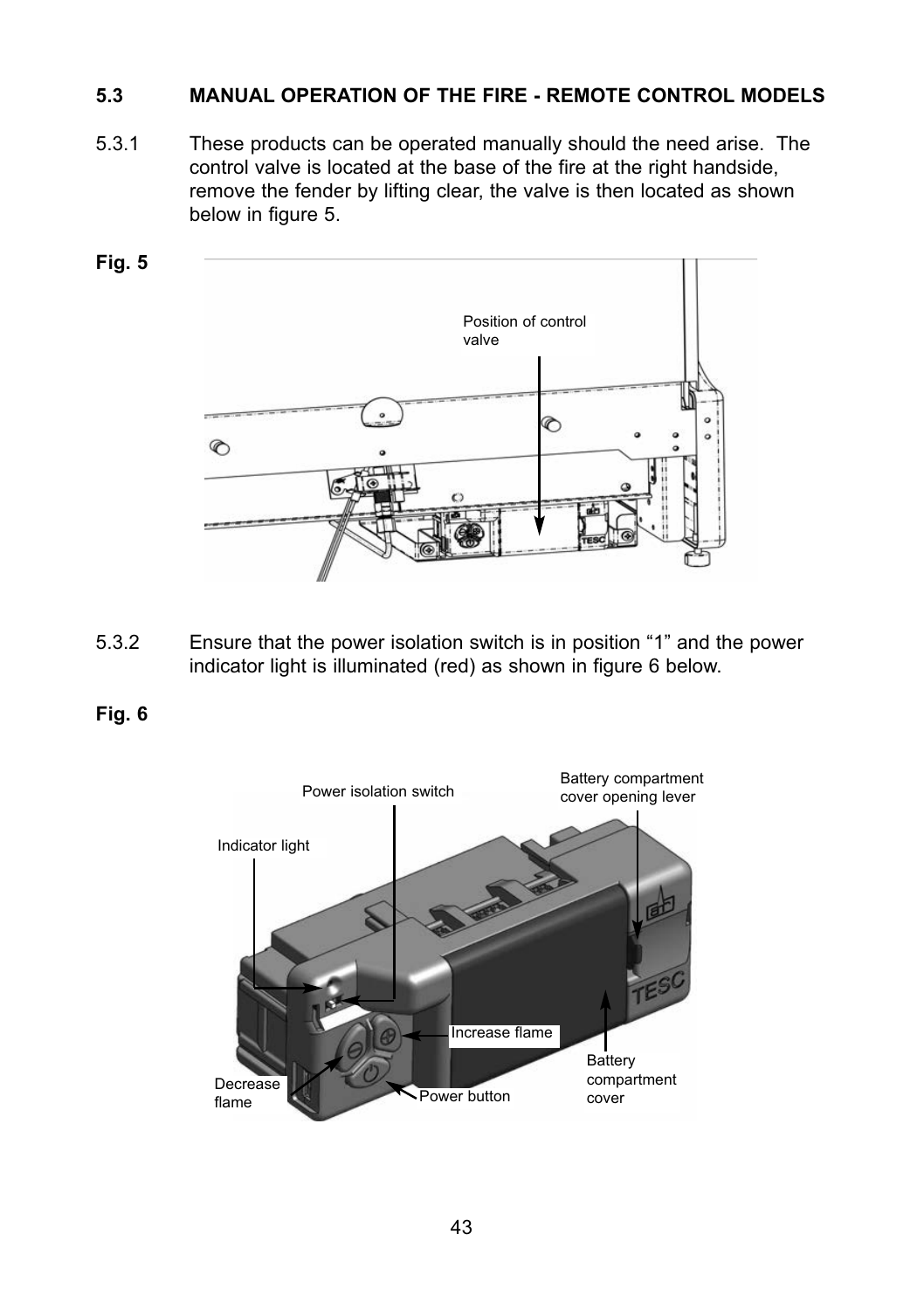# **5.3 MANUAL OPERATION OF THE FIRE - REMOTE CONTROL MODELS**

5.3.1 These products can be operated manually should the need arise. The control valve is located at the base of the fire at the right handside, remove the fender by lifting clear, the valve is then located as shown below in figure 5.





5.3.2 Ensure that the power isolation switch is in position "1" and the power indicator light is illuminated (red) as shown in figure 6 below.

**Fig. 6**

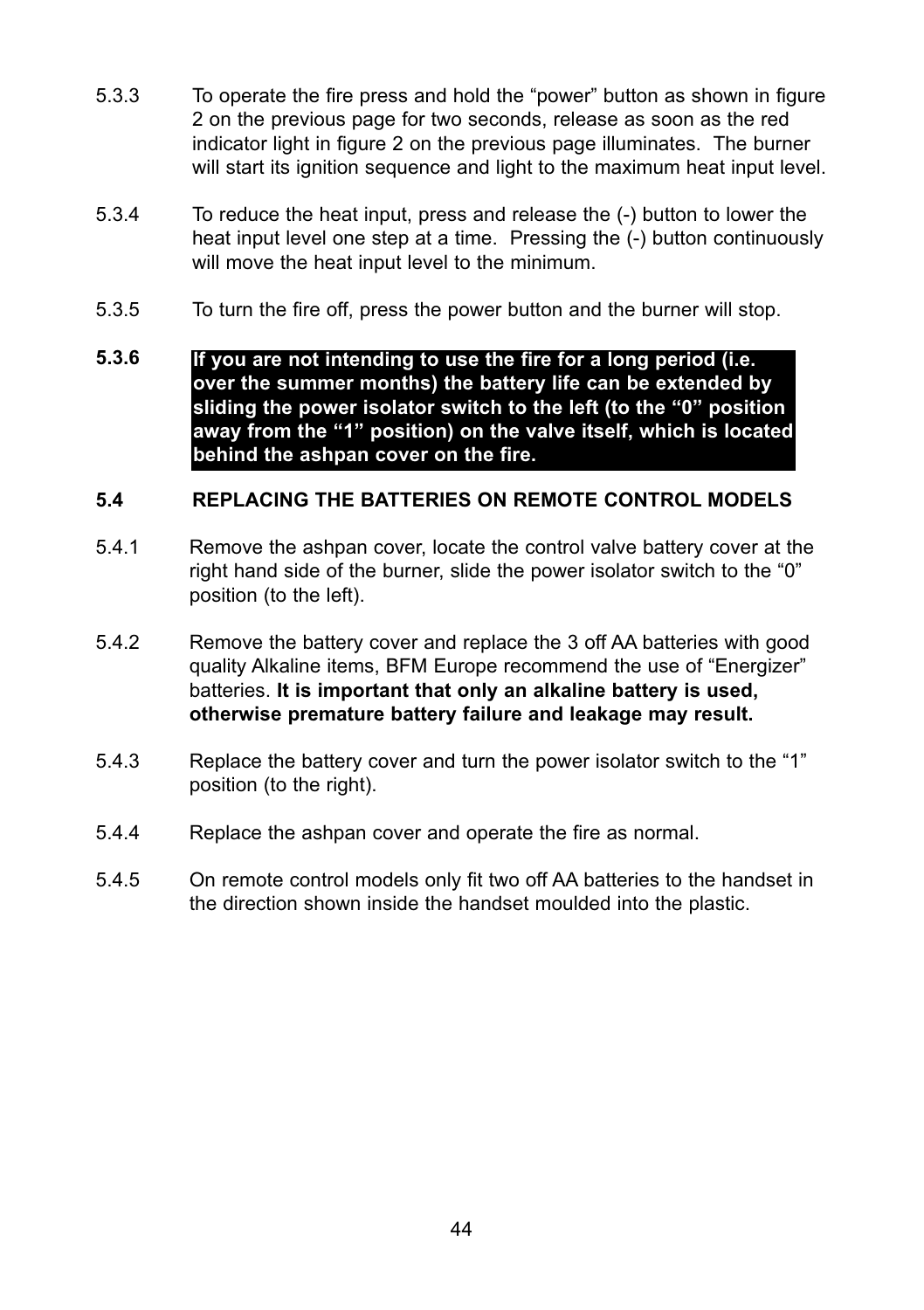- 5.3.3 To operate the fire press and hold the "power" button as shown in figure 2 on the previous page for two seconds, release as soon as the red indicator light in figure 2 on the previous page illuminates. The burner will start its ignition sequence and light to the maximum heat input level.
- 5.3.4 To reduce the heat input, press and release the (-) button to lower the heat input level one step at a time. Pressing the (-) button continuously will move the heat input level to the minimum.
- 5.3.5 To turn the fire off, press the power button and the burner will stop.
- **5.3.6 If you are not intending to use the fire for a long period (i.e. over the summer months) the battery life can be extended by sliding the power isolator switch to the left (to the "0" position away from the "1" position) on the valve itself, which is located behind the ashpan cover on the fire.**

#### **5.4 REPLACING THE BATTERIES ON REMOTE CONTROL MODELS**

- 5.4.1 Remove the ashpan cover, locate the control valve battery cover at the right hand side of the burner, slide the power isolator switch to the "0" position (to the left).
- 5.4.2 Remove the battery cover and replace the 3 off AA batteries with good quality Alkaline items, BFM Europe recommend the use of "Energizer" batteries. **It is important that only an alkaline battery is used, otherwise premature battery failure and leakage may result.**
- 5.4.3 Replace the battery cover and turn the power isolator switch to the "1" position (to the right).
- 5.4.4 Replace the ashpan cover and operate the fire as normal.
- 5.4.5 On remote control models only fit two off AA batteries to the handset in the direction shown inside the handset moulded into the plastic.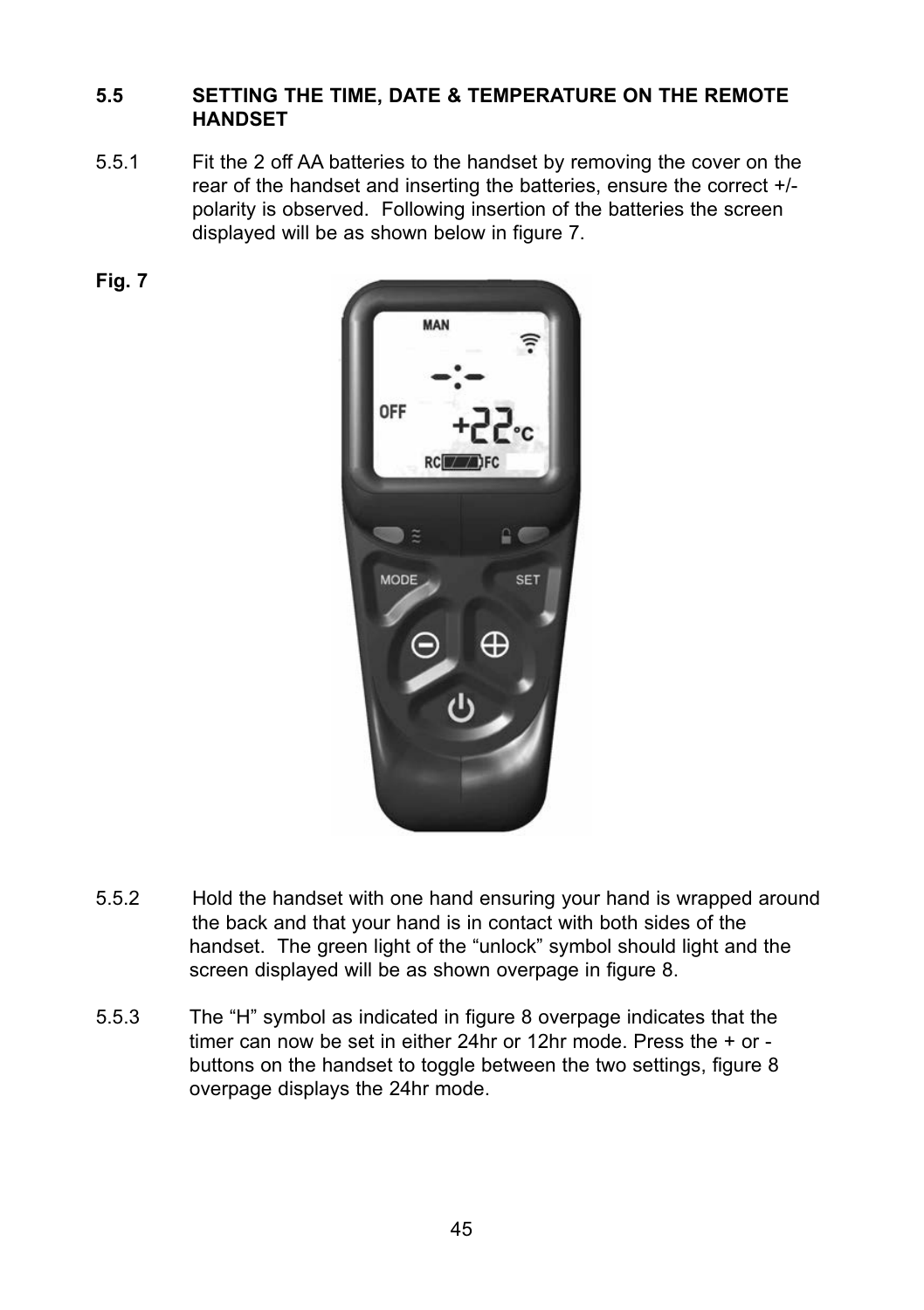# **5.5 SETTING THE TIME, DATE & TEMPERATURE ON THE REMOTE HANDSET**

- 5.5.1 Fit the 2 off AA batteries to the handset by removing the cover on the rear of the handset and inserting the batteries, ensure the correct +/ polarity is observed. Following insertion of the batteries the screen displayed will be as shown below in figure 7.
- **Fig. 7**



- 5.5.2 Hold the handset with one hand ensuring your hand is wrapped around the back and that your hand is in contact with both sides of the handset. The green light of the "unlock" symbol should light and the screen displayed will be as shown overpage in figure 8.
- 5.5.3 The "H" symbol as indicated in figure 8 overpage indicates that the timer can now be set in either 24hr or 12hr mode. Press the + or buttons on the handset to toggle between the two settings, figure 8 overpage displays the 24hr mode.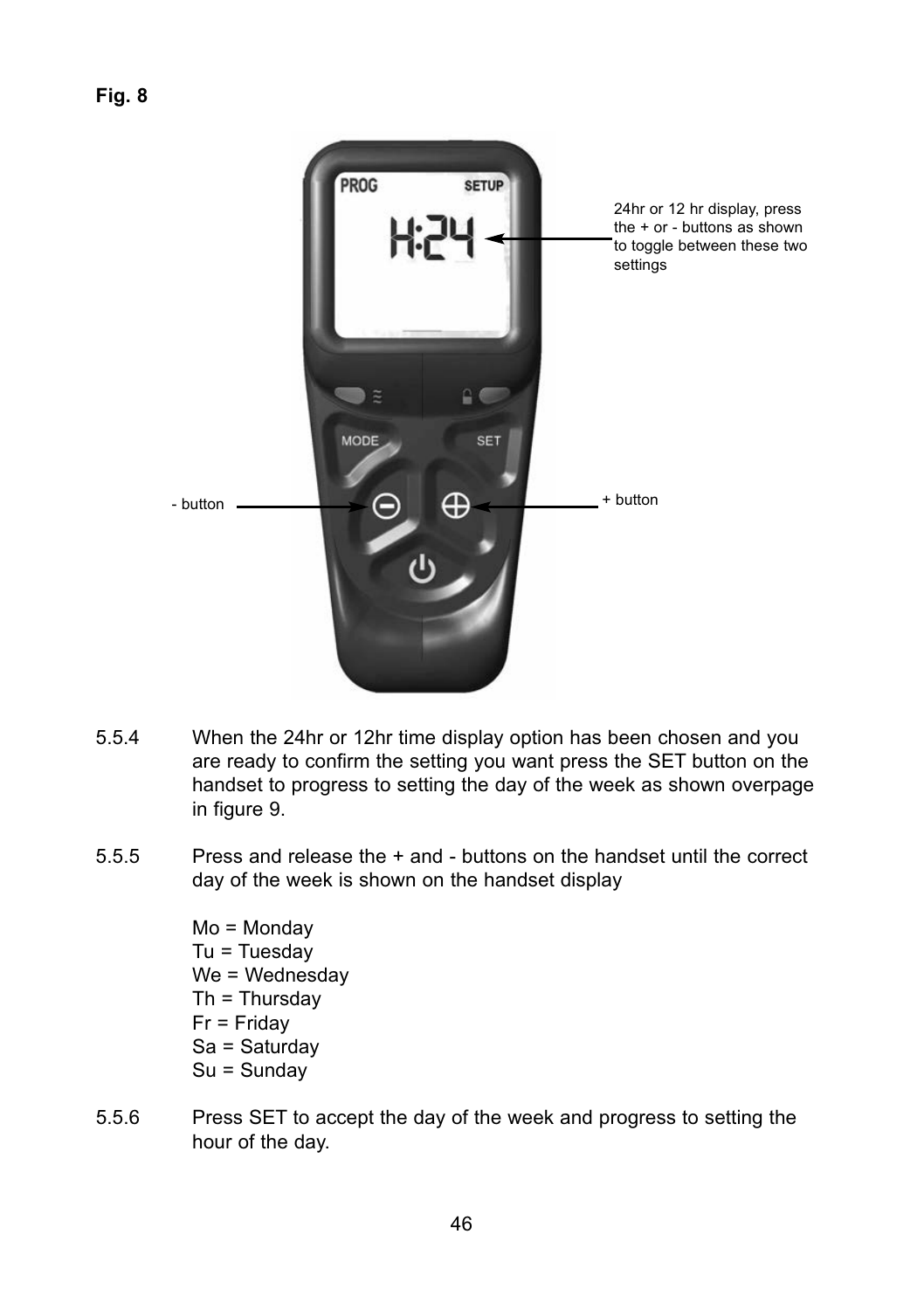

- 5.5.4 When the 24hr or 12hr time display option has been chosen and you are ready to confirm the setting you want press the SET button on the handset to progress to setting the day of the week as shown overpage in figure 9.
- 5.5.5 Press and release the + and buttons on the handset until the correct day of the week is shown on the handset display

Mo = Monday  $Tu = Tu$ esday We = Wednesdav Th = Thursday Fr = Friday Sa = Saturday Su = Sunday

5.5.6 Press SET to accept the day of the week and progress to setting the hour of the day.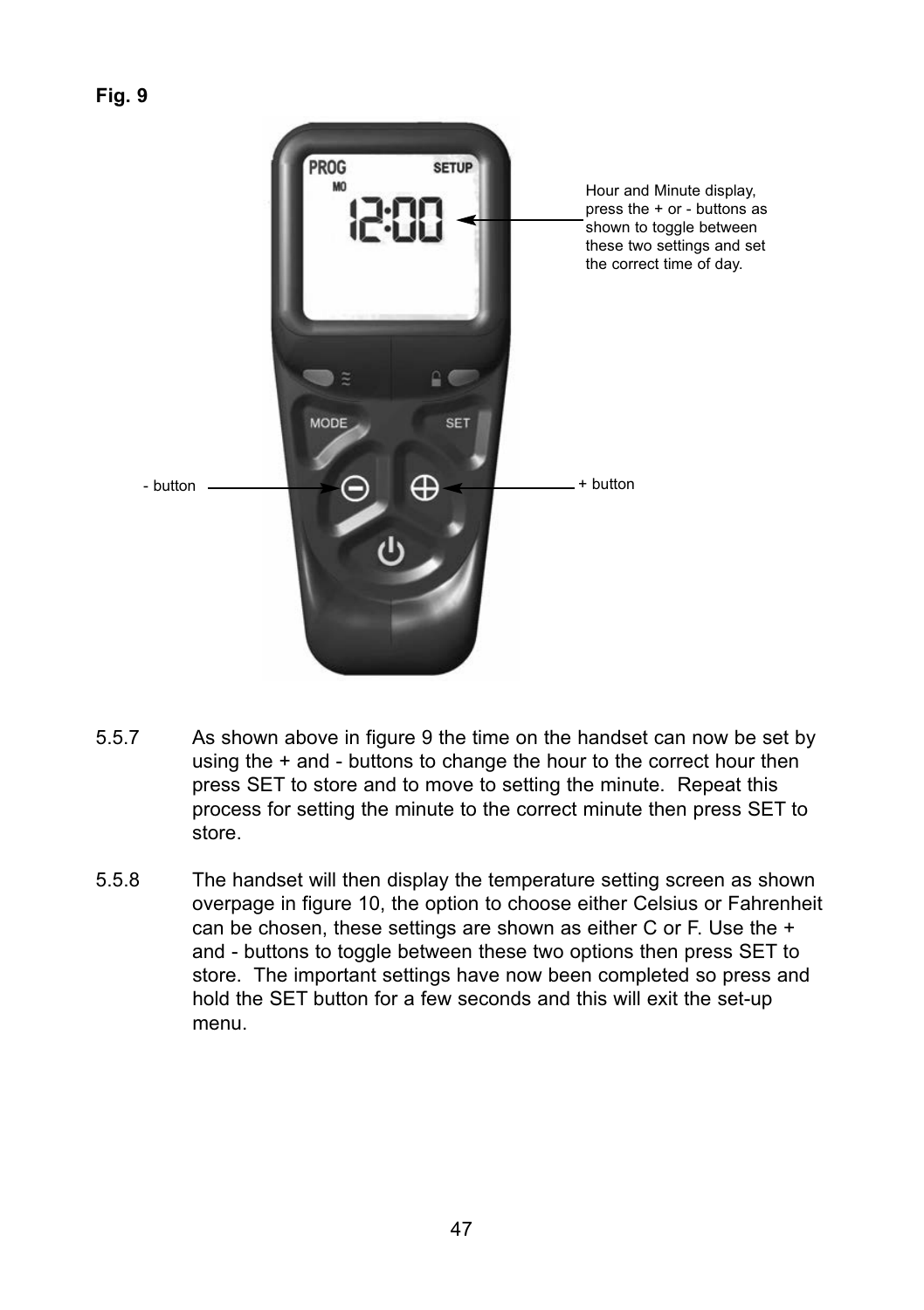

- 5.5.7 As shown above in figure 9 the time on the handset can now be set by using the + and - buttons to change the hour to the correct hour then press SET to store and to move to setting the minute. Repeat this process for setting the minute to the correct minute then press SET to store.
- 5.5.8 The handset will then display the temperature setting screen as shown overpage in figure 10, the option to choose either Celsius or Fahrenheit can be chosen, these settings are shown as either C or F. Use the + and - buttons to toggle between these two options then press SET to store. The important settings have now been completed so press and hold the SET button for a few seconds and this will exit the set-up menu.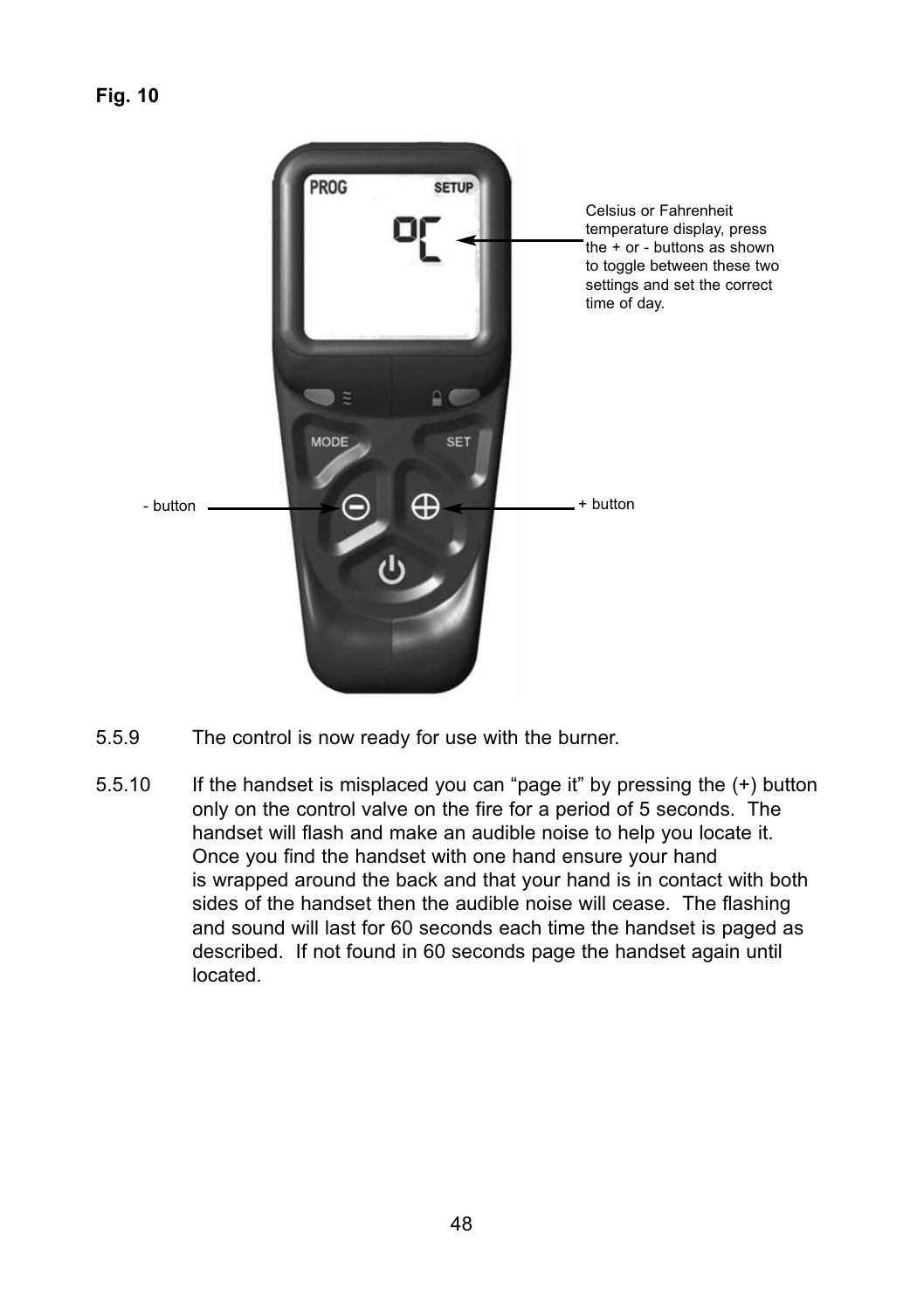

- 5.5.9 The control is now ready for use with the burner.
- 5.5.10 If the handset is misplaced you can "page it" by pressing the (+) button only on the control valve on the fire for a period of 5 seconds. The handset will flash and make an audible noise to help you locate it. Once you find the handset with one hand ensure your hand is wrapped around the back and that your hand is in contact with both sides of the handset then the audible noise will cease. The flashing and sound will last for 60 seconds each time the handset is paged as described. If not found in 60 seconds page the handset again until located.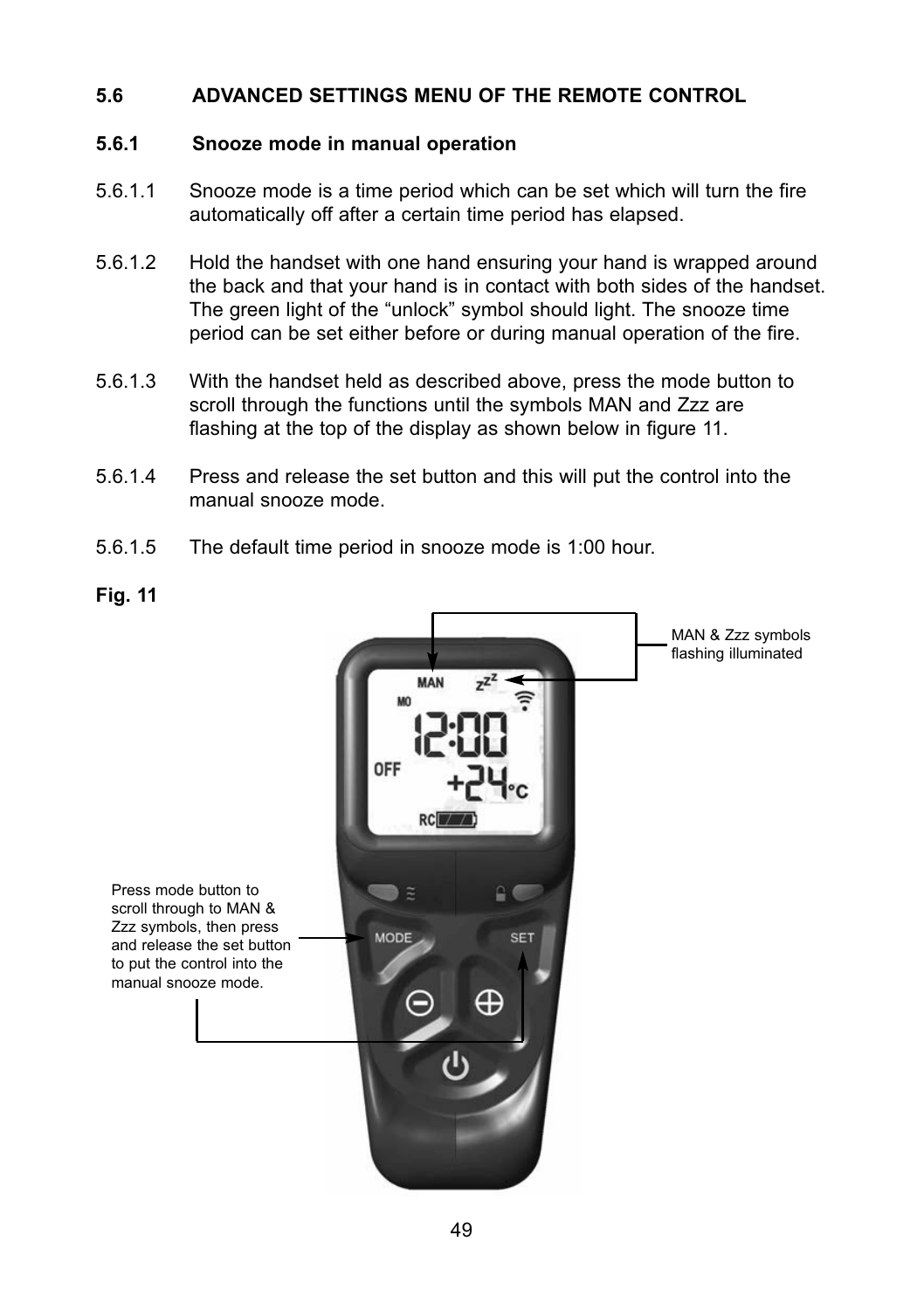# **5.6 ADVANCED SETTINGS MENU OF THE REMOTE CONTROL**

# **5.6.1 Snooze mode in manual operation**

- 5.6.1.1 Snooze mode is a time period which can be set which will turn the fire automatically off after a certain time period has elapsed.
- 5.6.1.2 Hold the handset with one hand ensuring your hand is wrapped around the back and that your hand is in contact with both sides of the handset. The green light of the "unlock" symbol should light. The snooze time period can be set either before or during manual operation of the fire.
- 5.6.1.3 With the handset held as described above, press the mode button to scroll through the functions until the symbols MAN and Zzz are flashing at the top of the display as shown below in figure 11.
- 5.6.1.4 Press and release the set button and this will put the control into the manual snooze mode.
- 5.6.1.5 The default time period in snooze mode is 1:00 hour.

#### **Fig. 11**

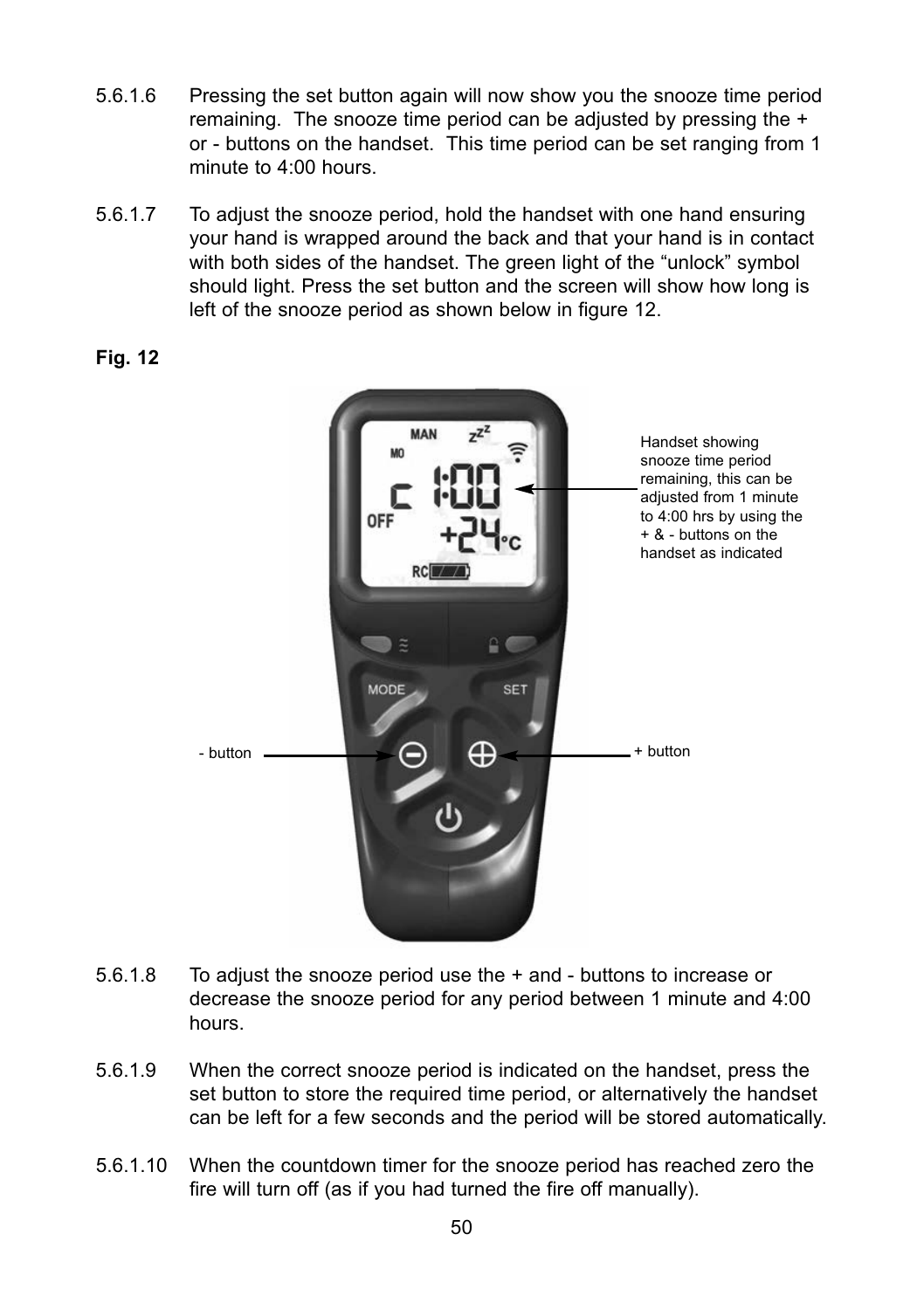- 5.6.1.6 Pressing the set button again will now show you the snooze time period remaining. The snooze time period can be adjusted by pressing the + or - buttons on the handset. This time period can be set ranging from 1 minute to 4:00 hours.
- 5.6.1.7 To adjust the snooze period, hold the handset with one hand ensuring your hand is wrapped around the back and that your hand is in contact with both sides of the handset. The green light of the "unlock" symbol should light. Press the set button and the screen will show how long is left of the snooze period as shown below in figure 12.

# **Fig. 12**



- 5.6.1.8 To adjust the snooze period use the + and - buttons to increase or decrease the snooze period for any period between 1 minute and 4:00 hours.
- 5.6.1.9 When the correct snooze period is indicated on the handset, press the set button to store the required time period, or alternatively the handset can be left for a few seconds and the period will be stored automatically.
- 5.6.1.10 When the countdown timer for the snooze period has reached zero the fire will turn off (as if you had turned the fire off manually).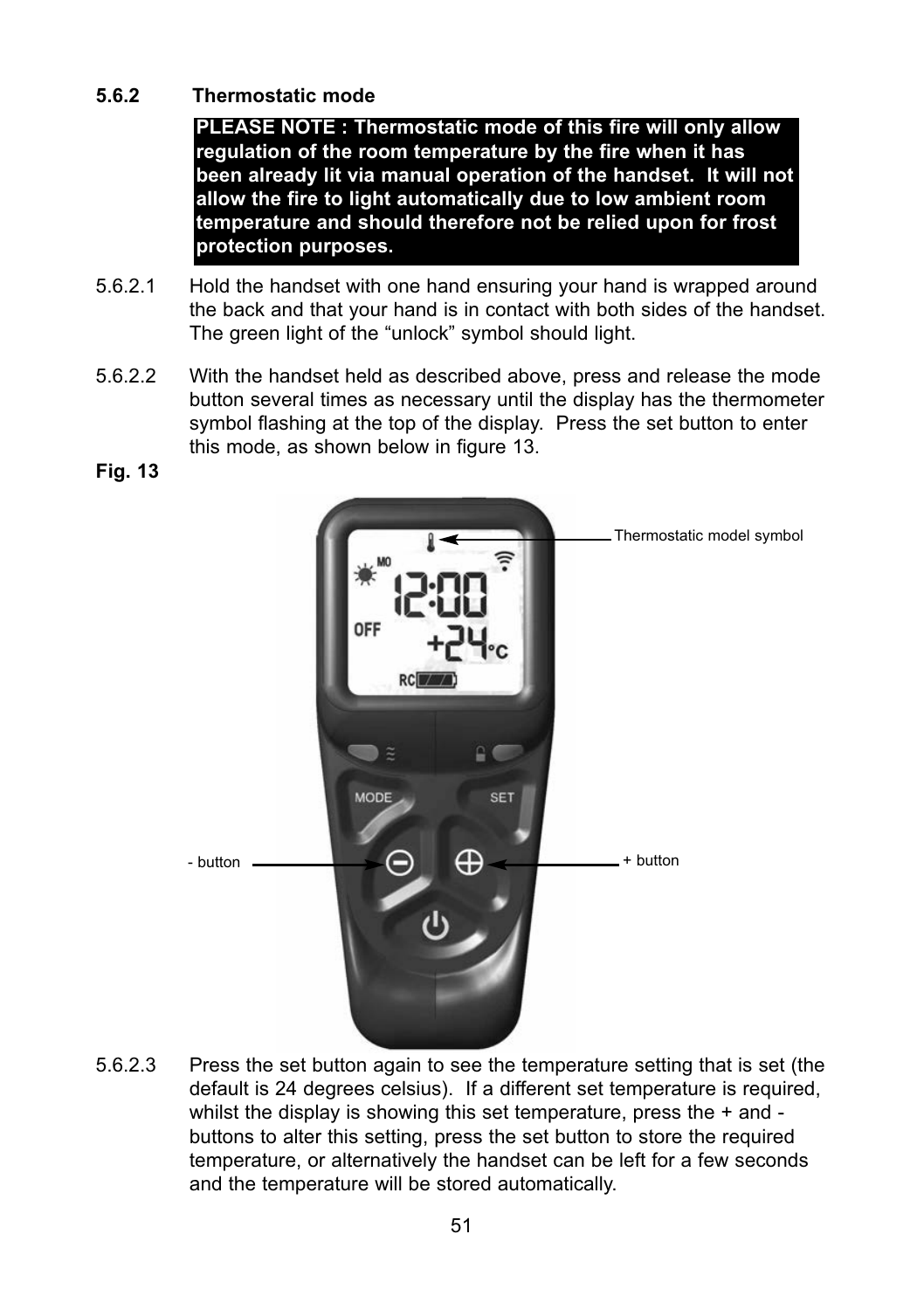# **5.6.2 Thermostatic mode**

**PLEASE NOTE : Thermostatic mode of this fire will only allow regulation of the room temperature by the fire when it has been already lit via manual operation of the handset. It will not allow the fire to light automatically due to low ambient room temperature and should therefore not be relied upon for frost protection purposes.**

- 5.6.2.1 Hold the handset with one hand ensuring your hand is wrapped around the back and that your hand is in contact with both sides of the handset. The green light of the "unlock" symbol should light.
- 5.6.2.2 With the handset held as described above, press and release the mode button several times as necessary until the display has the thermometer symbol flashing at the top of the display. Press the set button to enter this mode, as shown below in figure 13.

**Fig. 13**



5.6.2.3 Press the set button again to see the temperature setting that is set (the default is 24 degrees celsius). If a different set temperature is required, whilst the display is showing this set temperature, press the + and buttons to alter this setting, press the set button to store the required temperature, or alternatively the handset can be left for a few seconds and the temperature will be stored automatically.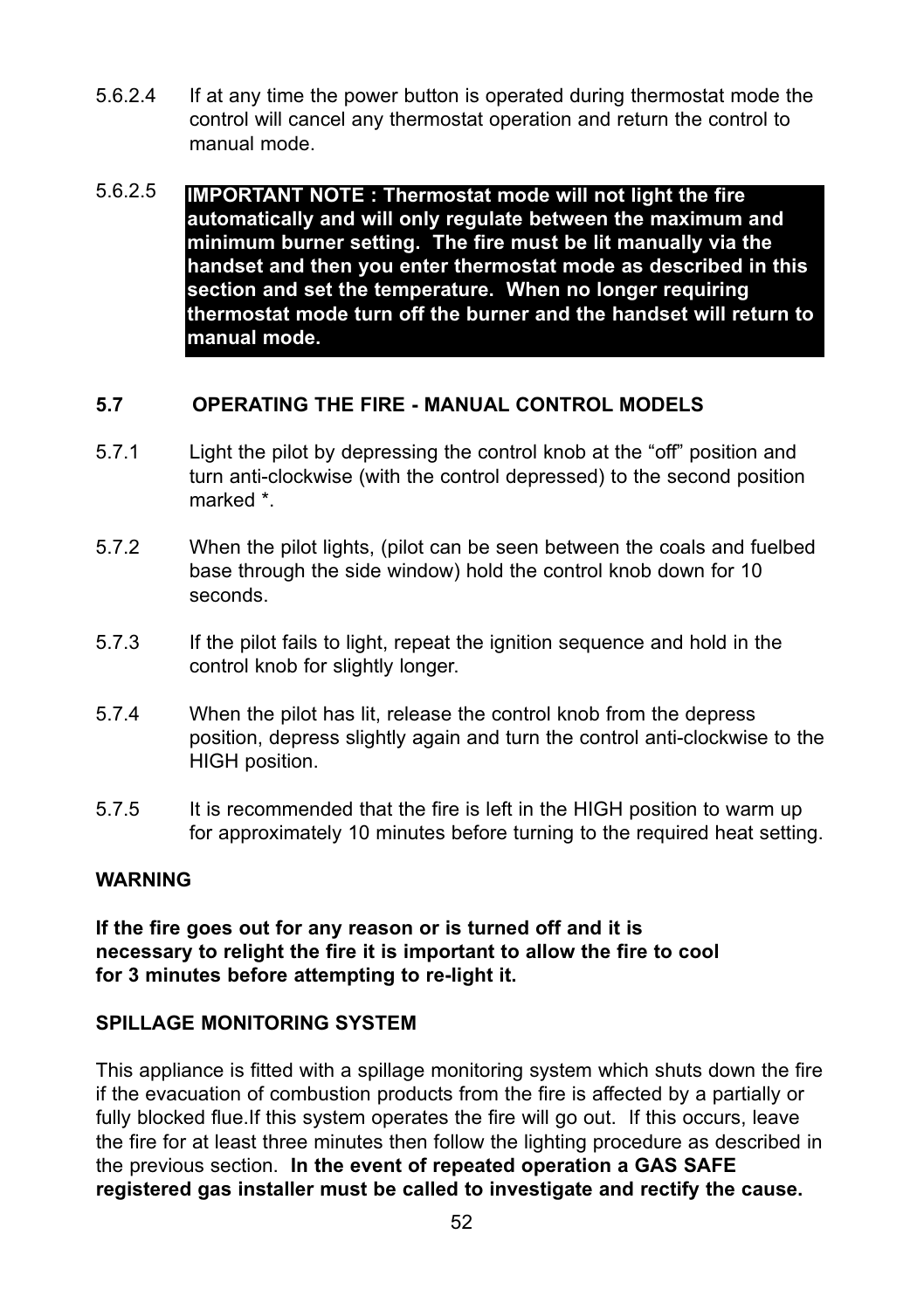- 5.6.2.4 If at any time the power button is operated during thermostat mode the control will cancel any thermostat operation and return the control to manual mode.
- 5.6.2.5 **IMPORTANT NOTE : Thermostat mode will not light the fire automatically and will only regulate between the maximum and minimum burner setting. The fire must be lit manually via the handset and then you enter thermostat mode as described in this section and set the temperature. When no longer requiring thermostat mode turn off the burner and the handset will return to manual mode.**

# **5.7 OPERATING THE FIRE - MANUAL CONTROL MODELS**

- 5.7.1 Light the pilot by depressing the control knob at the "off" position and turn anti-clockwise (with the control depressed) to the second position marked \*.
- 5.7.2 When the pilot lights, (pilot can be seen between the coals and fuelbed base through the side window) hold the control knob down for 10 seconds.
- 5.7.3 If the pilot fails to light, repeat the ignition sequence and hold in the control knob for slightly longer.
- 5.7.4 When the pilot has lit, release the control knob from the depress position, depress slightly again and turn the control anti-clockwise to the HIGH position.
- 5.7.5 It is recommended that the fire is left in the HIGH position to warm up for approximately 10 minutes before turning to the required heat setting.

# **WARNING**

**If the fire goes out for any reason or is turned off and it is necessary to relight the fire it is important to allow the fire to cool for 3 minutes before attempting to re-light it.**

#### **SPILLAGE MONITORING SYSTEM**

This appliance is fitted with a spillage monitoring system which shuts down the fire if the evacuation of combustion products from the fire is affected by a partially or fully blocked flue.If this system operates the fire will go out. If this occurs, leave the fire for at least three minutes then follow the lighting procedure as described in the previous section. **In the event of repeated operation a GAS SAFE registered gas installer must be called to investigate and rectify the cause.**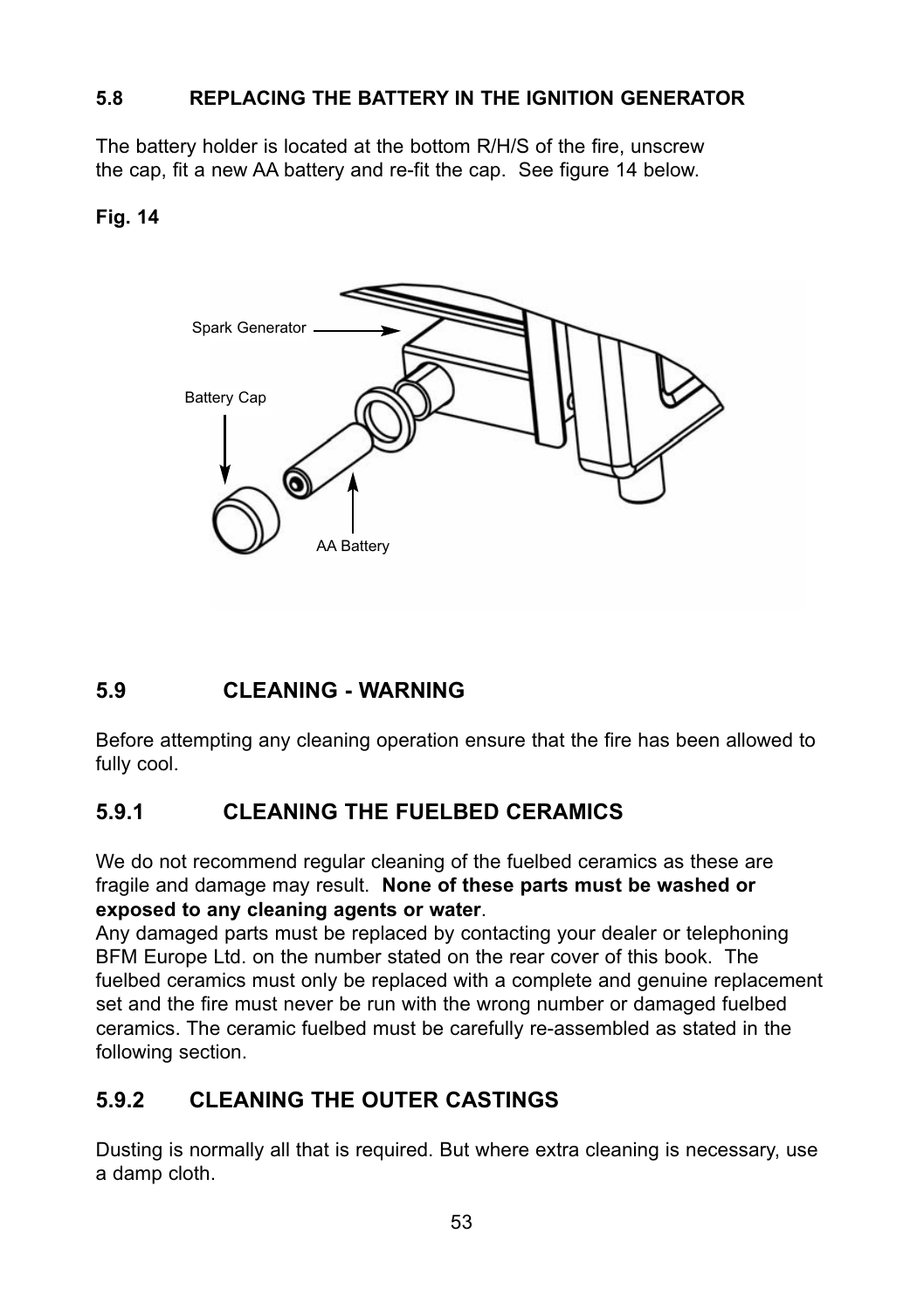# **5.8 REPLACING THE BATTERY IN THE IGNITION GENERATOR**

The battery holder is located at the bottom R/H/S of the fire, unscrew the cap, fit a new AA battery and re-fit the cap. See figure 14 below.

# **Fig. 14**



# **5.9 CLEANING - WARNING**

Before attempting any cleaning operation ensure that the fire has been allowed to fully cool.

# **5.9.1 CLEANING THE FUELBED CERAMICS**

We do not recommend regular cleaning of the fuelbed ceramics as these are fragile and damage may result. **None of these parts must be washed or exposed to any cleaning agents or water**.

Any damaged parts must be replaced by contacting your dealer or telephoning BFM Europe Ltd. on the number stated on the rear cover of this book. The fuelbed ceramics must only be replaced with a complete and genuine replacement set and the fire must never be run with the wrong number or damaged fuelbed ceramics. The ceramic fuelbed must be carefully re-assembled as stated in the following section.

# **5.9.2 CLEANING THE OUTER CASTINGS**

Dusting is normally all that is required. But where extra cleaning is necessary, use a damp cloth.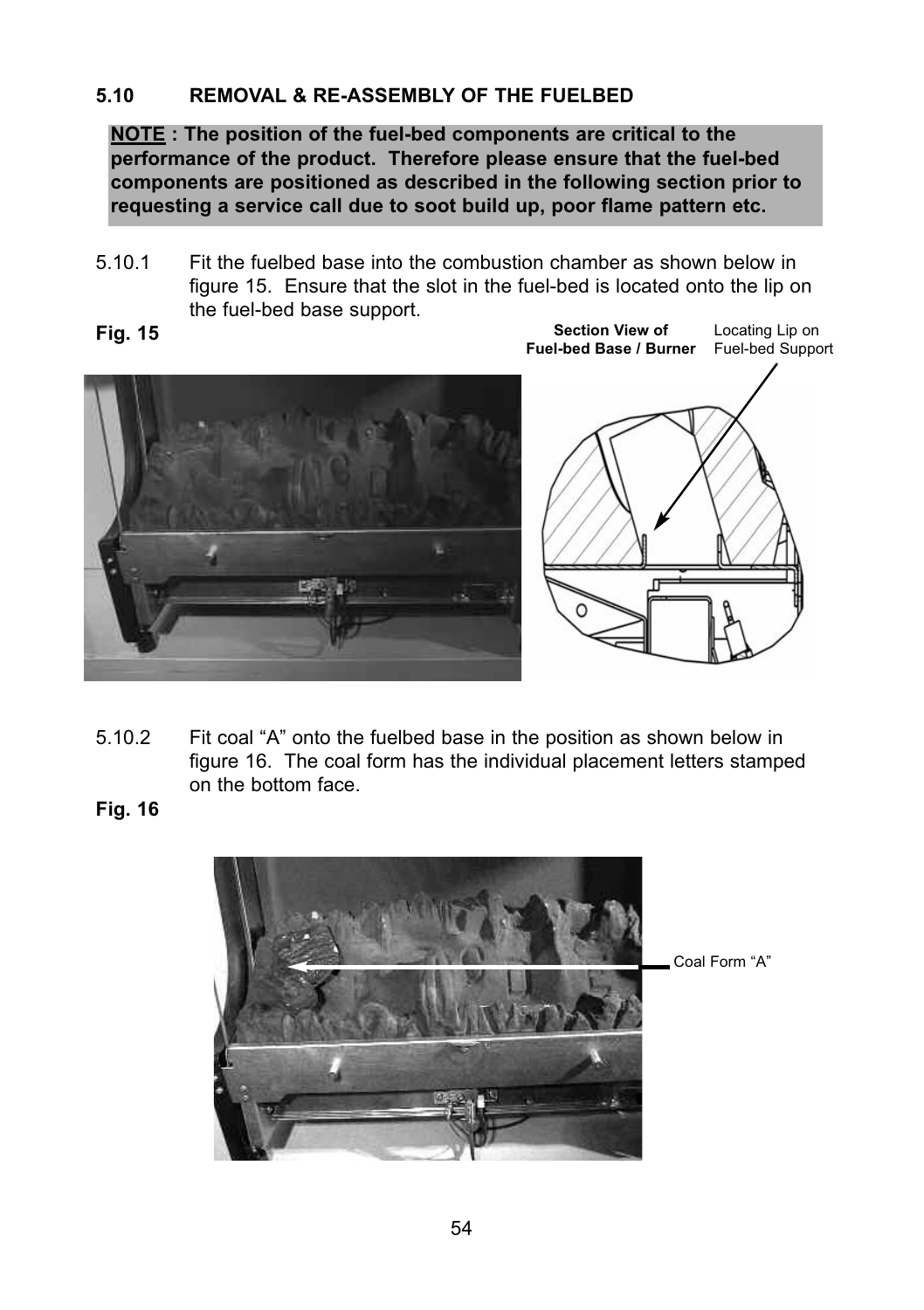# **5.10 REMOVAL & RE-ASSEMBLY OF THE FUELBED**

**NOTE : The position of the fuel-bed components are critical to the performance of the product. Therefore please ensure that the fuel-bed components are positioned as described in the following section prior to requesting a service call due to soot build up, poor flame pattern etc.**

- 5.10.1 Fit the fuelbed base into the combustion chamber as shown below in figure 15. Ensure that the slot in the fuel-bed is located onto the lip on the fuel-bed base support.
- 



**Section View of** 

Locating Lip on

- 5.10.2 Fit coal "A" onto the fuelbed base in the position as shown below in figure 16. The coal form has the individual placement letters stamped on the bottom face.
- **Fig. 16**

**Fig. 15**

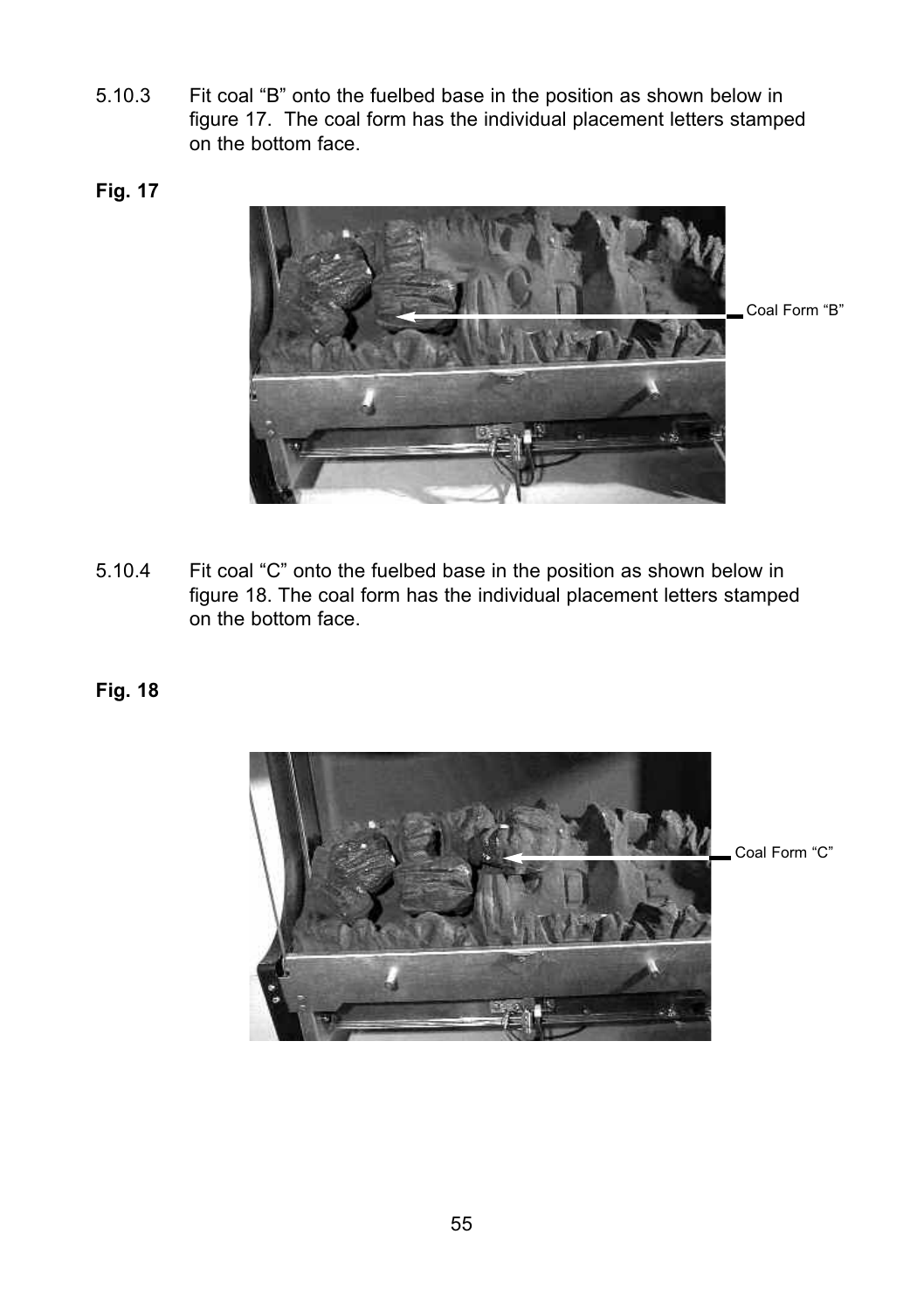- 5.10.3 Fit coal "B" onto the fuelbed base in the position as shown below in figure 17. The coal form has the individual placement letters stamped on the bottom face.
- **Fig. 17**



5.10.4 Fit coal "C" onto the fuelbed base in the position as shown below in figure 18. The coal form has the individual placement letters stamped on the bottom face.

# **Fig. 18**

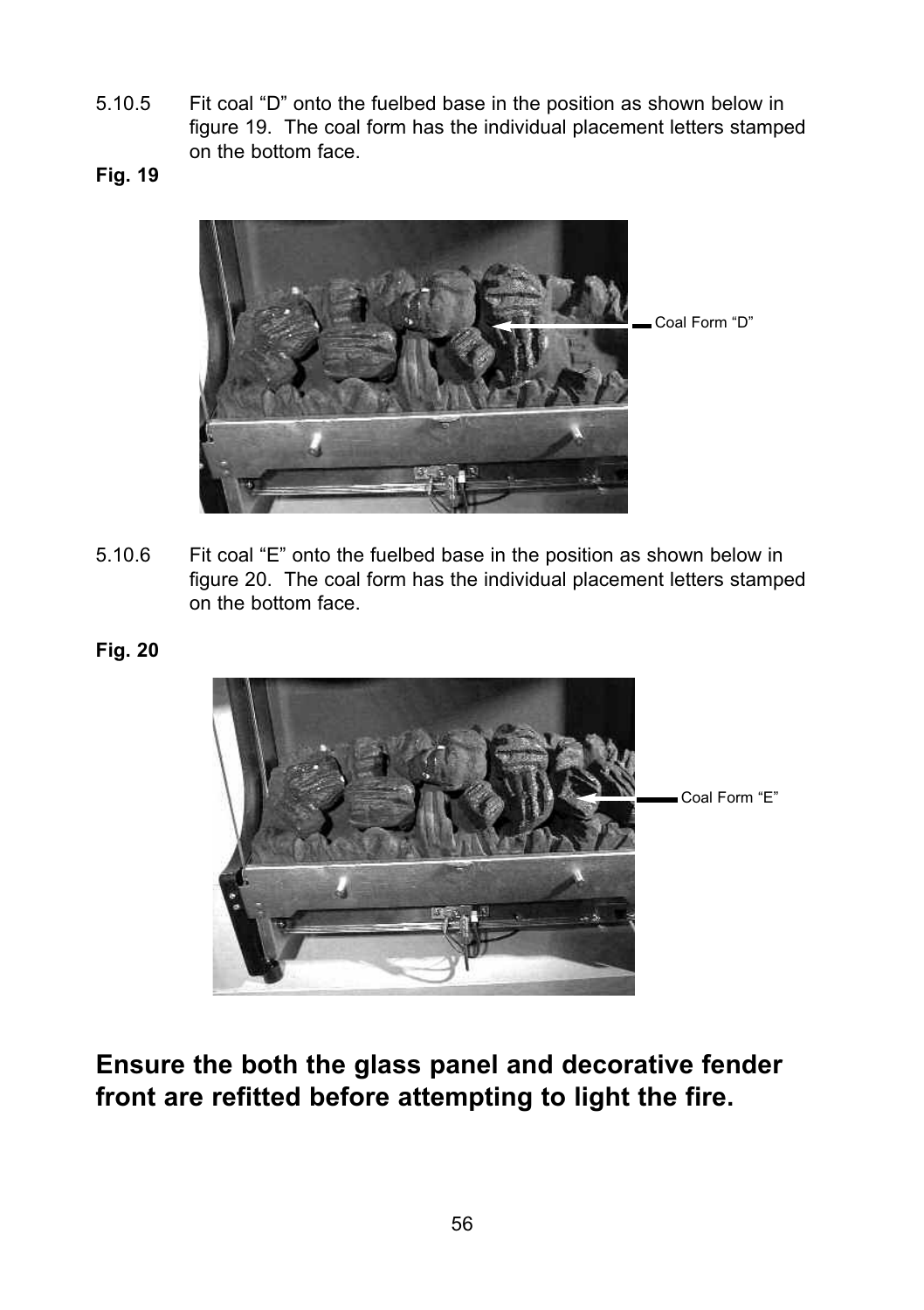- 5.10.5 Fit coal "D" onto the fuelbed base in the position as shown below in figure 19. The coal form has the individual placement letters stamped on the bottom face.
- **Fig. 19**



- 5.10.6 Fit coal "E" onto the fuelbed base in the position as shown below in figure 20. The coal form has the individual placement letters stamped on the bottom face.
- **Fig. 20**



**Ensure the both the glass panel and decorative fender front are refitted before attempting to light the fire.**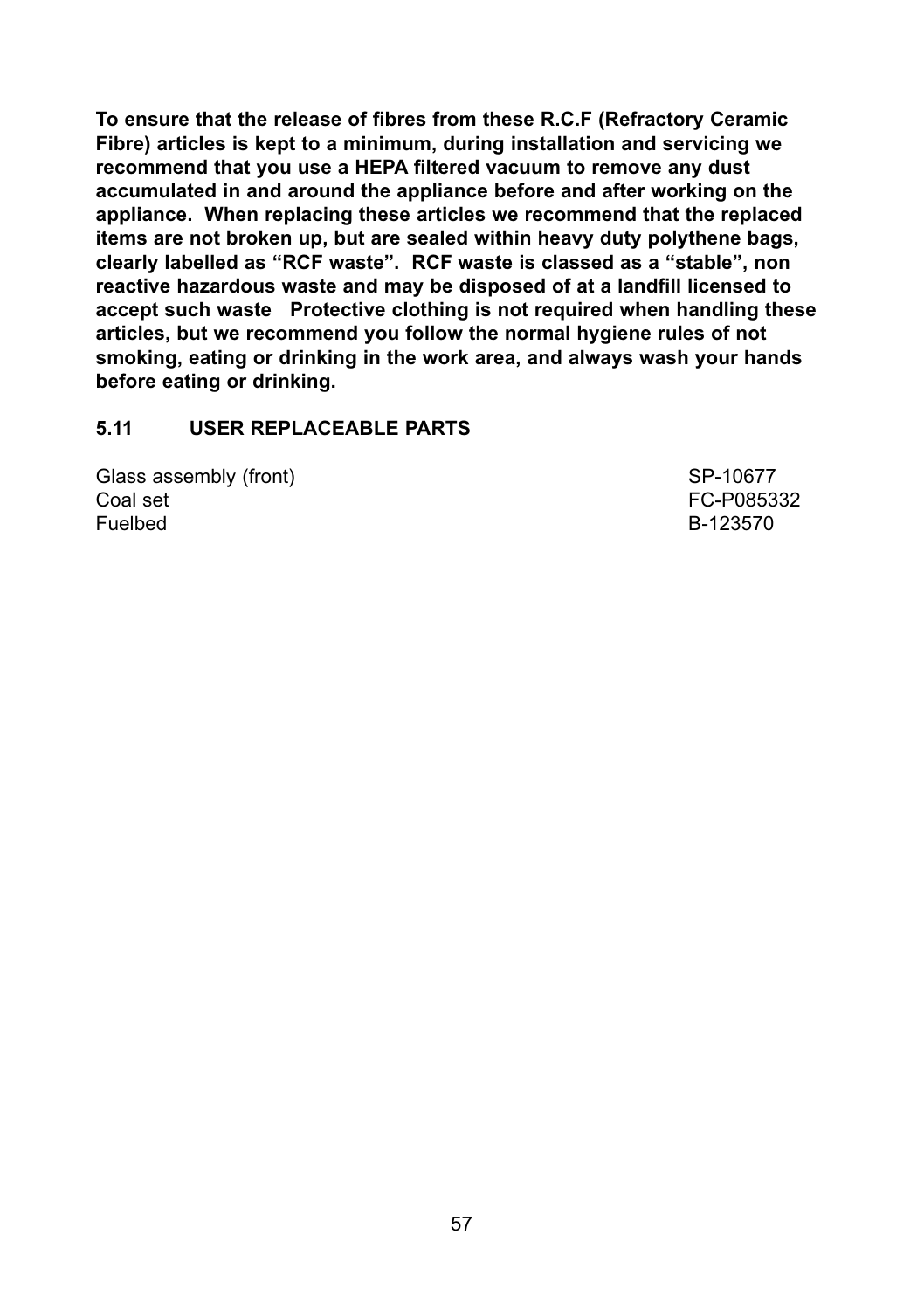**To ensure that the release of fibres from these R.C.F (Refractory Ceramic Fibre) articles is kept to a minimum, during installation and servicing we recommend that you use a HEPA filtered vacuum to remove any dust accumulated in and around the appliance before and after working on the appliance. When replacing these articles we recommend that the replaced items are not broken up, but are sealed within heavy duty polythene bags, clearly labelled as "RCF waste". RCF waste is classed as a "stable", non reactive hazardous waste and may be disposed of at a landfill licensed to accept such waste Protective clothing is not required when handling these articles, but we recommend you follow the normal hygiene rules of not smoking, eating or drinking in the work area, and always wash your hands before eating or drinking.**

#### **5.11 USER REPLACEABLE PARTS**

Glass assembly (front) SP-10677<br>Coal set SP-10677<br>Coal set SP-085332 Coal set FC-P085332 Fuelbed B-123570